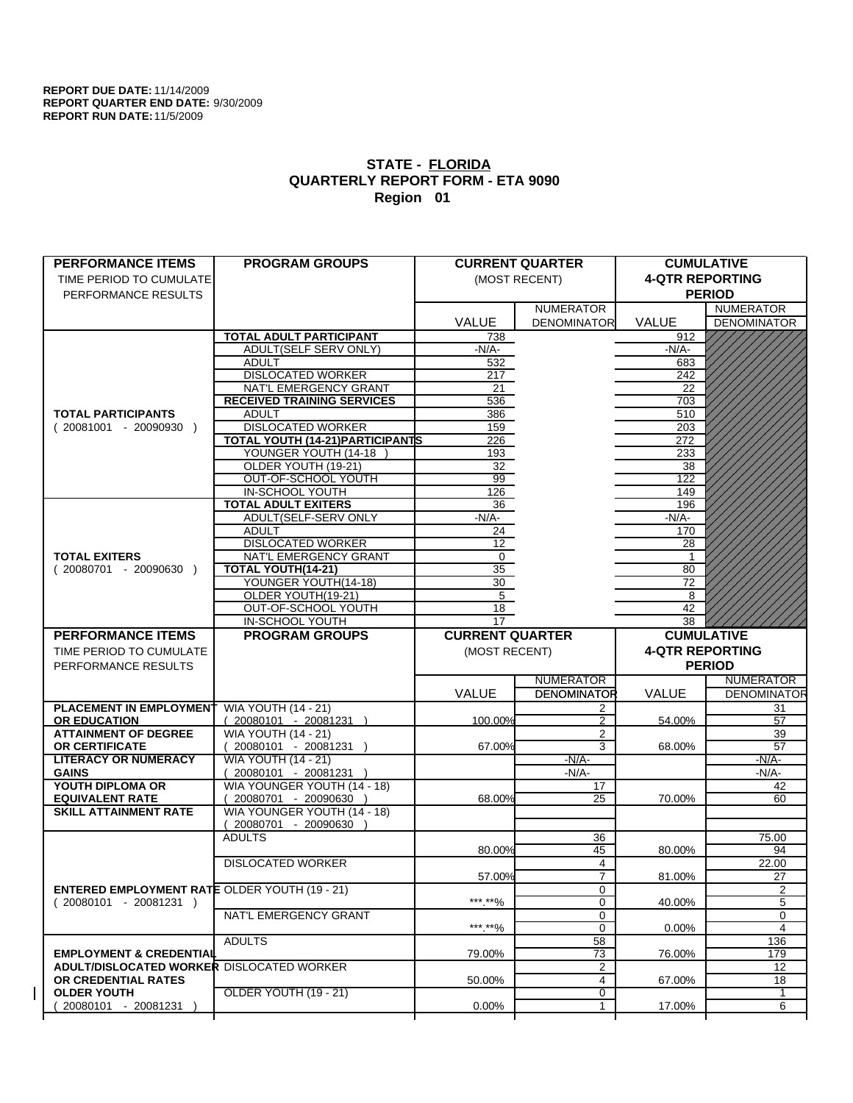$\overline{1}$ 

| <b>PERFORMANCE ITEMS</b>                             | <b>PROGRAM GROUPS</b>             |                        | <b>CURRENT QUARTER</b>           |                        | <b>CUMULATIVE</b>  |
|------------------------------------------------------|-----------------------------------|------------------------|----------------------------------|------------------------|--------------------|
| TIME PERIOD TO CUMULATE                              |                                   |                        | (MOST RECENT)                    | <b>4-QTR REPORTING</b> |                    |
| PERFORMANCE RESULTS                                  |                                   |                        |                                  |                        | <b>PERIOD</b>      |
|                                                      |                                   |                        | <b>NUMERATOR</b>                 |                        | <b>NUMERATOR</b>   |
|                                                      |                                   | <b>VALUE</b>           | <b>DENOMINATOR</b>               | VALUE                  | <b>DENOMINATOR</b> |
|                                                      | <b>TOTAL ADULT PARTICIPANT</b>    | 738                    |                                  | 912                    |                    |
|                                                      | <b>ADULT(SELF SERV ONLY)</b>      | $-N/A$ -               |                                  | $-N/A-$                |                    |
|                                                      | <b>ADULT</b>                      | 532                    |                                  | 683                    |                    |
|                                                      | <b>DISLOCATED WORKER</b>          | 217                    |                                  | 242                    |                    |
|                                                      | NAT'L EMERGENCY GRANT             | 21                     |                                  | 22                     |                    |
|                                                      | <b>RECEIVED TRAINING SERVICES</b> | 536                    |                                  | 703                    |                    |
| <b>TOTAL PARTICIPANTS</b>                            | <b>ADULT</b>                      | 386                    |                                  | 510                    |                    |
| $(20081001 - 20090930)$                              | <b>DISLOCATED WORKER</b>          | 159                    |                                  | 203                    |                    |
|                                                      | TOTAL YOUTH (14-21) PARTICIPANTS  | 226                    |                                  | 272                    |                    |
|                                                      | YOUNGER YOUTH (14-18              | 193                    |                                  | 233                    |                    |
|                                                      | OLDER YOUTH (19-21)               | 32                     |                                  | 38                     |                    |
|                                                      | OUT-OF-SCHOOL YOUTH               | 99                     |                                  | 122                    |                    |
|                                                      | <b>IN-SCHOOL YOUTH</b>            | 126                    |                                  | 149                    |                    |
|                                                      | <b>TOTAL ADULT EXITERS</b>        | 36                     |                                  | 196                    |                    |
|                                                      | ADULT(SELF-SERV ONLY              | $-N/A-$                |                                  | $-N/A-$                |                    |
|                                                      | <b>ADULT</b>                      | 24                     |                                  | 170                    |                    |
|                                                      | <b>DISLOCATED WORKER</b>          | 12                     |                                  | 28                     |                    |
| <b>TOTAL EXITERS</b>                                 | NAT'L EMERGENCY GRANT             | $\mathbf 0$            |                                  | 1                      |                    |
| $(20080701 - 20090630)$                              | TOTAL YOUTH(14-21)                | 35                     |                                  | 80                     |                    |
|                                                      | YOUNGER YOUTH(14-18)              | 30                     |                                  | 72                     |                    |
|                                                      | OLDER YOUTH(19-21)                | 5                      |                                  | 8                      |                    |
|                                                      | OUT-OF-SCHOOL YOUTH               | 18                     |                                  | 42                     |                    |
|                                                      | IN-SCHOOL YOUTH                   | 17                     |                                  | 38                     |                    |
| <b>PERFORMANCE ITEMS</b>                             | <b>PROGRAM GROUPS</b>             | <b>CURRENT QUARTER</b> |                                  |                        | <b>CUMULATIVE</b>  |
|                                                      |                                   |                        |                                  |                        |                    |
|                                                      |                                   |                        |                                  |                        |                    |
| TIME PERIOD TO CUMULATE                              |                                   | (MOST RECENT)          |                                  | <b>4-QTR REPORTING</b> |                    |
| PERFORMANCE RESULTS                                  |                                   |                        |                                  |                        | <b>PERIOD</b>      |
|                                                      |                                   |                        | <b>NUMERATOR</b>                 |                        | <b>NUMERATOR</b>   |
|                                                      |                                   | VALUE                  | <b>DENOMINATOR</b>               | VALUE                  | <b>DENOMINATOR</b> |
| <b>PLACEMENT IN EMPLOYMENT</b>                       | <b>WIA YOUTH (14 - 21)</b>        |                        | 2                                |                        | 31                 |
| <b>OR EDUCATION</b>                                  | 20080101 - 20081231               | 100.00%                | 2                                | 54.00%                 | 57                 |
| <b>ATTAINMENT OF DEGREE</b>                          | <b>WIA YOUTH (14 - 21)</b>        |                        | $\overline{2}$                   |                        | 39                 |
| OR CERTIFICATE                                       | $(20080101 - 20081231)$           | 67.00%                 | 3                                | 68.00%                 | 57                 |
| <b>LITERACY OR NUMERACY</b>                          | <b>WIA YOUTH (14 - 21)</b>        |                        | $-N/A$ -                         |                        | $-N/A-$            |
| <b>GAINS</b>                                         | $(20080101 - 20081231)$           |                        | -N/A-                            |                        | -N/A-              |
| YOUTH DIPLOMA OR                                     | WIA YOUNGER YOUTH (14 - 18)       |                        | 17                               |                        | 42                 |
| <b>EQUIVALENT RATE</b>                               | 20080701 - 20090630 )             | 68.00%                 | 25                               | 70.00%                 | 60                 |
| <b>SKILL ATTAINMENT RATE</b>                         | WIA YOUNGER YOUTH (14 - 18)       |                        |                                  |                        |                    |
|                                                      | $(20080701 - 20090630)$           |                        |                                  |                        |                    |
|                                                      | <b>ADULTS</b>                     |                        | 36                               |                        | 75.00              |
|                                                      |                                   | 80.00%                 | 45                               | 80.00%                 | 94                 |
|                                                      | <b>DISLOCATED WORKER</b>          |                        | 4                                |                        | 22.00              |
|                                                      |                                   | 57.00%                 | $\overline{7}$                   | 81.00%                 | 27                 |
| <b>ENTERED EMPLOYMENT RATE OLDER YOUTH (19 - 21)</b> |                                   |                        | 0                                |                        | $\overline{c}$     |
| $(20080101 - 20081231)$                              |                                   | *** **%                | 0<br>0                           | 40.00%                 | 5<br>0             |
|                                                      | NAT'L EMERGENCY GRANT             |                        | $\mathbf 0$                      |                        | 4                  |
|                                                      |                                   | ***.**%                |                                  | $0.00\%$               |                    |
| <b>EMPLOYMENT &amp; CREDENTIAL</b>                   | <b>ADULTS</b>                     | 79.00%                 | 58                               |                        | 136                |
| <b>ADULT/DISLOCATED WORKER</b>                       | <b>DISLOCATED WORKER</b>          |                        | 73                               | 76.00%                 | 179<br>12          |
| OR CREDENTIAL RATES                                  |                                   |                        | $\overline{2}$<br>$\overline{4}$ |                        |                    |
|                                                      |                                   | 50.00%                 | $\overline{0}$                   | 67.00%                 | 18<br>$\mathbf{1}$ |
| <b>OLDER YOUTH</b><br>20080101 - 20081231            | <b>OLDER YOUTH (19 - 21)</b>      | 0.00%                  | 1                                | 17.00%                 | 6                  |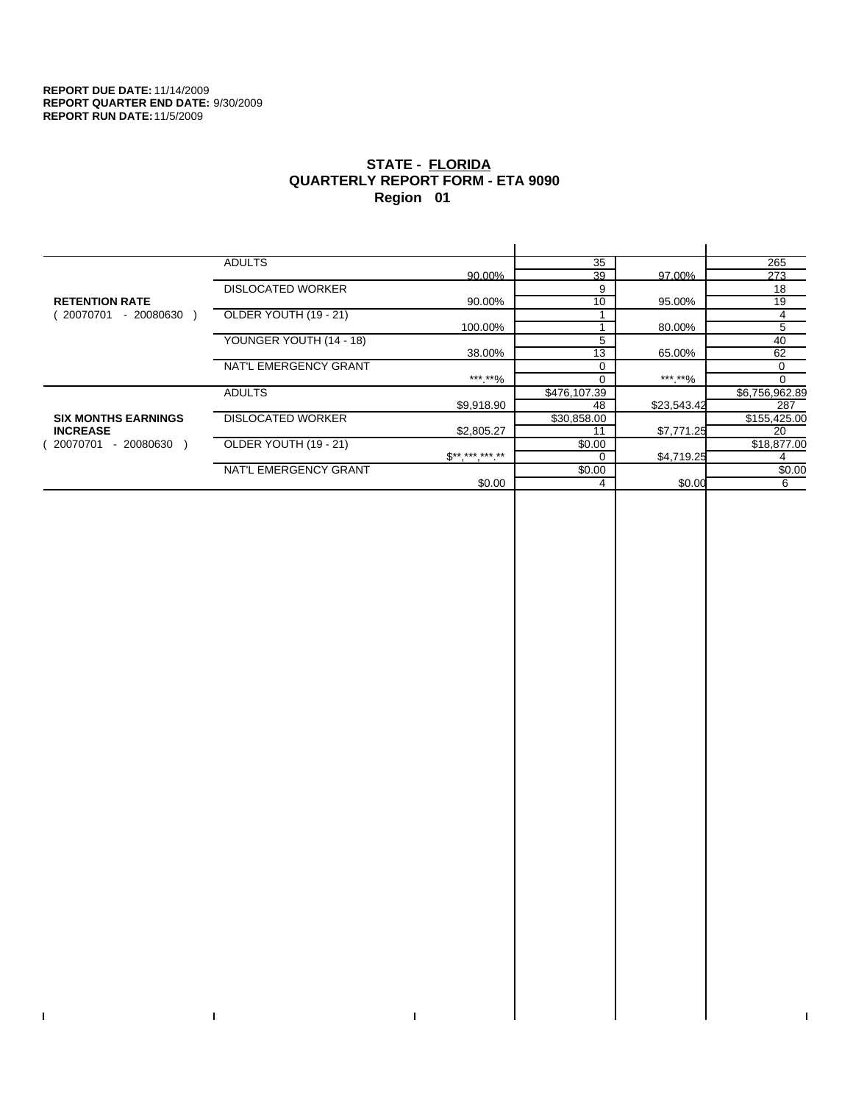$\mathbf I$ 

 $\Gamma$ 

# **STATE - FLORIDA QUARTERLY REPORT FORM - ETA 9090 Region 01**

|                            | <b>ADULTS</b>            |              | 35           |             | 265            |
|----------------------------|--------------------------|--------------|--------------|-------------|----------------|
|                            |                          | 90.00%       | 39           | 97.00%      | 273            |
|                            | <b>DISLOCATED WORKER</b> |              | 9            |             | 18             |
| <b>RETENTION RATE</b>      |                          | 90.00%       | 10           | 95.00%      | 19             |
| $-20080630$<br>20070701    | OLDER YOUTH (19 - 21)    |              |              |             | 4              |
|                            |                          | 100.00%      |              | 80.00%      | 5              |
|                            | YOUNGER YOUTH (14 - 18)  |              | 5            |             | 40             |
|                            |                          | 38.00%       | 13           | 65.00%      | 62             |
|                            | NAT'L EMERGENCY GRANT    |              | 0            |             | 0              |
|                            |                          | *** **%      | 0            | *** **%     | 0              |
|                            | <b>ADULTS</b>            |              | \$476,107.39 |             | \$6,756,962.89 |
|                            |                          | \$9.918.90   | 48           | \$23,543.42 | 287            |
| <b>SIX MONTHS EARNINGS</b> | <b>DISLOCATED WORKER</b> |              | \$30,858.00  |             | \$155,425.00   |
| <b>INCREASE</b>            |                          | \$2,805.27   |              | \$7,771.25  | 20             |
| $-20080630$<br>20070701    | OLDER YOUTH (19 - 21)    |              | \$0.00       |             | \$18,877.00    |
|                            |                          | $S*********$ | 0            | \$4,719.25  |                |
|                            | NAT'L EMERGENCY GRANT    |              | \$0.00       |             | \$0.00         |
|                            |                          | \$0.00       | 4            | \$0.00      | 6              |
|                            |                          |              |              |             |                |

 $\bar{\Gamma}$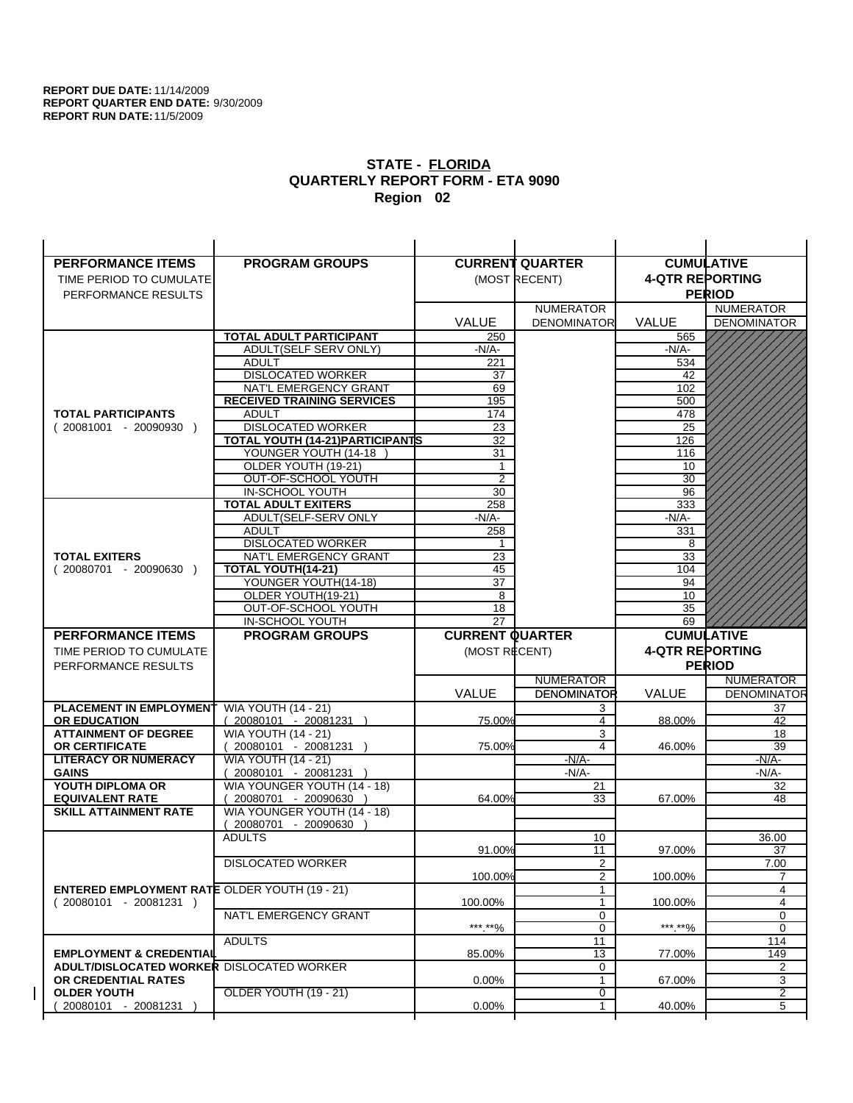| <b>PERFORMANCE ITEMS</b>                                                        | <b>PROGRAM GROUPS</b>                         |                        | <b>CURRENT QUARTER</b>           |                        | <b>CUMULATIVE</b>      |
|---------------------------------------------------------------------------------|-----------------------------------------------|------------------------|----------------------------------|------------------------|------------------------|
| TIME PERIOD TO CUMULATE                                                         |                                               |                        | (MOST RECENT)                    | <b>4-QTR REPORTING</b> |                        |
| PERFORMANCE RESULTS                                                             |                                               |                        |                                  |                        | <b>PERIOD</b>          |
|                                                                                 |                                               |                        | <b>NUMERATOR</b>                 |                        | <b>NUMERATOR</b>       |
|                                                                                 |                                               | <b>VALUE</b>           | <b>DENOMINATOR</b>               | VALUE                  | <b>DENOMINATOR</b>     |
|                                                                                 | TOTAL ADULT PARTICIPANT                       | 250                    |                                  | 565                    |                        |
|                                                                                 | ADULT(SELF SERV ONLY)                         | -N/A-                  |                                  | -N/A-                  |                        |
|                                                                                 | <b>ADULT</b>                                  | 221                    |                                  | 534                    |                        |
|                                                                                 | <b>DISLOCATED WORKER</b>                      | 37                     |                                  | 42                     |                        |
|                                                                                 | NAT'L EMERGENCY GRANT                         | 69                     |                                  | 102                    |                        |
|                                                                                 | <b>RECEIVED TRAINING SERVICES</b>             | 195                    |                                  | 500                    |                        |
| <b>TOTAL PARTICIPANTS</b>                                                       | <b>ADULT</b>                                  | 174                    |                                  | 478                    |                        |
| $(20081001 - 20090930)$                                                         | <b>DISLOCATED WORKER</b>                      | 23                     |                                  | 25                     |                        |
|                                                                                 | <b>TOTAL YOUTH (14-21) PARTICIPANTS</b>       | 32                     |                                  | 126                    |                        |
|                                                                                 | YOUNGER YOUTH (14-18                          | 31                     |                                  | 116                    |                        |
|                                                                                 | OLDER YOUTH (19-21)                           | $\mathbf{1}$           |                                  | 10                     |                        |
|                                                                                 | OUT-OF-SCHOOL YOUTH                           | $\overline{2}$         |                                  | $\overline{30}$        |                        |
|                                                                                 | IN-SCHOOL YOUTH<br><b>TOTAL ADULT EXITERS</b> | 30<br>258              |                                  | 96<br>333              |                        |
|                                                                                 | ADULT(SELF-SERV ONLY                          | $-N/A-$                |                                  | $-N/A-$                |                        |
|                                                                                 | <b>ADULT</b>                                  | 258                    |                                  | 331                    |                        |
|                                                                                 | <b>DISLOCATED WORKER</b>                      | 1                      |                                  | 8                      |                        |
| <b>TOTAL EXITERS</b>                                                            | NAT'L EMERGENCY GRANT                         | 23                     |                                  | 33                     |                        |
| $(20080701 - 20090630)$                                                         | TOTAL YOUTH(14-21)                            | 45                     |                                  | 104                    |                        |
|                                                                                 | YOUNGER YOUTH(14-18)                          | 37                     |                                  | 94                     |                        |
|                                                                                 | OLDER YOUTH(19-21)                            | 8                      |                                  | 10                     |                        |
|                                                                                 | OUT-OF-SCHOOL YOUTH                           | 18                     |                                  | 35                     |                        |
|                                                                                 | IN-SCHOOL YOUTH                               | 27                     |                                  | 69                     |                        |
|                                                                                 |                                               |                        |                                  |                        |                        |
| <b>PERFORMANCE ITEMS</b>                                                        | <b>PROGRAM GROUPS</b>                         | <b>CURRENT QUARTER</b> |                                  |                        | <b>CUMULATIVE</b>      |
| TIME PERIOD TO CUMULATE                                                         |                                               | (MOST RECENT)          |                                  | <b>4-QTR REPORTING</b> |                        |
| PERFORMANCE RESULTS                                                             |                                               |                        |                                  |                        | <b>PERIOD</b>          |
|                                                                                 |                                               |                        | <b>NUMERATOR</b>                 |                        | <b>NUMERATOR</b>       |
|                                                                                 |                                               | <b>VALUE</b>           | <b>DENOMINATOR</b>               | <b>VALUE</b>           | <b>DENOMINATOR</b>     |
| PLACEMENT IN EMPLOYMENT                                                         | <b>WIA YOUTH (14 - 21)</b>                    |                        | 3                                |                        | 37                     |
| <b>OR EDUCATION</b>                                                             | $(20080101 - 20081231)$                       | 75.00%                 | 4                                | 88.00%                 | 42                     |
| <b>ATTAINMENT OF DEGREE</b>                                                     | <b>WIA YOUTH (14 - 21)</b>                    |                        | 3                                |                        | 18                     |
| <b>OR CERTIFICATE</b>                                                           | $(20080101 - 20081231)$                       | 75.00%                 | 4                                | 46.00%                 | 39                     |
| <b>LITERACY OR NUMERACY</b>                                                     | <b>WIA YOUTH (14 - 21)</b>                    |                        | $-N/A$ -                         |                        | -N/A-                  |
| <b>GAINS</b>                                                                    | 20080101 - 20081231                           |                        | $-N/A-$                          |                        | $-N/A-$                |
| YOUTH DIPLOMA OR                                                                | WIA YOUNGER YOUTH (14 - 18)                   |                        | 21                               |                        | 32                     |
| <b>EQUIVALENT RATE</b>                                                          | 20080701 - 20090630 )                         | 64.00%                 | 33                               | 67.00%                 | 48                     |
| <b>SKILL ATTAINMENT RATE</b>                                                    | WIA YOUNGER YOUTH (14 - 18)                   |                        |                                  |                        |                        |
|                                                                                 | (20080701 - 20090630                          |                        |                                  |                        |                        |
|                                                                                 | <b>ADULTS</b>                                 |                        | 10                               |                        | 36.00                  |
|                                                                                 |                                               | 91.00%                 | 11                               | 97.00%                 | 37                     |
|                                                                                 | <b>DISLOCATED WORKER</b>                      | 100.00%                | $\overline{2}$<br>$\overline{2}$ | 100.00%                | 7.00<br>$\overline{7}$ |
|                                                                                 |                                               |                        | 1                                |                        | 4                      |
| <b>ENTERED EMPLOYMENT RATE OLDER YOUTH (19 - 21)</b><br>$(20080101 - 20081231)$ |                                               | 100.00%                | 1                                | 100.00%                | 4                      |
|                                                                                 | NAT'L EMERGENCY GRANT                         |                        | 0                                |                        | 0                      |
|                                                                                 |                                               | ***.**%                | 0                                | *** **%                | 0                      |
|                                                                                 | <b>ADULTS</b>                                 |                        | 11                               |                        | 114                    |
| <b>EMPLOYMENT &amp; CREDENTIAL</b>                                              |                                               | 85.00%                 | 13                               | 77.00%                 | 149                    |
| <b>ADULT/DISLOCATED WORKER DISLOCATED WORKER</b>                                |                                               |                        | 0                                |                        | 2                      |
| OR CREDENTIAL RATES                                                             |                                               | $0.00\%$               | $\mathbf{1}$                     | 67.00%                 | 3                      |
| <b>OLDER YOUTH</b><br>20080101 - 20081231                                       | OLDER YOUTH (19 - 21)                         | 0.00%                  | 0<br>1                           | 40.00%                 | 2<br>5                 |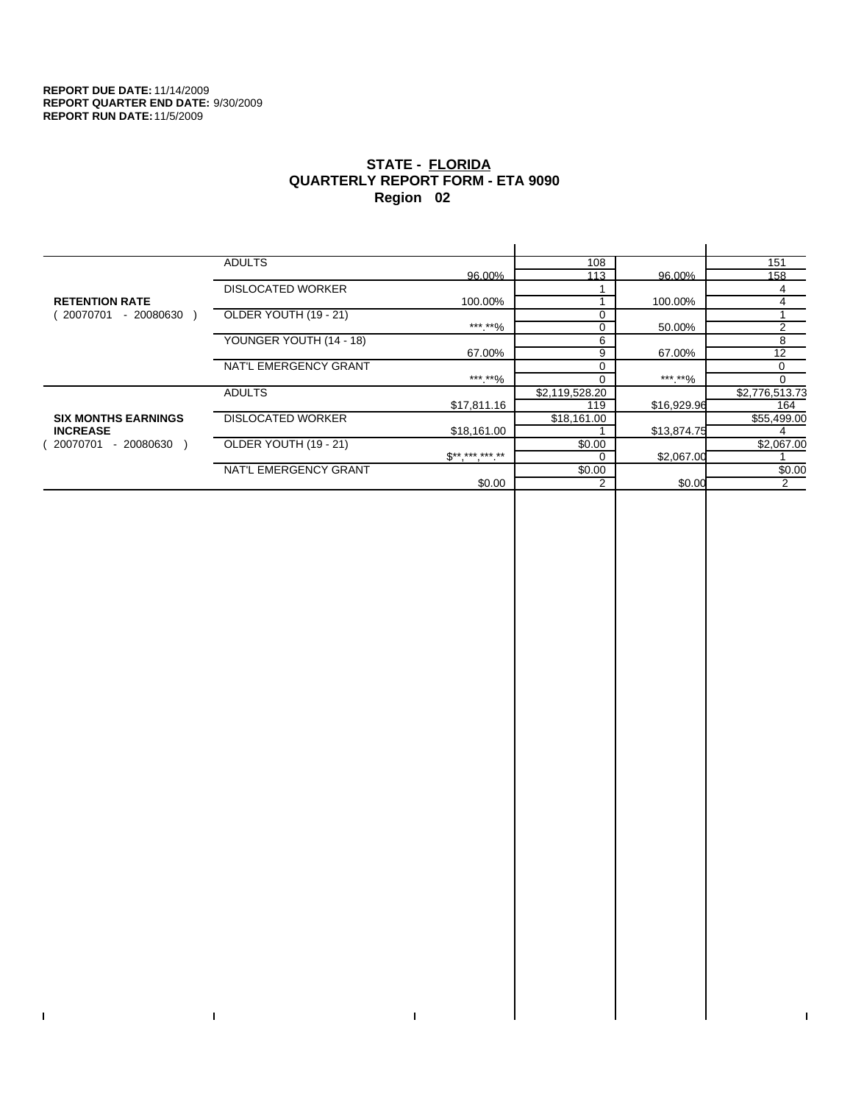$\bar{\mathbf{I}}$ 

 $\Gamma$ 

# **STATE - FLORIDA QUARTERLY REPORT FORM - ETA 9090 Region 02**

|                            | <b>ADULTS</b>            |              | 108            |             | 151            |
|----------------------------|--------------------------|--------------|----------------|-------------|----------------|
|                            |                          | 96.00%       | 113            | 96.00%      | 158            |
|                            | <b>DISLOCATED WORKER</b> |              |                |             | 4              |
| <b>RETENTION RATE</b>      |                          | 100.00%      |                | 100.00%     | 4              |
| 20070701<br>- 20080630     | OLDER YOUTH (19 - 21)    |              |                |             |                |
|                            |                          | ***.**%      | 0              | 50.00%      | $\overline{2}$ |
|                            | YOUNGER YOUTH (14 - 18)  |              | 6              |             | 8              |
|                            |                          | 67.00%       | 9              | 67.00%      | 12             |
|                            | NAT'L EMERGENCY GRANT    |              |                |             | $\mathbf 0$    |
|                            |                          | ***.**%      |                | ***.**%     | 0              |
|                            | <b>ADULTS</b>            |              | \$2,119,528.20 |             | \$2,776,513.73 |
|                            |                          | \$17,811.16  | 119            | \$16,929.96 | 164            |
| <b>SIX MONTHS EARNINGS</b> | <b>DISLOCATED WORKER</b> |              | \$18,161.00    |             | \$55,499.00    |
| <b>INCREASE</b>            |                          | \$18,161.00  |                | \$13,874.75 |                |
| $-20080630$<br>20070701    | OLDER YOUTH (19 - 21)    |              | \$0.00         |             | \$2,067.00     |
|                            |                          | $$*********$ |                | \$2,067.00  |                |
|                            | NAT'L EMERGENCY GRANT    |              | \$0.00         |             | \$0.00         |
|                            |                          | \$0.00       | 2              | \$0.00      | 2              |
|                            |                          |              |                |             |                |

 $\bar{\Gamma}$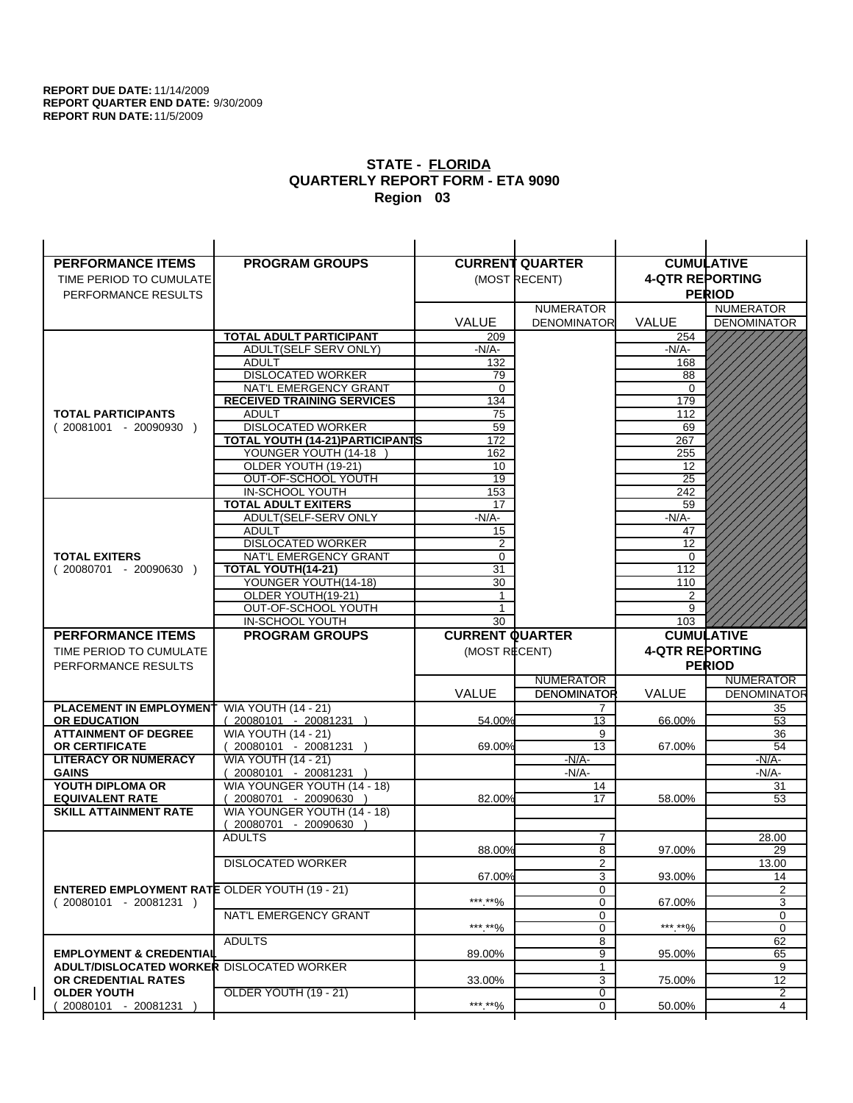$\overline{1}$ 

| <b>PERFORMANCE ITEMS</b>                             | <b>PROGRAM GROUPS</b>                                |                        | <b>CURRENT QUARTER</b> | <b>CUMULATIVE</b>      |                    |
|------------------------------------------------------|------------------------------------------------------|------------------------|------------------------|------------------------|--------------------|
| TIME PERIOD TO CUMULATE                              |                                                      |                        | (MOST RECENT)          | <b>4-QTR REPORTING</b> |                    |
| PERFORMANCE RESULTS                                  |                                                      |                        |                        |                        | <b>PERIOD</b>      |
|                                                      |                                                      |                        | <b>NUMERATOR</b>       |                        | <b>NUMERATOR</b>   |
|                                                      |                                                      | <b>VALUE</b>           | <b>DENOMINATOR</b>     | <b>VALUE</b>           | <b>DENOMINATOR</b> |
|                                                      | <b>TOTAL ADULT PARTICIPANT</b>                       | 209                    |                        | 254                    |                    |
|                                                      | ADULT(SELF SERV ONLY)                                | $-N/A-$                |                        | -N/A-                  |                    |
|                                                      | <b>ADULT</b>                                         | 132                    |                        | 168                    |                    |
|                                                      | <b>DISLOCATED WORKER</b>                             | 79                     |                        | 88                     |                    |
|                                                      | NAT'L EMERGENCY GRANT                                | $\Omega$               |                        | $\Omega$               |                    |
|                                                      | <b>RECEIVED TRAINING SERVICES</b>                    | 134                    |                        | 179                    |                    |
| <b>TOTAL PARTICIPANTS</b>                            | <b>ADULT</b>                                         | 75                     |                        | 112                    |                    |
| $(20081001 - 20090930)$                              | <b>DISLOCATED WORKER</b>                             | 59                     |                        | 69                     |                    |
|                                                      | TOTAL YOUTH (14-21) PARTICIPANTS                     | 172                    |                        | 267                    |                    |
|                                                      | YOUNGER YOUTH (14-18                                 | 162                    |                        | 255                    |                    |
|                                                      | OLDER YOUTH (19-21)<br>OUT-OF-SCHOOL YOUTH           | 10<br>$\overline{19}$  |                        | 12<br>$\overline{25}$  |                    |
|                                                      | IN-SCHOOL YOUTH                                      | 153                    |                        | 242                    |                    |
|                                                      | <b>TOTAL ADULT EXITERS</b>                           | 17                     |                        | 59                     |                    |
|                                                      | ADULT(SELF-SERV ONLY                                 | $-N/A$ -               |                        | $-N/A$ -               |                    |
|                                                      | <b>ADULT</b>                                         | 15                     |                        | 47                     |                    |
|                                                      | <b>DISLOCATED WORKER</b>                             | 2                      |                        | 12                     |                    |
| <b>TOTAL EXITERS</b>                                 | NAT'L EMERGENCY GRANT                                | $\mathbf 0$            |                        | 0                      |                    |
| $(20080701 - 20090630)$                              | <b>TOTAL YOUTH(14-21)</b>                            | 31                     |                        | 112                    |                    |
|                                                      | YOUNGER YOUTH(14-18)                                 | 30                     |                        | 110                    |                    |
|                                                      | OLDER YOUTH(19-21)                                   | $\mathbf{1}$           |                        | 2                      |                    |
|                                                      | OUT-OF-SCHOOL YOUTH                                  | 1                      |                        | 9                      |                    |
|                                                      | IN-SCHOOL YOUTH                                      | 30                     |                        | 103                    |                    |
|                                                      |                                                      |                        |                        |                        |                    |
| <b>PERFORMANCE ITEMS</b>                             | <b>PROGRAM GROUPS</b>                                | <b>CURRENT QUARTER</b> |                        |                        | <b>CUMULATIVE</b>  |
| TIME PERIOD TO CUMULATE                              |                                                      | (MOST RECENT)          |                        | <b>4-QTR REPORTING</b> |                    |
| PERFORMANCE RESULTS                                  |                                                      |                        |                        |                        | <b>PERIOD</b>      |
|                                                      |                                                      |                        | <b>NUMERATOR</b>       |                        | <b>NUMERATOR</b>   |
|                                                      |                                                      | <b>VALUE</b>           | <b>DENOMINATOR</b>     | VALUE                  | <b>DENOMINATOR</b> |
| PLACEMENT IN EMPLOYMENT                              | <b>WIA YOUTH (14 - 21)</b>                           |                        | 7                      |                        | 35                 |
| <b>OR EDUCATION</b>                                  | $(20080101 - 20081231)$                              | 54.00%                 | 13                     | 66.00%                 | 53                 |
| <b>ATTAINMENT OF DEGREE</b>                          | <b>WIA YOUTH (14 - 21)</b>                           |                        | 9                      |                        | 36                 |
| <b>OR CERTIFICATE</b>                                | 20080101 - 20081231 )                                | 69.00%                 | 13                     | 67.00%                 | 54                 |
| <b>LITERACY OR NUMERACY</b>                          | <b>WIA YOUTH (14 - 21)</b>                           |                        | $-N/A-$                |                        | $-N/A$ -           |
| <b>GAINS</b>                                         | 20080101 - 20081231 )                                |                        | $-N/A-$                |                        | $-N/A-$            |
| YOUTH DIPLOMA OR<br><b>EQUIVALENT RATE</b>           | WIA YOUNGER YOUTH (14 - 18)<br>20080701 - 20090630 ) | 82.00%                 | 14<br>17               | 58.00%                 | 31<br>53           |
| <b>SKILL ATTAINMENT RATE</b>                         | WIA YOUNGER YOUTH (14 - 18)                          |                        |                        |                        |                    |
|                                                      | (20080701 - 20090630                                 |                        |                        |                        |                    |
|                                                      | <b>ADULTS</b>                                        |                        | $\overline{7}$         |                        | 28.00              |
|                                                      |                                                      | 88.00%                 | 8                      | 97.00%                 | 29                 |
|                                                      | <b>DISLOCATED WORKER</b>                             |                        | $\overline{2}$         |                        | 13.00              |
|                                                      |                                                      | 67.00%                 | 3                      | 93.00%                 | 14                 |
| <b>ENTERED EMPLOYMENT RATE OLDER YOUTH (19 - 21)</b> |                                                      |                        | 0                      |                        | 2                  |
| $(20080101 - 20081231)$                              |                                                      | ***.**%                | 0                      | 67.00%                 | 3                  |
|                                                      | NAT'L EMERGENCY GRANT                                |                        | 0                      |                        | 0                  |
|                                                      | <b>ADULTS</b>                                        | ***.**%                | 0                      | ***.**%                | $\mathbf 0$        |
| <b>EMPLOYMENT &amp; CREDENTIAL</b>                   |                                                      | 89.00%                 | 8<br>9                 | 95.00%                 | 62<br>65           |
| <b>ADULT/DISLOCATED WORKER DISLOCATED WORKER</b>     |                                                      |                        | $\mathbf{1}$           |                        | 9                  |
| OR CREDENTIAL RATES                                  |                                                      | 33.00%                 | 3                      | 75.00%                 | 12                 |
| <b>OLDER YOUTH</b>                                   | <b>OLDER YOUTH (19 - 21)</b>                         |                        | 0                      |                        | 2                  |
| 20080101 - 20081231                                  |                                                      | ***.**%                | 0                      | 50.00%                 | 4                  |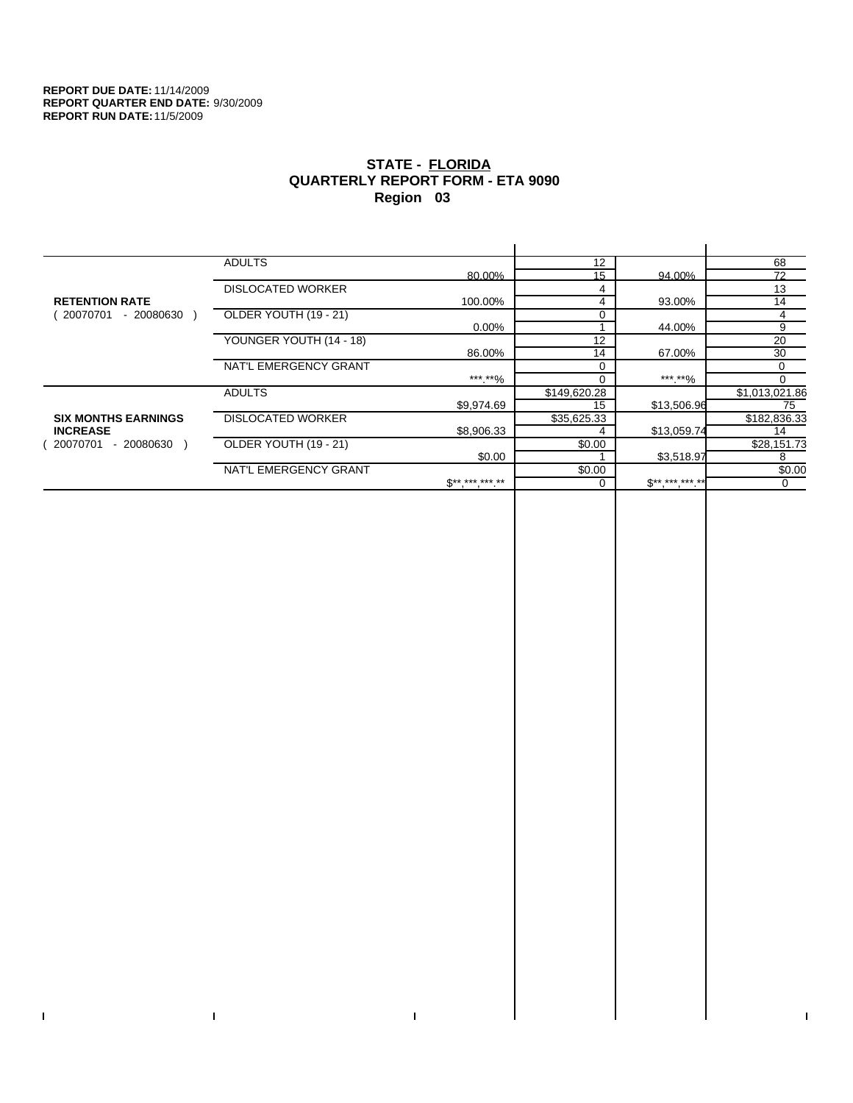$\bar{\mathbf{I}}$ 

 $\mathbf{I}$ 

# **STATE - FLORIDA QUARTERLY REPORT FORM - ETA 9090 Region 03**

|                            | <b>ADULTS</b>            |              | 12           |              | 68             |
|----------------------------|--------------------------|--------------|--------------|--------------|----------------|
|                            |                          | 80.00%       | 15           | 94.00%       | 72             |
|                            | <b>DISLOCATED WORKER</b> |              | 4            |              | 13             |
| <b>RETENTION RATE</b>      |                          | 100.00%      | 4            | 93.00%       | 14             |
| 20070701<br>$-20080630$    | OLDER YOUTH (19 - 21)    |              |              |              | 4              |
|                            |                          | $0.00\%$     |              | 44.00%       | 9              |
|                            | YOUNGER YOUTH (14 - 18)  |              | 12           |              | 20             |
|                            |                          | 86.00%       | 14           | 67.00%       | 30             |
|                            | NAT'L EMERGENCY GRANT    |              | $\Omega$     |              | 0              |
|                            |                          | ***.**%      |              | *** **%      | $\Omega$       |
|                            | <b>ADULTS</b>            |              | \$149,620.28 |              | \$1,013,021.86 |
|                            |                          | \$9,974.69   | 15           | \$13,506.96  | 75             |
| <b>SIX MONTHS EARNINGS</b> | <b>DISLOCATED WORKER</b> |              | \$35,625.33  |              | \$182,836.33   |
| <b>INCREASE</b>            |                          | \$8,906.33   |              | \$13,059.74  | 14             |
| 20070701<br>- 20080630     | OLDER YOUTH (19 - 21)    |              | \$0.00       |              | \$28,151.73    |
|                            |                          | \$0.00       |              | \$3,518.97   | 8              |
|                            | NAT'L EMERGENCY GRANT    |              | \$0.00       |              | \$0.00         |
|                            |                          | $$*********$ |              | $S*********$ | $\Omega$       |
|                            |                          |              |              |              |                |

 $\bar{\Gamma}$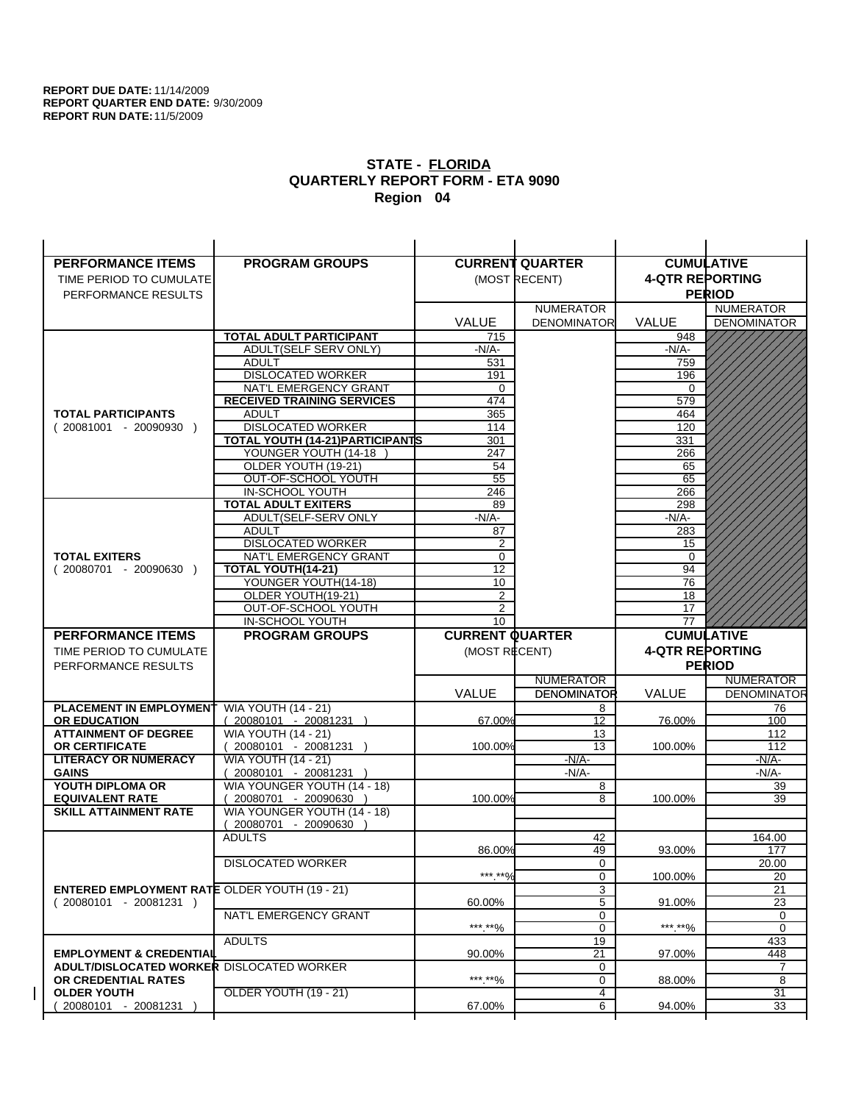| <b>PERFORMANCE ITEMS</b>                                                        | <b>PROGRAM GROUPS</b>                                    |                        | <b>CURRENT QUARTER</b> |                        | <b>CUMULATIVE</b>     |
|---------------------------------------------------------------------------------|----------------------------------------------------------|------------------------|------------------------|------------------------|-----------------------|
| TIME PERIOD TO CUMULATE                                                         |                                                          |                        | (MOST RECENT)          | <b>4-QTR REPORTING</b> |                       |
| PERFORMANCE RESULTS                                                             |                                                          |                        |                        |                        | <b>PERIOD</b>         |
|                                                                                 |                                                          |                        | <b>NUMERATOR</b>       |                        | <b>NUMERATOR</b>      |
|                                                                                 |                                                          | <b>VALUE</b>           | <b>DENOMINATOR</b>     | <b>VALUE</b>           | <b>DENOMINATOR</b>    |
|                                                                                 | <b>TOTAL ADULT PARTICIPANT</b>                           | 715                    |                        | 948                    |                       |
|                                                                                 | ADULT(SELF SERV ONLY)                                    | $-N/A-$                |                        | -N/A-                  |                       |
|                                                                                 | <b>ADULT</b>                                             | 531                    |                        | 759                    |                       |
|                                                                                 | <b>DISLOCATED WORKER</b>                                 | 191                    |                        | 196                    |                       |
|                                                                                 | NAT'L EMERGENCY GRANT                                    | $\Omega$               |                        | $\Omega$               |                       |
|                                                                                 | <b>RECEIVED TRAINING SERVICES</b>                        | 474                    |                        | 579                    |                       |
| <b>TOTAL PARTICIPANTS</b>                                                       | <b>ADULT</b>                                             | 365                    |                        | 464                    |                       |
| $(20081001 - 20090930)$                                                         | <b>DISLOCATED WORKER</b>                                 | 114                    |                        | 120                    |                       |
|                                                                                 | TOTAL YOUTH (14-21) PARTICIPANTS<br>YOUNGER YOUTH (14-18 | 301                    |                        | 331                    |                       |
|                                                                                 | OLDER YOUTH (19-21)                                      | 247<br>54              |                        | 266<br>65              |                       |
|                                                                                 | OUT-OF-SCHOOL YOUTH                                      | $\overline{55}$        |                        | 65                     |                       |
|                                                                                 | IN-SCHOOL YOUTH                                          | 246                    |                        | 266                    |                       |
|                                                                                 | <b>TOTAL ADULT EXITERS</b>                               | 89                     |                        | 298                    |                       |
|                                                                                 | ADULT(SELF-SERV ONLY                                     | $-N/A$ -               |                        | $-N/A$ -               |                       |
|                                                                                 | <b>ADULT</b>                                             | 87                     |                        | 283                    |                       |
|                                                                                 | <b>DISLOCATED WORKER</b>                                 | 2                      |                        | 15                     |                       |
| <b>TOTAL EXITERS</b>                                                            | NAT'L EMERGENCY GRANT                                    | $\mathbf 0$            |                        | 0                      |                       |
| $(20080701 - 20090630)$                                                         | TOTAL YOUTH(14-21)                                       | 12                     |                        | 94                     |                       |
|                                                                                 | YOUNGER YOUTH(14-18)                                     | 10                     |                        | 76                     |                       |
|                                                                                 | OLDER YOUTH(19-21)                                       | $\overline{2}$         |                        | 18                     |                       |
|                                                                                 | OUT-OF-SCHOOL YOUTH<br>IN-SCHOOL YOUTH                   | $\overline{2}$<br>10   |                        | 17<br>77               |                       |
|                                                                                 |                                                          |                        |                        |                        |                       |
|                                                                                 |                                                          |                        |                        |                        |                       |
| <b>PERFORMANCE ITEMS</b>                                                        | <b>PROGRAM GROUPS</b>                                    | <b>CURRENT QUARTER</b> |                        |                        | <b>CUMULATIVE</b>     |
| TIME PERIOD TO CUMULATE                                                         |                                                          | (MOST RECENT)          |                        | <b>4-QTR REPORTING</b> |                       |
| PERFORMANCE RESULTS                                                             |                                                          |                        |                        |                        | <b>PERIOD</b>         |
|                                                                                 |                                                          |                        | <b>NUMERATOR</b>       |                        | <b>NUMERATOR</b>      |
|                                                                                 |                                                          | <b>VALUE</b>           | <b>DENOMINATOR</b>     | VALUE                  | <b>DENOMINATOR</b>    |
| PLACEMENT IN EMPLOYMENT                                                         | <b>WIA YOUTH (14 - 21)</b>                               |                        | 8                      |                        | 76                    |
| <b>OR EDUCATION</b>                                                             | $(20080101 - 20081231)$                                  | 67.00%                 | 12                     | 76.00%                 | 100                   |
| <b>ATTAINMENT OF DEGREE</b>                                                     | <b>WIA YOUTH (14 - 21)</b>                               |                        | 13<br>13               |                        | 112                   |
| <b>OR CERTIFICATE</b><br><b>LITERACY OR NUMERACY</b>                            | 20080101 - 20081231 )<br><b>WIA YOUTH (14 - 21)</b>      | 100.00%                | $-N/A-$                | 100.00%                | 112<br>-N/A-          |
| <b>GAINS</b>                                                                    | 20080101 - 20081231 )                                    |                        | $-N/A-$                |                        | $-N/A-$               |
| YOUTH DIPLOMA OR                                                                | WIA YOUNGER YOUTH (14 - 18)                              |                        | 8                      |                        | 39                    |
| <b>EQUIVALENT RATE</b>                                                          | 20080701 - 20090630 )                                    | 100.00%                | 8                      | 100.00%                | 39                    |
| <b>SKILL ATTAINMENT RATE</b>                                                    | WIA YOUNGER YOUTH (14 - 18)                              |                        |                        |                        |                       |
|                                                                                 | (20080701 - 20090630                                     |                        |                        |                        |                       |
|                                                                                 | <b>ADULTS</b>                                            |                        | 42                     |                        | 164.00                |
|                                                                                 |                                                          | 86.00%                 | 49                     | 93.00%                 | 177                   |
|                                                                                 | <b>DISLOCATED WORKER</b>                                 |                        | $\mathbf 0$            |                        | 20.00                 |
|                                                                                 |                                                          | ***.**%                | $\mathbf 0$            | 100.00%                | 20                    |
| <b>ENTERED EMPLOYMENT RATE OLDER YOUTH (19 - 21)</b><br>$(20080101 - 20081231)$ |                                                          | 60.00%                 | 3<br>5                 | 91.00%                 | 21                    |
|                                                                                 | NAT'L EMERGENCY GRANT                                    |                        | 0                      |                        | 23<br>0               |
|                                                                                 |                                                          | ***.**%                | 0                      | ***.**%                | $\mathbf 0$           |
|                                                                                 | <b>ADULTS</b>                                            |                        | 19                     |                        | 433                   |
| <b>EMPLOYMENT &amp; CREDENTIAL</b>                                              |                                                          | 90.00%                 | 21                     | 97.00%                 | 448                   |
| <b>ADULT/DISLOCATED WORKER DISLOCATED WORKER</b>                                |                                                          |                        | 0                      |                        | 7                     |
| OR CREDENTIAL RATES                                                             |                                                          | ***.**%                | $\mathbf 0$            | 88.00%                 | 8                     |
| <b>OLDER YOUTH</b><br>20080101 - 20081231                                       | <b>OLDER YOUTH (19 - 21)</b>                             | 67.00%                 | 4<br>6                 | 94.00%                 | $\overline{31}$<br>33 |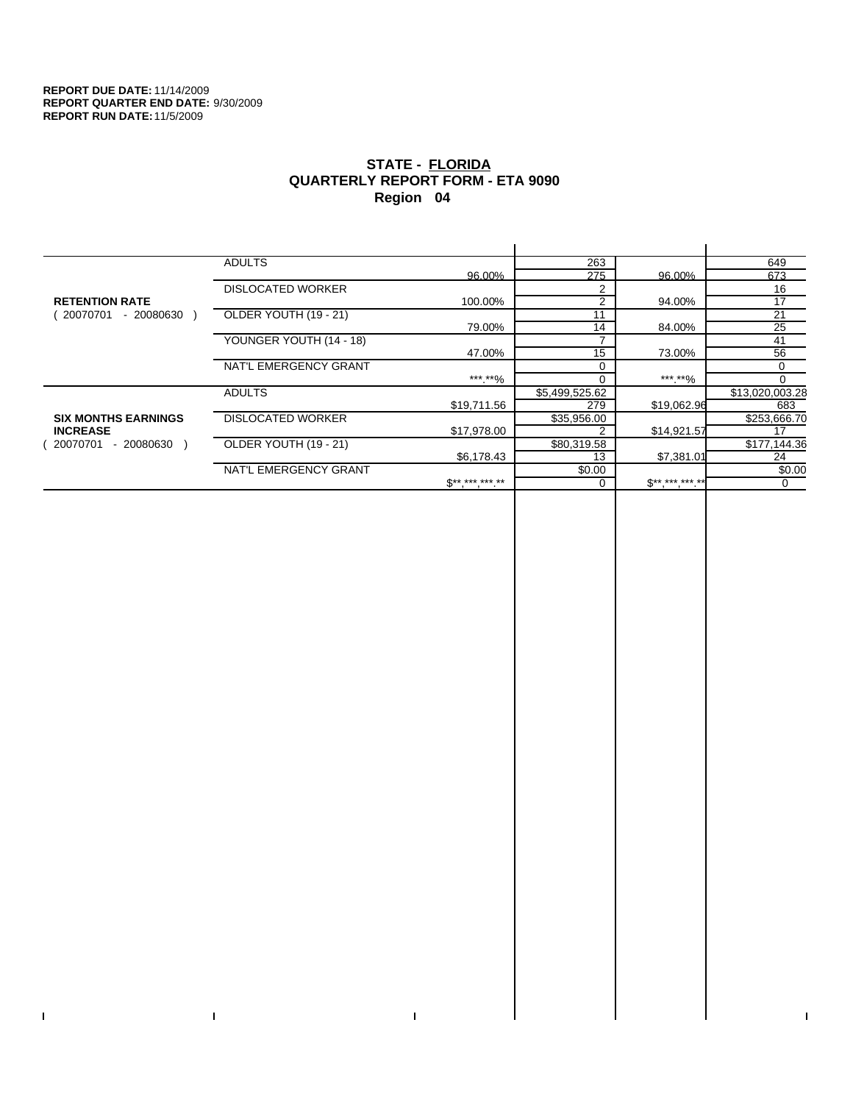$\bar{\mathbf{I}}$ 

 $\Gamma$ 

# **STATE - FLORIDA QUARTERLY REPORT FORM - ETA 9090 Region 04**

|                            | <b>ADULTS</b>            |                     | 263            |              | 649             |
|----------------------------|--------------------------|---------------------|----------------|--------------|-----------------|
|                            |                          | 96.00%              | 275            | 96.00%       | 673             |
|                            | <b>DISLOCATED WORKER</b> |                     | 2              |              | 16              |
| <b>RETENTION RATE</b>      |                          | 100.00%             | 2              | 94.00%       | 17              |
| - 20080630<br>20070701     | OLDER YOUTH (19 - 21)    |                     | 11             |              | 21              |
|                            |                          | 79.00%              | 14             | 84.00%       | 25              |
|                            | YOUNGER YOUTH (14 - 18)  |                     |                |              | 41              |
|                            |                          | 47.00%              | 15             | 73.00%       | 56              |
|                            | NAT'L EMERGENCY GRANT    |                     | $\Omega$       |              | 0               |
|                            |                          | ***.**%             |                | ***.**%      | $\Omega$        |
|                            | <b>ADULTS</b>            |                     | \$5,499,525.62 |              | \$13,020,003.28 |
|                            |                          | \$19,711.56         | 279            | \$19,062.96  | 683             |
| <b>SIX MONTHS EARNINGS</b> | <b>DISLOCATED WORKER</b> |                     | \$35,956.00    |              | \$253,666.70    |
| <b>INCREASE</b>            |                          | \$17,978.00         |                | \$14,921.57  | 17              |
| - 20080630<br>20070701     | OLDER YOUTH (19 - 21)    |                     | \$80,319.58    |              | \$177,144.36    |
|                            |                          | \$6,178.43          | 13             | \$7,381.01   | 24              |
|                            | NAT'L EMERGENCY GRANT    |                     | \$0.00         |              | \$0.00          |
|                            |                          | $S^{**}$ *** *** ** |                | $$*********$ | 0               |
|                            |                          |                     |                |              |                 |

 $\bar{\Gamma}$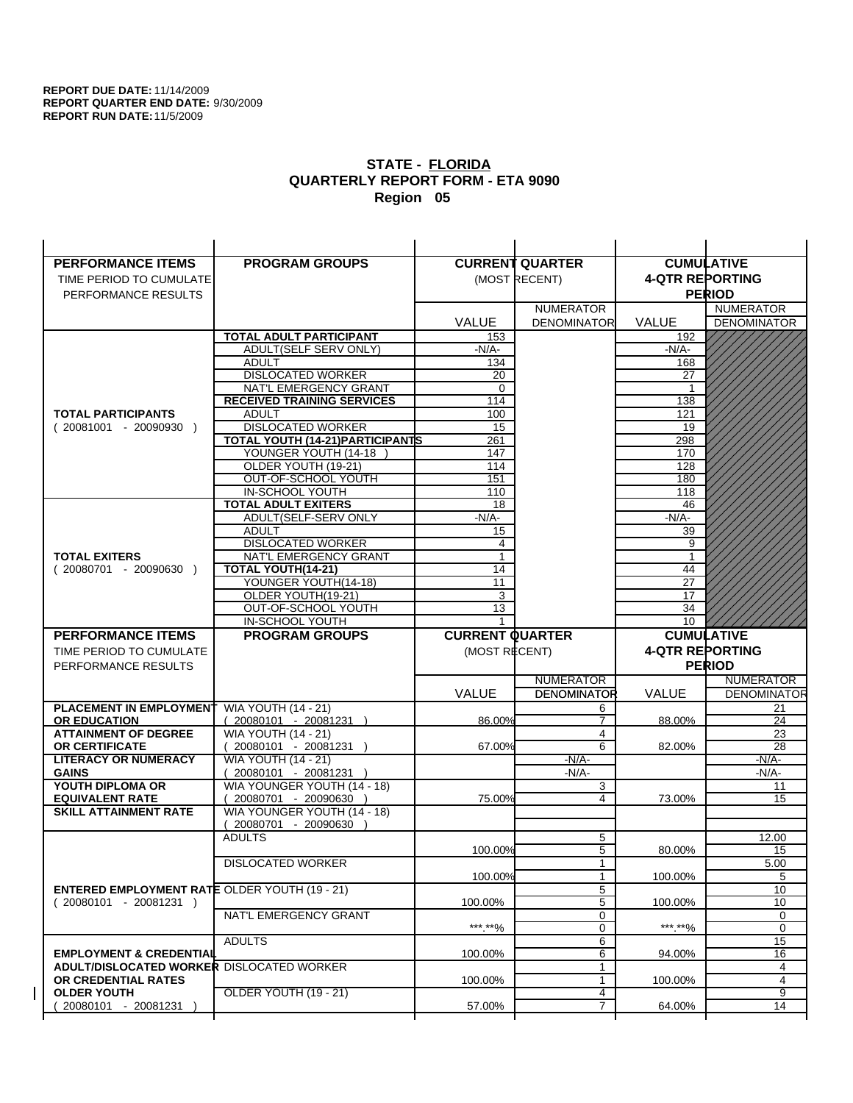| <b>PERFORMANCE ITEMS</b>                                                | <b>PROGRAM GROUPS</b>                                |                        | <b>CURRENT QUARTER</b> | <b>CUMULATIVE</b>      |                    |
|-------------------------------------------------------------------------|------------------------------------------------------|------------------------|------------------------|------------------------|--------------------|
| TIME PERIOD TO CUMULATE                                                 |                                                      |                        | (MOST RECENT)          | <b>4-QTR REPORTING</b> |                    |
| PERFORMANCE RESULTS                                                     |                                                      |                        |                        |                        | <b>PERIOD</b>      |
|                                                                         |                                                      |                        | <b>NUMERATOR</b>       |                        | <b>NUMERATOR</b>   |
|                                                                         |                                                      | <b>VALUE</b>           | <b>DENOMINATOR</b>     | <b>VALUE</b>           | <b>DENOMINATOR</b> |
|                                                                         | <b>TOTAL ADULT PARTICIPANT</b>                       | 153                    |                        | 192                    |                    |
|                                                                         | ADULT(SELF SERV ONLY)                                | $-N/A-$                |                        | $-N/A-$                |                    |
|                                                                         | <b>ADULT</b>                                         | 134                    |                        | 168                    |                    |
|                                                                         | <b>DISLOCATED WORKER</b>                             | 20                     |                        | 27                     |                    |
|                                                                         | NAT'L EMERGENCY GRANT                                | $\Omega$               |                        | $\mathbf 1$            |                    |
|                                                                         | <b>RECEIVED TRAINING SERVICES</b>                    | 114                    |                        | 138                    |                    |
| <b>TOTAL PARTICIPANTS</b>                                               | <b>ADULT</b>                                         | 100                    |                        | 121                    |                    |
| $(20081001 - 20090930)$                                                 | <b>DISLOCATED WORKER</b>                             | 15                     |                        | 19                     |                    |
|                                                                         | TOTAL YOUTH (14-21) PARTICIPANTS                     | 261                    |                        | 298                    |                    |
|                                                                         | YOUNGER YOUTH (14-18                                 | 147                    |                        | 170                    |                    |
|                                                                         | OLDER YOUTH (19-21)<br>OUT-OF-SCHOOL YOUTH           | 114<br>151             |                        | 128<br>180             |                    |
|                                                                         | IN-SCHOOL YOUTH                                      | 110                    |                        | 118                    |                    |
|                                                                         | <b>TOTAL ADULT EXITERS</b>                           | 18                     |                        | 46                     |                    |
|                                                                         | ADULT(SELF-SERV ONLY                                 | $-N/A$ -               |                        | $-N/A-$                |                    |
|                                                                         | <b>ADULT</b>                                         | 15                     |                        | 39                     |                    |
|                                                                         | <b>DISLOCATED WORKER</b>                             | 4                      |                        | 9                      |                    |
| <b>TOTAL EXITERS</b>                                                    | NAT'L EMERGENCY GRANT                                | $\mathbf{1}$           |                        | 1                      |                    |
| $(20080701 - 20090630)$                                                 | TOTAL YOUTH(14-21)                                   | 14                     |                        | 44                     |                    |
|                                                                         | YOUNGER YOUTH(14-18)                                 | 11                     |                        | 27                     |                    |
|                                                                         | OLDER YOUTH(19-21)                                   | 3                      |                        | 17                     |                    |
|                                                                         | OUT-OF-SCHOOL YOUTH                                  | 13                     |                        | 34                     |                    |
|                                                                         | IN-SCHOOL YOUTH                                      | 1                      |                        | 10                     |                    |
|                                                                         |                                                      |                        |                        |                        |                    |
| <b>PERFORMANCE ITEMS</b>                                                | <b>PROGRAM GROUPS</b>                                | <b>CURRENT QUARTER</b> |                        |                        | <b>CUMULATIVE</b>  |
| TIME PERIOD TO CUMULATE                                                 |                                                      | (MOST RECENT)          |                        | <b>4-QTR REPORTING</b> |                    |
| PERFORMANCE RESULTS                                                     |                                                      |                        |                        |                        | <b>PERIOD</b>      |
|                                                                         |                                                      |                        | <b>NUMERATOR</b>       |                        | <b>NUMERATOR</b>   |
|                                                                         |                                                      | <b>VALUE</b>           | <b>DENOMINATOR</b>     | VALUE                  | <b>DENOMINATOR</b> |
| PLACEMENT IN EMPLOYMENT                                                 | <b>WIA YOUTH (14 - 21)</b>                           |                        | 6                      |                        | 21                 |
| <b>OR EDUCATION</b>                                                     | $(20080101 - 20081231)$                              | 86.00%                 | $\overline{7}$         | 88.00%                 | 24                 |
| <b>ATTAINMENT OF DEGREE</b>                                             | <b>WIA YOUTH (14 - 21)</b>                           |                        | 4                      |                        | 23                 |
| <b>OR CERTIFICATE</b>                                                   | 20080101 - 20081231 )                                | 67.00%                 | 6                      | 82.00%                 | 28                 |
| <b>LITERACY OR NUMERACY</b>                                             | <b>WIA YOUTH (14 - 21)</b>                           |                        | $-N/A-$                |                        | $-N/A$ -           |
| <b>GAINS</b>                                                            | 20080101 - 20081231 )                                |                        | $-N/A-$                |                        | $-N/A-$            |
| YOUTH DIPLOMA OR                                                        | WIA YOUNGER YOUTH (14 - 18)                          |                        | 3<br>4                 |                        | 11                 |
| <b>EQUIVALENT RATE</b><br><b>SKILL ATTAINMENT RATE</b>                  | 20080701 - 20090630 )<br>WIA YOUNGER YOUTH (14 - 18) | 75.00%                 |                        | 73.00%                 | 15                 |
|                                                                         | (20080701 - 20090630                                 |                        |                        |                        |                    |
|                                                                         | <b>ADULTS</b>                                        |                        | 5                      |                        | 12.00              |
|                                                                         |                                                      | 100.00%                | 5                      | 80.00%                 | 15                 |
|                                                                         | <b>DISLOCATED WORKER</b>                             |                        | $\mathbf{1}$           |                        | 5.00               |
|                                                                         |                                                      | 100.00%                | $\mathbf{1}$           | 100.00%                | 5                  |
| <b>ENTERED EMPLOYMENT RATE OLDER YOUTH (19 - 21)</b>                    |                                                      |                        | 5                      |                        | 10                 |
| $(20080101 - 20081231)$                                                 |                                                      | 100.00%                | 5                      | 100.00%                | 10                 |
|                                                                         | NAT'L EMERGENCY GRANT                                |                        | 0                      |                        | 0                  |
|                                                                         |                                                      | ***.**%                | 0                      | ***.**%                | $\mathbf 0$        |
|                                                                         | <b>ADULTS</b>                                        |                        | 6                      |                        | 15                 |
| <b>EMPLOYMENT &amp; CREDENTIAL</b>                                      |                                                      | 100.00%                | 6<br>$\mathbf{1}$      | 94.00%                 | 16                 |
| <b>ADULT/DISLOCATED WORKER DISLOCATED WORKER</b><br>OR CREDENTIAL RATES |                                                      | 100.00%                | $\mathbf{1}$           | 100.00%                | 4<br>4             |
| <b>OLDER YOUTH</b>                                                      | <b>OLDER YOUTH (19 - 21)</b>                         |                        | 4                      |                        | 9                  |
| 20080101 - 20081231                                                     |                                                      | 57.00%                 | $\overline{7}$         | 64.00%                 | 14                 |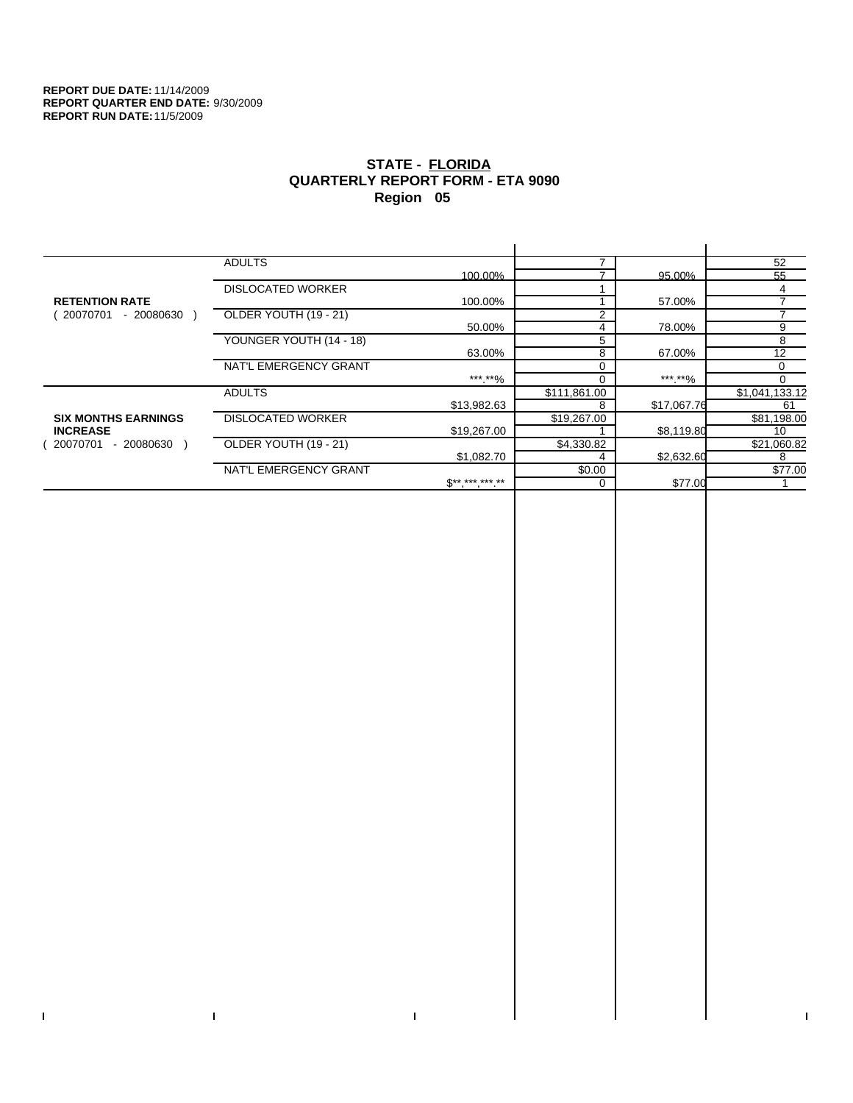$\bar{\mathbf{I}}$ 

 $\Gamma$ 

# **STATE - FLORIDA QUARTERLY REPORT FORM - ETA 9090 Region 05**

|                            | <b>ADULTS</b>            |                 |              |             | 52             |
|----------------------------|--------------------------|-----------------|--------------|-------------|----------------|
|                            |                          | 100.00%         |              | 95.00%      | 55             |
|                            | <b>DISLOCATED WORKER</b> |                 |              |             |                |
| <b>RETENTION RATE</b>      |                          | 100.00%         |              | 57.00%      |                |
| 20070701<br>- 20080630     | OLDER YOUTH (19 - 21)    |                 |              |             |                |
|                            |                          | 50.00%          | 4            | 78.00%      | 9              |
|                            | YOUNGER YOUTH (14 - 18)  |                 | 5            |             | 8              |
|                            |                          | 63.00%          | 8            | 67.00%      | 12             |
|                            | NAT'L EMERGENCY GRANT    |                 |              |             | $\Omega$       |
|                            |                          | ***.**%         |              | ***.**%     | $\Omega$       |
|                            | <b>ADULTS</b>            |                 | \$111,861.00 |             | \$1,041,133.12 |
|                            |                          | \$13,982.63     | 8            | \$17,067.76 | 61             |
| <b>SIX MONTHS EARNINGS</b> | <b>DISLOCATED WORKER</b> |                 | \$19,267.00  |             | \$81,198.00    |
| <b>INCREASE</b>            |                          | \$19,267.00     |              | \$8,119.80  | 10             |
| 20070701<br>- 20080630     | OLDER YOUTH (19 - 21)    |                 | \$4,330.82   |             | \$21,060.82    |
|                            |                          | \$1,082.70      |              | \$2,632.60  | 8              |
|                            | NAT'L EMERGENCY GRANT    |                 | \$0.00       |             | \$77.00        |
|                            |                          | $S^{*********}$ | $\Omega$     | \$77.00     |                |
|                            |                          |                 |              |             |                |

 $\bar{\Gamma}$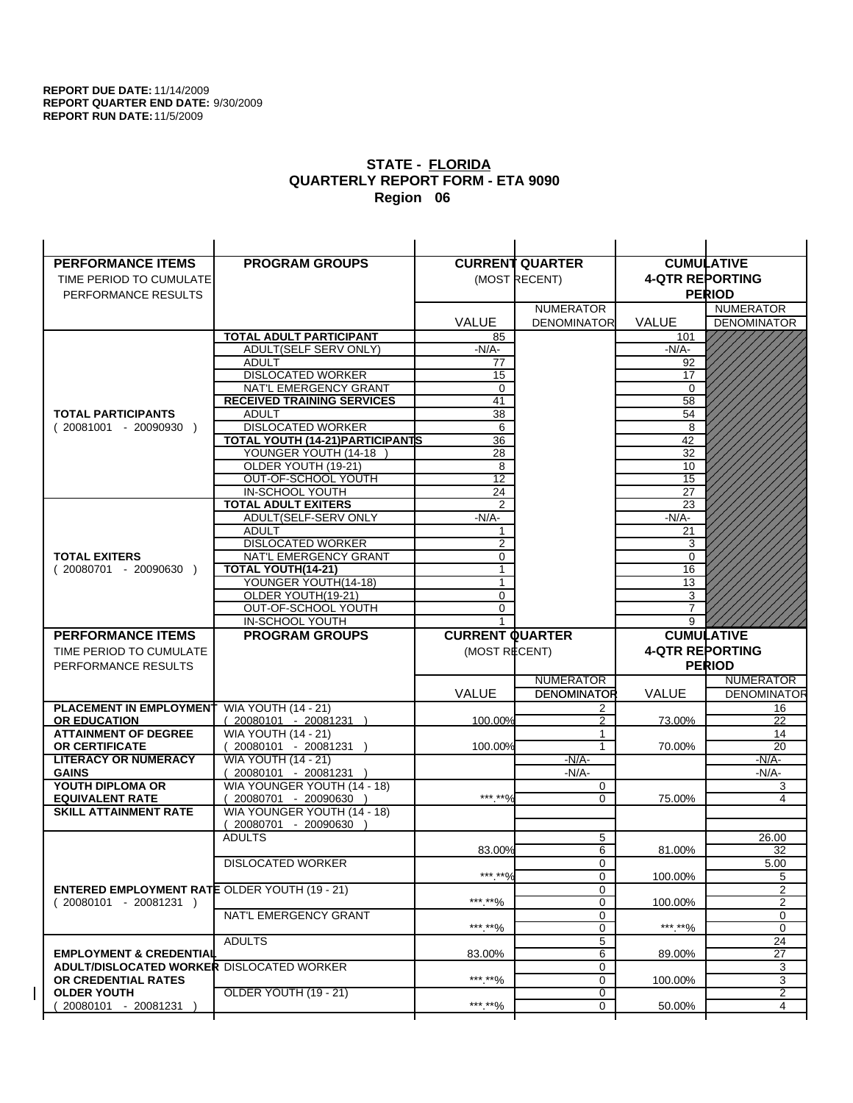| <b>PERFORMANCE ITEMS</b>                             | <b>PROGRAM GROUPS</b>                                |                        | <b>CURRENT QUARTER</b> |                        | <b>CUMULATIVE</b>        |
|------------------------------------------------------|------------------------------------------------------|------------------------|------------------------|------------------------|--------------------------|
| TIME PERIOD TO CUMULATE                              |                                                      |                        | (MOST RECENT)          | <b>4-QTR REPORTING</b> |                          |
| PERFORMANCE RESULTS                                  |                                                      |                        |                        |                        | <b>PERIOD</b>            |
|                                                      |                                                      |                        | <b>NUMERATOR</b>       |                        | <b>NUMERATOR</b>         |
|                                                      |                                                      | <b>VALUE</b>           | <b>DENOMINATOR</b>     | <b>VALUE</b>           | <b>DENOMINATOR</b>       |
|                                                      | <b>TOTAL ADULT PARTICIPANT</b>                       | 85                     |                        | 101                    |                          |
|                                                      | ADULT(SELF SERV ONLY)                                | $-N/A-$                |                        | $-N/A-$                |                          |
|                                                      | <b>ADULT</b>                                         | 77                     |                        | 92                     |                          |
|                                                      | <b>DISLOCATED WORKER</b>                             | 15                     |                        | 17                     |                          |
|                                                      | NAT'L EMERGENCY GRANT                                | $\Omega$               |                        | $\Omega$               |                          |
|                                                      | <b>RECEIVED TRAINING SERVICES</b>                    | 41                     |                        | 58                     |                          |
| <b>TOTAL PARTICIPANTS</b>                            | <b>ADULT</b>                                         | 38                     |                        | 54                     |                          |
| $(20081001 - 20090930)$                              | <b>DISLOCATED WORKER</b>                             | 6                      |                        | 8                      |                          |
|                                                      | TOTAL YOUTH (14-21) PARTICIPANTS                     | 36                     |                        | 42                     |                          |
|                                                      | YOUNGER YOUTH (14-18                                 | 28                     |                        | 32                     |                          |
|                                                      | OLDER YOUTH (19-21)<br>OUT-OF-SCHOOL YOUTH           | 8<br>$\overline{12}$   |                        | 10<br>$\overline{15}$  |                          |
|                                                      | IN-SCHOOL YOUTH                                      | 24                     |                        | 27                     |                          |
|                                                      | <b>TOTAL ADULT EXITERS</b>                           | $\overline{2}$         |                        | 23                     |                          |
|                                                      | ADULT(SELF-SERV ONLY                                 | $-N/A-$                |                        | $-N/A$ -               |                          |
|                                                      | <b>ADULT</b>                                         |                        |                        | 21                     |                          |
|                                                      | <b>DISLOCATED WORKER</b>                             | 2                      |                        | 3                      |                          |
| <b>TOTAL EXITERS</b>                                 | NAT'L EMERGENCY GRANT                                | 0                      |                        | 0                      |                          |
| $(20080701 - 20090630)$                              | TOTAL YOUTH(14-21)                                   | 1                      |                        | 16                     |                          |
|                                                      | YOUNGER YOUTH(14-18)                                 | $\mathbf{1}$           |                        | 13                     |                          |
|                                                      | OLDER YOUTH(19-21)                                   | 0                      |                        | 3                      |                          |
|                                                      | OUT-OF-SCHOOL YOUTH                                  | 0                      |                        | 7                      |                          |
|                                                      | IN-SCHOOL YOUTH                                      |                        |                        | 9                      |                          |
|                                                      |                                                      |                        |                        |                        |                          |
| <b>PERFORMANCE ITEMS</b>                             | <b>PROGRAM GROUPS</b>                                | <b>CURRENT QUARTER</b> |                        |                        | <b>CUMULATIVE</b>        |
| TIME PERIOD TO CUMULATE                              |                                                      | (MOST RECENT)          |                        | <b>4-QTR REPORTING</b> |                          |
| PERFORMANCE RESULTS                                  |                                                      |                        |                        |                        | <b>PERIOD</b>            |
|                                                      |                                                      |                        | <b>NUMERATOR</b>       |                        | <b>NUMERATOR</b>         |
|                                                      |                                                      | <b>VALUE</b>           | <b>DENOMINATOR</b>     | VALUE                  |                          |
| PLACEMENT IN EMPLOYMENT                              | <b>WIA YOUTH (14 - 21)</b>                           |                        | 2                      |                        | 16                       |
| <b>OR EDUCATION</b>                                  | $(20080101 - 20081231)$                              | 100.00%                | $\mathfrak{p}$         | 73.00%                 | 22                       |
| <b>ATTAINMENT OF DEGREE</b>                          | <b>WIA YOUTH (14 - 21)</b>                           |                        | 1                      |                        | 14                       |
| <b>OR CERTIFICATE</b>                                | 20080101 - 20081231 )                                | 100.00%                | 1                      | 70.00%                 | 20                       |
| <b>LITERACY OR NUMERACY</b>                          | <b>WIA YOUTH (14 - 21)</b>                           |                        | $-N/A$ -               |                        | $-N/A$ -                 |
| <b>GAINS</b>                                         | 20080101 - 20081231 )                                |                        | $-N/A-$                |                        | -N/A-                    |
| YOUTH DIPLOMA OR<br><b>EQUIVALENT RATE</b>           | WIA YOUNGER YOUTH (14 - 18)<br>20080701 - 20090630 ) | *** **%                | 0<br>$\Omega$          | 75.00%                 | 3<br>4                   |
| <b>SKILL ATTAINMENT RATE</b>                         | WIA YOUNGER YOUTH (14 - 18)                          |                        |                        |                        |                          |
|                                                      | (20080701 - 20090630                                 |                        |                        |                        |                          |
|                                                      | <b>ADULTS</b>                                        |                        | 5                      |                        | 26.00                    |
|                                                      |                                                      | 83.00%                 | 6                      | 81.00%                 | <b>DENOMINATOR</b><br>32 |
|                                                      | <b>DISLOCATED WORKER</b>                             |                        | $\mathbf 0$            |                        | 5.00                     |
|                                                      |                                                      | *** **%                | $\mathbf 0$            | 100.00%                | 5                        |
| <b>ENTERED EMPLOYMENT RATE OLDER YOUTH (19 - 21)</b> |                                                      |                        | 0                      |                        | 2                        |
| $(20080101 - 20081231)$                              |                                                      | ***.**%                | 0                      | 100.00%                | $\overline{2}$           |
|                                                      | NAT'L EMERGENCY GRANT                                |                        | 0                      |                        | 0                        |
|                                                      | <b>ADULTS</b>                                        | ***.**%                | 0                      | ***.**%                | 0                        |
| <b>EMPLOYMENT &amp; CREDENTIAL</b>                   |                                                      | 83.00%                 | 5<br>6                 | 89.00%                 | 24<br>27                 |
| <b>ADULT/DISLOCATED WORKER DISLOCATED WORKER</b>     |                                                      |                        | 0                      |                        | 3                        |
| OR CREDENTIAL RATES                                  |                                                      | ***.**%                | 0                      | 100.00%                | 3                        |
| <b>OLDER YOUTH</b>                                   | OLDER YOUTH (19 - 21)                                |                        | 0                      |                        | 2                        |
| 20080101 - 20081231                                  |                                                      | ***.**%                | 0                      | 50.00%                 | 4                        |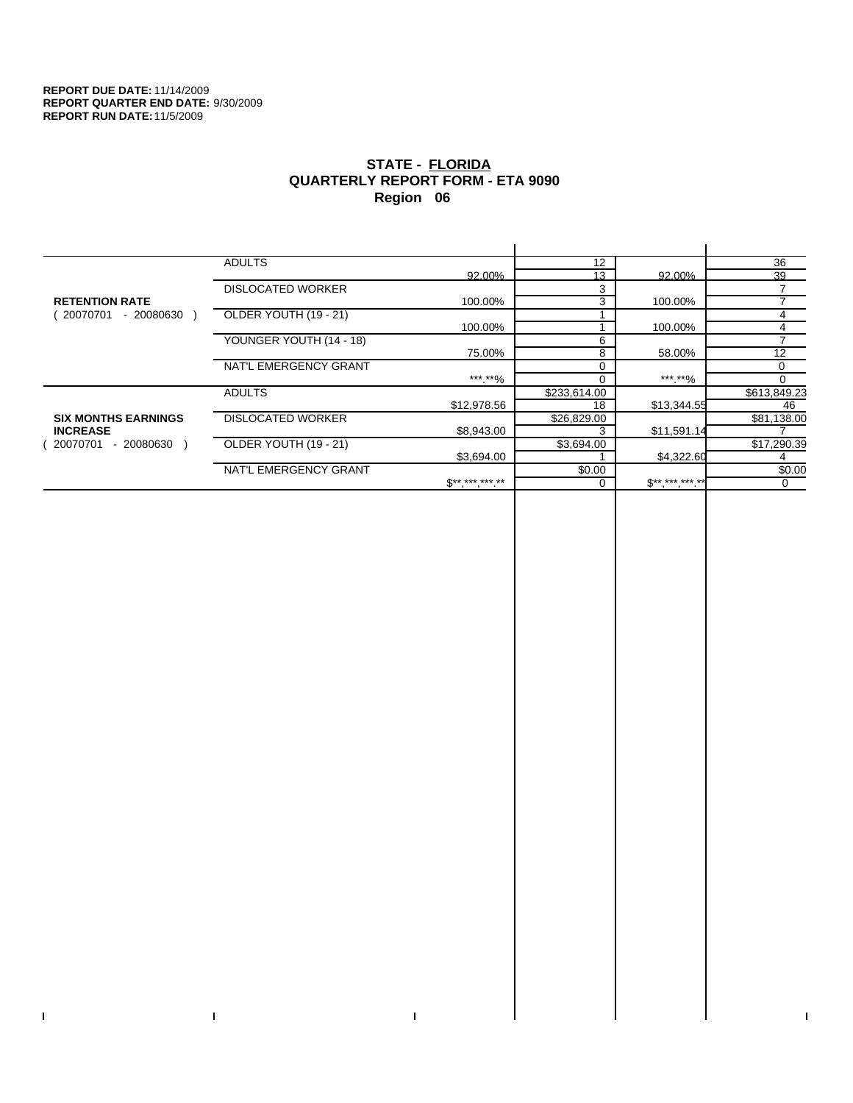$\mathbf I$ 

 $\Gamma$ 

# **STATE - FLORIDA QUARTERLY REPORT FORM - ETA 9090 Region 06**

|                            | <b>ADULTS</b>            |                     | 12           |             | 36             |
|----------------------------|--------------------------|---------------------|--------------|-------------|----------------|
|                            |                          | 92.00%              | 13           | 92.00%      | 39             |
|                            | <b>DISLOCATED WORKER</b> |                     | 3            |             |                |
| <b>RETENTION RATE</b>      |                          | 100.00%             | 3            | 100.00%     |                |
| 20070701<br>- 20080630     | OLDER YOUTH (19 - 21)    |                     |              |             |                |
|                            |                          | 100.00%             |              | 100.00%     | 4              |
|                            | YOUNGER YOUTH (14 - 18)  |                     | 6            |             | $\overline{ }$ |
|                            |                          | 75.00%              | 8            | 58.00%      | 12             |
|                            | NAT'L EMERGENCY GRANT    |                     | 0            |             | 0              |
|                            |                          | *** **%             | 0            | *** **%     | 0              |
|                            | <b>ADULTS</b>            |                     | \$233,614.00 |             | \$613,849.23   |
|                            |                          | \$12,978.56         | 18           | \$13,344.55 | 46             |
| <b>SIX MONTHS EARNINGS</b> | <b>DISLOCATED WORKER</b> |                     | \$26,829.00  |             | \$81,138.00    |
| <b>INCREASE</b>            |                          | \$8,943.00          | 3            | \$11,591.14 |                |
| $-20080630$<br>20070701    | OLDER YOUTH (19 - 21)    |                     | \$3,694.00   |             | \$17,290.39    |
|                            |                          | \$3,694.00          |              | \$4,322.60  |                |
|                            | NAT'L EMERGENCY GRANT    |                     | \$0.00       |             | \$0.00         |
|                            |                          | $S^{**}$ *** *** ** | 0            | $S********$ | 0              |
|                            |                          |                     |              |             |                |

 $\bar{\Gamma}$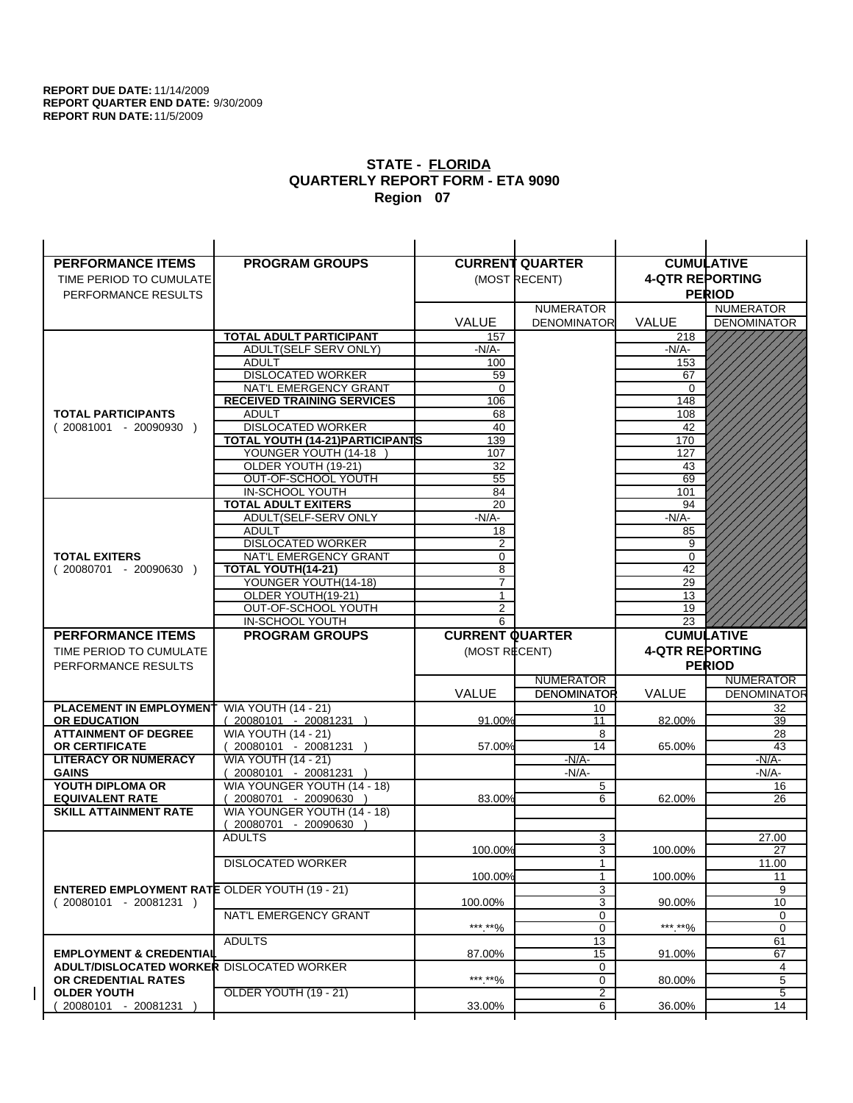| <b>PERFORMANCE ITEMS</b>                             | <b>PROGRAM GROUPS</b>                   |                        | <b>CURRENT QUARTER</b> |                        | <b>CUMULATIVE</b>        |
|------------------------------------------------------|-----------------------------------------|------------------------|------------------------|------------------------|--------------------------|
| TIME PERIOD TO CUMULATE                              |                                         |                        | (MOST RECENT)          | <b>4-QTR REPORTING</b> |                          |
| PERFORMANCE RESULTS                                  |                                         |                        |                        |                        | <b>PERIOD</b>            |
|                                                      |                                         |                        | <b>NUMERATOR</b>       |                        | <b>NUMERATOR</b>         |
|                                                      |                                         | <b>VALUE</b>           | <b>DENOMINATOR</b>     | <b>VALUE</b>           | <b>DENOMINATOR</b>       |
|                                                      | TOTAL ADULT PARTICIPANT                 | 157                    |                        | 218                    |                          |
|                                                      | ADULT(SELF SERV ONLY)                   | -N/A-                  |                        | $-N/A-$                |                          |
|                                                      | <b>ADULT</b>                            | 100                    |                        | 153                    |                          |
|                                                      | <b>DISLOCATED WORKER</b>                | 59                     |                        | 67                     |                          |
|                                                      | NAT'L EMERGENCY GRANT                   | $\mathbf 0$            |                        | $\Omega$               |                          |
|                                                      | <b>RECEIVED TRAINING SERVICES</b>       | 106                    |                        | 148                    |                          |
| <b>TOTAL PARTICIPANTS</b>                            | <b>ADULT</b>                            | 68                     |                        | 108                    |                          |
| $(20081001 - 20090930)$                              | <b>DISLOCATED WORKER</b>                | 40                     |                        | 42                     |                          |
|                                                      | <b>TOTAL YOUTH (14-21) PARTICIPANTS</b> | 139                    |                        | 170                    |                          |
|                                                      | YOUNGER YOUTH (14-18                    | 107                    |                        | 127                    |                          |
|                                                      | OLDER YOUTH (19-21)                     | 32                     |                        | 43                     |                          |
|                                                      | OUT-OF-SCHOOL YOUTH<br>IN-SCHOOL YOUTH  | 55                     |                        | 69                     |                          |
|                                                      | <b>TOTAL ADULT EXITERS</b>              | 84<br>20               |                        | 101<br>94              |                          |
|                                                      | ADULT(SELF-SERV ONLY                    | $-N/A$ -               |                        | $-N/A-$                |                          |
|                                                      | <b>ADULT</b>                            | 18                     |                        | 85                     |                          |
|                                                      | <b>DISLOCATED WORKER</b>                | 2                      |                        | 9                      |                          |
| <b>TOTAL EXITERS</b>                                 | NAT'L EMERGENCY GRANT                   | 0                      |                        | 0                      |                          |
| $(20080701 - 20090630)$                              | TOTAL YOUTH(14-21)                      | 8                      |                        | 42                     |                          |
|                                                      | YOUNGER YOUTH(14-18)                    | $\overline{7}$         |                        | 29                     |                          |
|                                                      | OLDER YOUTH(19-21)                      | $\mathbf{1}$           |                        | 13                     |                          |
|                                                      | OUT-OF-SCHOOL YOUTH                     | 2                      |                        | 19                     |                          |
|                                                      | IN-SCHOOL YOUTH                         | 6                      |                        | 23                     |                          |
|                                                      |                                         |                        |                        |                        |                          |
| <b>PERFORMANCE ITEMS</b>                             | <b>PROGRAM GROUPS</b>                   | <b>CURRENT QUARTER</b> |                        |                        | <b>CUMULATIVE</b>        |
| TIME PERIOD TO CUMULATE                              |                                         | (MOST RECENT)          |                        | <b>4-QTR REPORTING</b> |                          |
| PERFORMANCE RESULTS                                  |                                         |                        |                        |                        | <b>PERIOD</b>            |
|                                                      |                                         |                        | <b>NUMERATOR</b>       |                        | <b>NUMERATOR</b>         |
|                                                      |                                         | <b>VALUE</b>           | <b>DENOMINATOR</b>     | <b>VALUE</b>           |                          |
| PLACEMENT IN EMPLOYMENT                              | <b>WIA YOUTH (14 - 21)</b>              |                        | 10                     |                        | 32                       |
| <b>OR EDUCATION</b>                                  | $(20080101 - 20081231)$                 | 91.00%                 | 11                     | 82.00%                 | 39                       |
| <b>ATTAINMENT OF DEGREE</b>                          | <b>WIA YOUTH (14 - 21)</b>              |                        | 8                      |                        | 28                       |
| <b>OR CERTIFICATE</b>                                | $(20080101 - 20081231)$                 | 57.00%                 | 14                     | 65.00%                 | 43                       |
| <b>LITERACY OR NUMERACY</b>                          | <b>WIA YOUTH (14 - 21)</b>              |                        | $-N/A-$                |                        | -N/A-                    |
| <b>GAINS</b>                                         | 20080101 - 20081231                     |                        | $-N/A-$                |                        | $-N/A-$                  |
| YOUTH DIPLOMA OR                                     | WIA YOUNGER YOUTH (14 - 18)             |                        | 5                      |                        | <b>DENOMINATOR</b><br>16 |
| <b>EQUIVALENT RATE</b>                               | 20080701 - 20090630 )                   | 83.00%                 | 6                      | 62.00%                 | 26                       |
| <b>SKILL ATTAINMENT RATE</b>                         | WIA YOUNGER YOUTH (14 - 18)             |                        |                        |                        |                          |
|                                                      | (20080701 - 20090630<br><b>ADULTS</b>   |                        | 3                      |                        | 27.00                    |
|                                                      |                                         | 100.00%                | 3                      | 100.00%                | 27                       |
|                                                      | <b>DISLOCATED WORKER</b>                |                        | $\mathbf{1}$           |                        | 11.00                    |
|                                                      |                                         | 100.00%                | $\mathbf{1}$           | 100.00%                | 11                       |
| <b>ENTERED EMPLOYMENT RATE OLDER YOUTH (19 - 21)</b> |                                         |                        | 3                      |                        | 9                        |
| $(20080101 - 20081231)$                              |                                         | 100.00%                | 3                      | 90.00%                 | 10                       |
|                                                      | NAT'L EMERGENCY GRANT                   |                        | 0                      |                        | 0                        |
|                                                      |                                         | ***.**%                | 0                      | *** **%                | 0                        |
|                                                      | <b>ADULTS</b>                           |                        | 13                     |                        | 61                       |
| <b>EMPLOYMENT &amp; CREDENTIAL</b>                   |                                         | 87.00%                 | 15                     | 91.00%                 | 67                       |
| <b>ADULT/DISLOCATED WORKER DISLOCATED WORKER</b>     |                                         |                        | 0                      |                        | 4                        |
| OR CREDENTIAL RATES                                  |                                         | ***.**%                | 0                      | 80.00%                 | 5                        |
| <b>OLDER YOUTH</b><br>20080101 - 20081231            | <b>OLDER YOUTH (19 - 21)</b>            | 33.00%                 | 2<br>6                 | 36.00%                 | 5<br>14                  |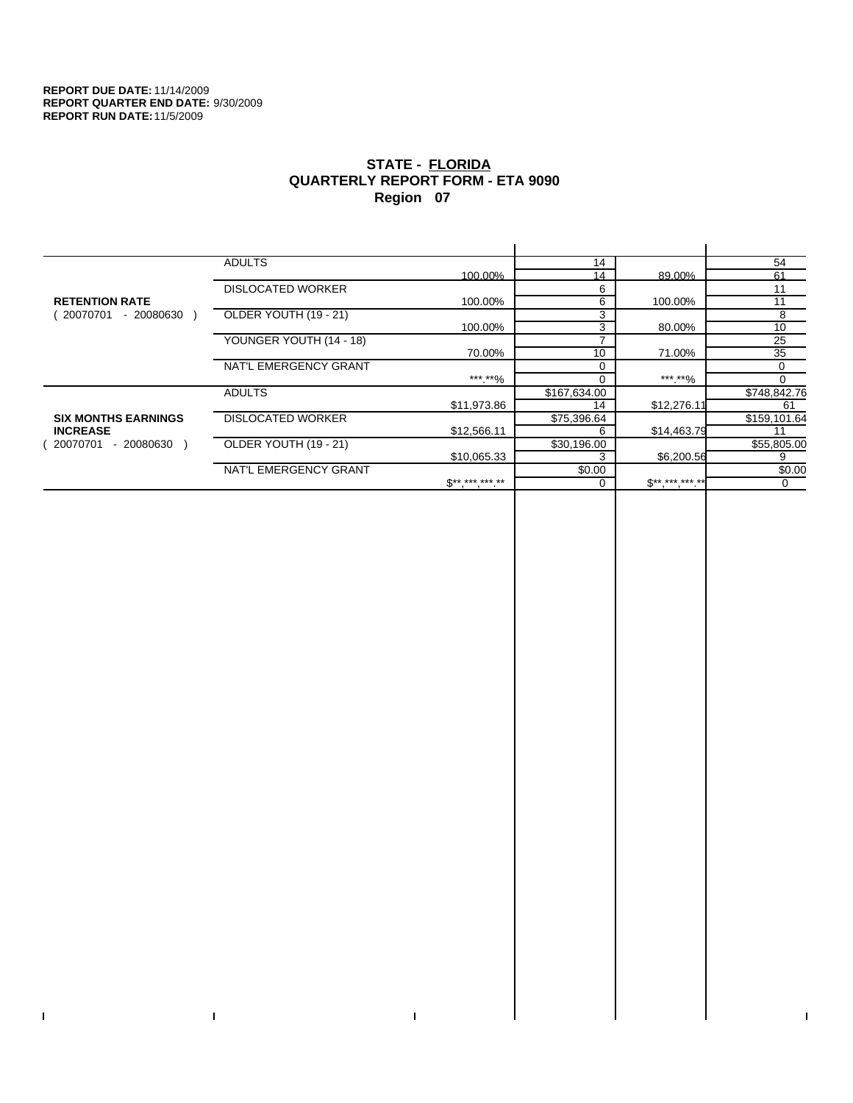$\bar{\Gamma}$ 

 $\mathbf{I}$ 

# **STATE - FLORIDA QUARTERLY REPORT FORM - ETA 9090 Region 07**

|                            | <b>ADULTS</b>            |              | 14           |             | 54           |
|----------------------------|--------------------------|--------------|--------------|-------------|--------------|
|                            |                          | 100.00%      | 14           | 89.00%      | 61           |
|                            | <b>DISLOCATED WORKER</b> |              | 6            |             | 11           |
| <b>RETENTION RATE</b>      |                          | 100.00%      | 6            | 100.00%     | 11           |
| 20070701<br>$-20080630$    | OLDER YOUTH (19 - 21)    |              | 3            |             | 8            |
|                            |                          | 100.00%      | 3            | 80.00%      | 10           |
|                            | YOUNGER YOUTH (14 - 18)  |              |              |             | 25           |
|                            |                          | 70.00%       | 10           | 71.00%      | 35           |
|                            | NAT'L EMERGENCY GRANT    |              |              |             | $\Omega$     |
|                            |                          | ***.**%      |              | ***.**%     | 0            |
|                            | <b>ADULTS</b>            |              | \$167,634.00 |             | \$748,842.76 |
|                            |                          | \$11,973.86  | 14           | \$12,276.11 | 61           |
| <b>SIX MONTHS EARNINGS</b> | <b>DISLOCATED WORKER</b> |              | \$75,396.64  |             | \$159,101.64 |
| <b>INCREASE</b>            |                          | \$12,566.11  | 6            | \$14,463.79 |              |
| 20070701<br>- 20080630     | OLDER YOUTH (19 - 21)    |              | \$30,196.00  |             | \$55,805.00  |
|                            |                          | \$10.065.33  |              | \$6,200.56  | 9            |
|                            | NAT'L EMERGENCY GRANT    |              | \$0.00       |             | \$0.00       |
|                            |                          | $S*********$ |              | $$********$ | $\Omega$     |
|                            |                          |              |              |             |              |

 $\bar{\Gamma}$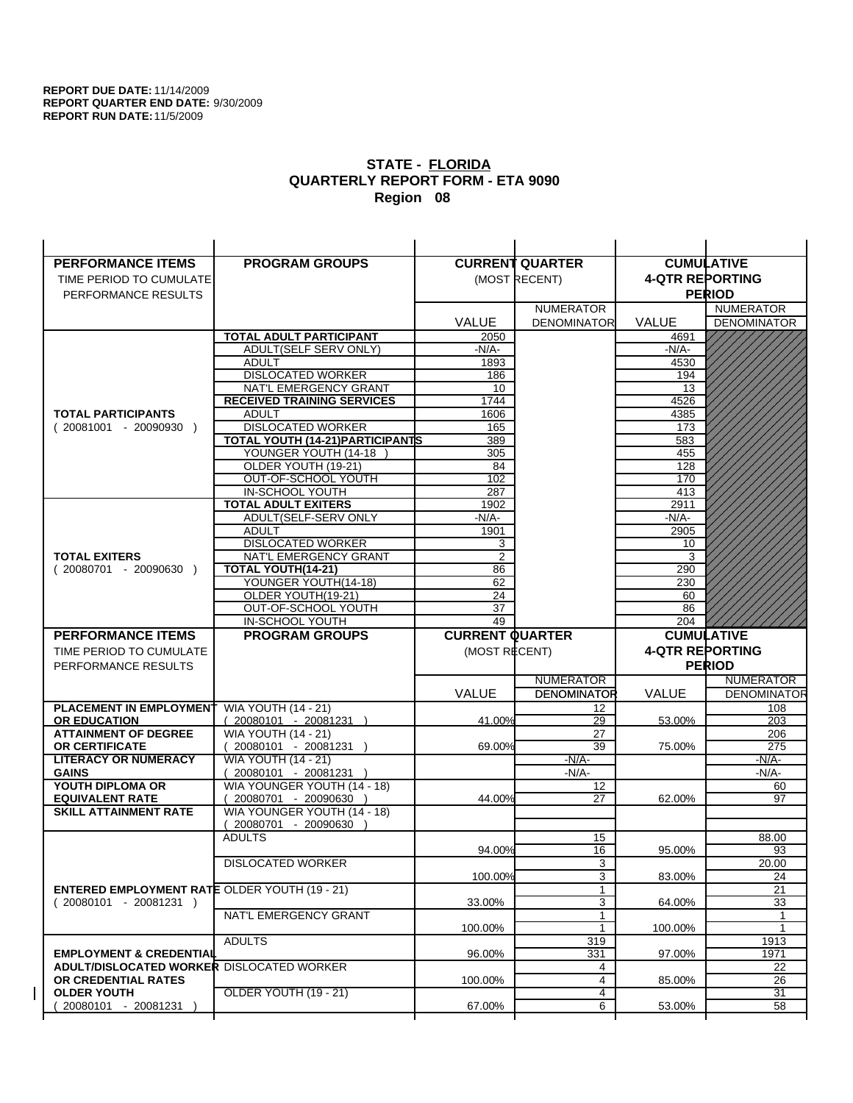| <b>PERFORMANCE ITEMS</b>                                                | <b>PROGRAM GROUPS</b>                                  |                        | <b>CURRENT QUARTER</b> |                        | <b>CUMULATIVE</b>          |
|-------------------------------------------------------------------------|--------------------------------------------------------|------------------------|------------------------|------------------------|----------------------------|
| TIME PERIOD TO CUMULATE                                                 |                                                        |                        | (MOST RECENT)          | <b>4-QTR REPORTING</b> |                            |
| PERFORMANCE RESULTS                                                     |                                                        |                        |                        |                        | <b>PERIOD</b>              |
|                                                                         |                                                        |                        | <b>NUMERATOR</b>       |                        | <b>NUMERATOR</b>           |
|                                                                         |                                                        | <b>VALUE</b>           | <b>DENOMINATOR</b>     | <b>VALUE</b>           | <b>DENOMINATOR</b>         |
|                                                                         | <b>TOTAL ADULT PARTICIPANT</b>                         | 2050                   |                        | 4691                   |                            |
|                                                                         | ADULT(SELF SERV ONLY)                                  | -N/A-                  |                        | -N/A-                  |                            |
|                                                                         | <b>ADULT</b>                                           | 1893                   |                        | 4530                   |                            |
|                                                                         | <b>DISLOCATED WORKER</b>                               | 186                    |                        | 194                    |                            |
|                                                                         | NAT'L EMERGENCY GRANT                                  | 10                     |                        | 13                     |                            |
|                                                                         | <b>RECEIVED TRAINING SERVICES</b>                      | 1744                   |                        | 4526                   |                            |
| <b>TOTAL PARTICIPANTS</b>                                               | <b>ADULT</b>                                           | 1606                   |                        | 4385                   |                            |
| $(20081001 - 20090930)$                                                 | <b>DISLOCATED WORKER</b>                               | 165                    |                        | 173                    |                            |
|                                                                         | TOTAL YOUTH (14-21) PARTICIPANTS                       | 389                    |                        | 583                    |                            |
|                                                                         | YOUNGER YOUTH (14-18                                   | 305                    |                        | 455                    |                            |
|                                                                         | OLDER YOUTH (19-21)<br>OUT-OF-SCHOOL YOUTH             | 84<br>102              |                        | 128<br>170             |                            |
|                                                                         | IN-SCHOOL YOUTH                                        | 287                    |                        | 413                    |                            |
|                                                                         | <b>TOTAL ADULT EXITERS</b>                             | 1902                   |                        | 2911                   |                            |
|                                                                         | ADULT(SELF-SERV ONLY                                   | -N/A-                  |                        | -N/A-                  |                            |
|                                                                         | <b>ADULT</b>                                           | 1901                   |                        | 2905                   |                            |
|                                                                         | <b>DISLOCATED WORKER</b>                               | 3                      |                        | 10                     |                            |
| <b>TOTAL EXITERS</b>                                                    | NAT'L EMERGENCY GRANT                                  | 2                      |                        | 3                      |                            |
| $(20080701 - 20090630)$                                                 | TOTAL YOUTH(14-21)                                     | 86                     |                        | 290                    |                            |
|                                                                         | YOUNGER YOUTH(14-18)                                   | 62                     |                        | 230                    |                            |
|                                                                         | OLDER YOUTH(19-21)                                     | 24                     |                        | 60                     |                            |
|                                                                         | OUT-OF-SCHOOL YOUTH                                    | 37                     |                        | 86                     |                            |
|                                                                         | IN-SCHOOL YOUTH                                        | 49                     |                        | 204                    |                            |
|                                                                         |                                                        |                        |                        |                        |                            |
| <b>PERFORMANCE ITEMS</b>                                                | <b>PROGRAM GROUPS</b>                                  | <b>CURRENT QUARTER</b> |                        |                        | <b>CUMULATIVE</b>          |
| TIME PERIOD TO CUMULATE                                                 |                                                        | (MOST RECENT)          |                        | <b>4-QTR REPORTING</b> |                            |
| PERFORMANCE RESULTS                                                     |                                                        |                        |                        |                        | <b>PERIOD</b>              |
|                                                                         |                                                        |                        | <b>NUMERATOR</b>       |                        | <b>NUMERATOR</b>           |
|                                                                         |                                                        | <b>VALUE</b>           | <b>DENOMINATOR</b>     | VALUE                  |                            |
| <b>PLACEMENT IN EMPLOYMENT</b>                                          | <b>WIA YOUTH (14 - 21)</b>                             |                        | 12                     |                        | 108                        |
| <b>OR EDUCATION</b>                                                     | (20080101 - 20081231 )                                 | 41.00%                 | 29                     | 53.00%                 | 203                        |
| <b>ATTAINMENT OF DEGREE</b>                                             | <b>WIA YOUTH (14 - 21)</b>                             |                        | 27                     |                        | 206                        |
| <b>OR CERTIFICATE</b>                                                   | $(20080101 - 20081231)$                                | 69.00%                 | 39                     | 75.00%                 | 275                        |
| <b>LITERACY OR NUMERACY</b>                                             | <b>WIA YOUTH (14 - 21)</b>                             |                        | $-N/A$ -               |                        | $-N/A$ -                   |
| <b>GAINS</b>                                                            | 20080101 - 20081231 )                                  |                        | $-N/A-$                |                        | -N/A-                      |
| YOUTH DIPLOMA OR                                                        | WIA YOUNGER YOUTH (14 - 18)                            |                        | 12                     |                        | 60<br>97                   |
| <b>EQUIVALENT RATE</b>                                                  | $(20080701 - 20090630)$<br>WIA YOUNGER YOUTH (14 - 18) | 44.00%                 | 27                     | 62.00%                 |                            |
| <b>SKILL ATTAINMENT RATE</b>                                            | (20080701 - 20090630                                   |                        |                        |                        |                            |
|                                                                         | <b>ADULTS</b>                                          |                        | 15                     |                        | 88.00                      |
|                                                                         |                                                        | 94.00%                 | 16                     | 95.00%                 | 93                         |
|                                                                         | <b>DISLOCATED WORKER</b>                               |                        | 3                      |                        | 20.00                      |
|                                                                         |                                                        | 100.00%                | 3                      | 83.00%                 | 24                         |
| <b>ENTERED EMPLOYMENT RATE OLDER YOUTH (19 - 21)</b>                    |                                                        |                        | $\mathbf{1}$           |                        | 21                         |
| $(20080101 - 20081231)$                                                 |                                                        | 33.00%                 | 3                      | 64.00%                 | 33                         |
|                                                                         | NAT'L EMERGENCY GRANT                                  |                        | $\mathbf{1}$           |                        | 1                          |
|                                                                         |                                                        | 100.00%                |                        | 100.00%                |                            |
|                                                                         | <b>ADULTS</b>                                          |                        | 319                    |                        | <b>DENOMINATOR</b><br>1913 |
| <b>EMPLOYMENT &amp; CREDENTIAL</b>                                      |                                                        | 96.00%                 | 331                    | 97.00%                 | 1971                       |
| <b>ADULT/DISLOCATED WORKER DISLOCATED WORKER</b><br>OR CREDENTIAL RATES |                                                        | 100.00%                | 4<br>$\overline{4}$    |                        | 22<br>26                   |
| <b>OLDER YOUTH</b>                                                      | OLDER YOUTH (19 - 21)                                  |                        | 4                      | 85.00%                 | 31                         |
| 20080101 - 20081231                                                     |                                                        | 67.00%                 | 6                      | 53.00%                 | 58                         |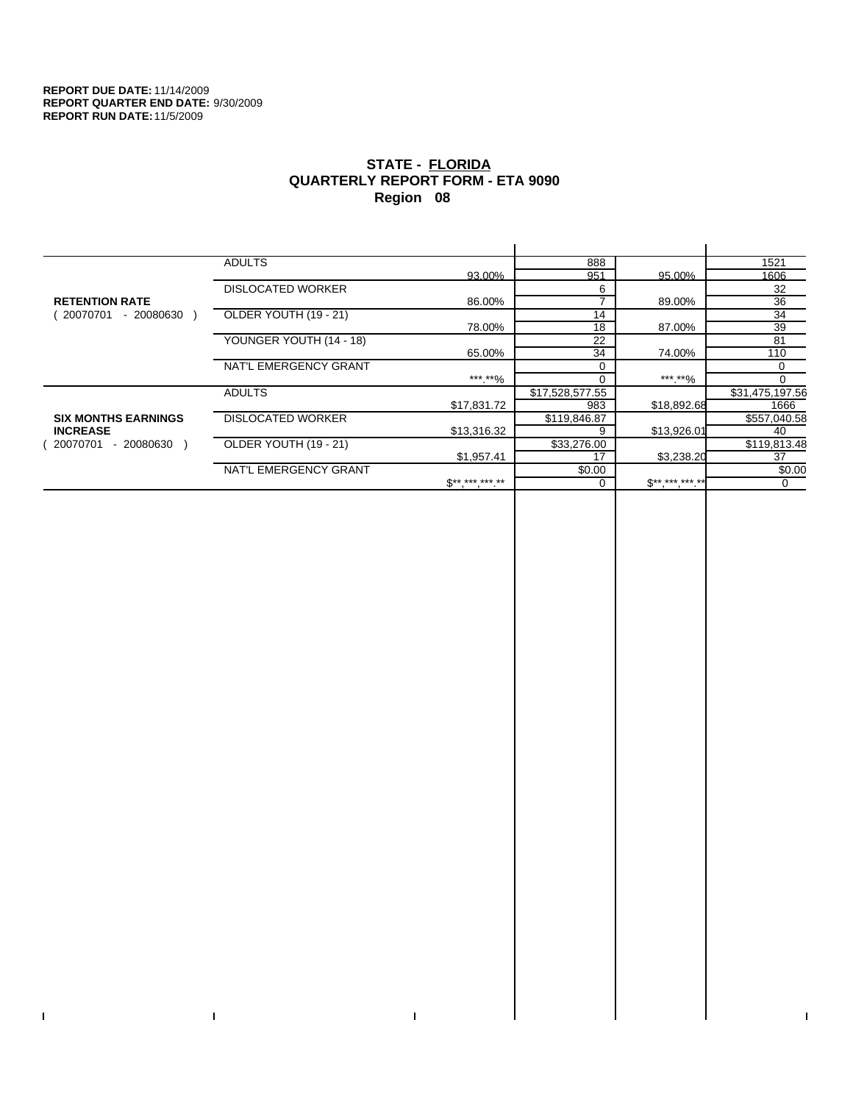$\bar{\Gamma}$ 

 $\Gamma$ 

# **STATE - FLORIDA QUARTERLY REPORT FORM - ETA 9090 Region 08**

|                            | <b>ADULTS</b>            |              | 888             |              | 1521            |
|----------------------------|--------------------------|--------------|-----------------|--------------|-----------------|
|                            |                          | 93.00%       | 951             | 95.00%       | 1606            |
|                            | <b>DISLOCATED WORKER</b> |              | 6               |              | 32              |
| <b>RETENTION RATE</b>      |                          | 86.00%       |                 | 89.00%       | 36              |
| - 20080630<br>20070701     | OLDER YOUTH (19 - 21)    |              | 14              |              | 34              |
|                            |                          | 78.00%       | 18              | 87.00%       | 39              |
|                            | YOUNGER YOUTH (14 - 18)  |              | 22              |              | 81              |
|                            |                          | 65.00%       | 34              | 74.00%       | 110             |
|                            | NAT'L EMERGENCY GRANT    |              |                 |              | 0               |
|                            |                          | ***.**%      |                 | ***.**%      |                 |
|                            | <b>ADULTS</b>            |              | \$17,528,577.55 |              | \$31,475,197.56 |
|                            |                          | \$17,831.72  | 983             | \$18,892.68  | 1666            |
| <b>SIX MONTHS EARNINGS</b> | <b>DISLOCATED WORKER</b> |              | \$119,846.87    |              | \$557,040.58    |
| <b>INCREASE</b>            |                          | \$13,316.32  | 9               | \$13,926.01  | 40              |
| 20070701<br>- 20080630 )   | OLDER YOUTH (19 - 21)    |              | \$33,276.00     |              | \$119,813.48    |
|                            |                          | \$1,957.41   | 17              | \$3,238.20   | 37              |
|                            | NAT'L EMERGENCY GRANT    |              | \$0.00          |              | \$0.00          |
|                            |                          | $$*********$ |                 | $S*********$ | 0               |
|                            |                          |              |                 |              |                 |

 $\bar{\Gamma}$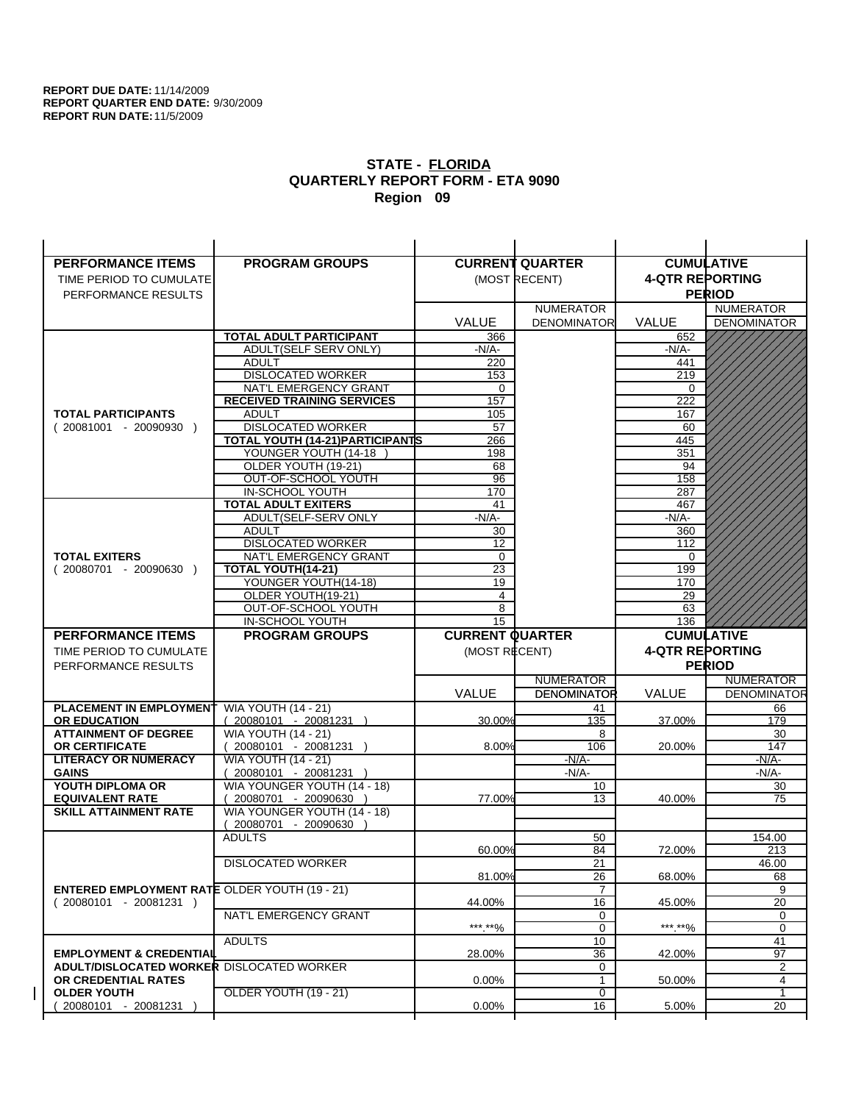| <b>PERFORMANCE ITEMS</b>                             | <b>PROGRAM GROUPS</b>                                |                        | <b>CURRENT QUARTER</b> | <b>CUMULATIVE</b>      |                           |
|------------------------------------------------------|------------------------------------------------------|------------------------|------------------------|------------------------|---------------------------|
| TIME PERIOD TO CUMULATE                              |                                                      |                        | (MOST RECENT)          | <b>4-QTR REPORTING</b> |                           |
| PERFORMANCE RESULTS                                  |                                                      |                        |                        |                        | <b>PERIOD</b>             |
|                                                      |                                                      |                        | <b>NUMERATOR</b>       |                        | <b>NUMERATOR</b>          |
|                                                      |                                                      | <b>VALUE</b>           | <b>DENOMINATOR</b>     | <b>VALUE</b>           | <b>DENOMINATOR</b>        |
|                                                      | <b>TOTAL ADULT PARTICIPANT</b>                       | 366                    |                        | 652                    |                           |
|                                                      | ADULT(SELF SERV ONLY)                                | -N/A-                  |                        | -N/A-                  |                           |
|                                                      | <b>ADULT</b>                                         | 220                    |                        | 441                    |                           |
|                                                      | <b>DISLOCATED WORKER</b>                             | 153                    |                        | 219                    |                           |
|                                                      | NAT'L EMERGENCY GRANT                                | $\Omega$               |                        | $\Omega$               |                           |
|                                                      | <b>RECEIVED TRAINING SERVICES</b>                    | 157                    |                        | 222                    |                           |
| <b>TOTAL PARTICIPANTS</b>                            | <b>ADULT</b>                                         | 105                    |                        | 167                    |                           |
| $(20081001 - 20090930)$                              | <b>DISLOCATED WORKER</b>                             | 57                     |                        | 60                     |                           |
|                                                      | TOTAL YOUTH (14-21) PARTICIPANTS                     | 266                    |                        | 445                    |                           |
|                                                      | YOUNGER YOUTH (14-18                                 | 198                    |                        | 351                    |                           |
|                                                      | OLDER YOUTH (19-21)<br>OUT-OF-SCHOOL YOUTH           | 68<br>96               |                        | 94<br>158              |                           |
|                                                      | IN-SCHOOL YOUTH                                      | 170                    |                        | 287                    |                           |
|                                                      | <b>TOTAL ADULT EXITERS</b>                           | 41                     |                        | 467                    |                           |
|                                                      | ADULT(SELF-SERV ONLY                                 | $-N/A$ -               |                        | $-N/A$ -               |                           |
|                                                      | <b>ADULT</b>                                         | 30                     |                        | 360                    |                           |
|                                                      | <b>DISLOCATED WORKER</b>                             | 12                     |                        | 112                    |                           |
| <b>TOTAL EXITERS</b>                                 | NAT'L EMERGENCY GRANT                                | 0                      |                        | 0                      |                           |
| $(20080701 - 20090630)$                              | TOTAL YOUTH(14-21)                                   | 23                     |                        | 199                    |                           |
|                                                      | YOUNGER YOUTH(14-18)                                 | 19                     |                        | 170                    |                           |
|                                                      | OLDER YOUTH(19-21)                                   | 4                      |                        | 29                     |                           |
|                                                      | OUT-OF-SCHOOL YOUTH                                  | 8                      |                        | 63                     |                           |
|                                                      | IN-SCHOOL YOUTH                                      | 15                     |                        | 136                    |                           |
|                                                      |                                                      |                        |                        |                        |                           |
| <b>PERFORMANCE ITEMS</b>                             | <b>PROGRAM GROUPS</b>                                | <b>CURRENT QUARTER</b> |                        |                        | <b>CUMULATIVE</b>         |
| TIME PERIOD TO CUMULATE                              |                                                      | (MOST RECENT)          |                        | <b>4-QTR REPORTING</b> |                           |
| PERFORMANCE RESULTS                                  |                                                      |                        |                        |                        | <b>PERIOD</b>             |
|                                                      |                                                      |                        | <b>NUMERATOR</b>       |                        | <b>NUMERATOR</b>          |
|                                                      |                                                      | <b>VALUE</b>           | <b>DENOMINATOR</b>     | VALUE                  |                           |
| PLACEMENT IN EMPLOYMENT                              | <b>WIA YOUTH (14 - 21)</b>                           |                        | 41                     |                        | 66                        |
| <b>OR EDUCATION</b>                                  | $(20080101 - 20081231)$                              | 30.00%                 | 135                    | 37.00%                 | 179                       |
| <b>ATTAINMENT OF DEGREE</b>                          | <b>WIA YOUTH (14 - 21)</b>                           |                        | 8                      |                        | 30                        |
| <b>OR CERTIFICATE</b>                                | 20080101 - 20081231 )                                | 8.00%                  | 106                    | 20.00%                 | 147                       |
| <b>LITERACY OR NUMERACY</b>                          | <b>WIA YOUTH (14 - 21)</b>                           |                        | -N/A-                  |                        | -N/A-                     |
| <b>GAINS</b>                                         | 20080101 - 20081231 )                                |                        | $-N/A-$                |                        | $-N/A-$                   |
| YOUTH DIPLOMA OR<br><b>EQUIVALENT RATE</b>           | WIA YOUNGER YOUTH (14 - 18)<br>20080701 - 20090630 ) | 77.00%                 | 10<br>13               | 40.00%                 | 30<br>75                  |
| <b>SKILL ATTAINMENT RATE</b>                         | WIA YOUNGER YOUTH (14 - 18)                          |                        |                        |                        |                           |
|                                                      | (20080701 - 20090630                                 |                        |                        |                        |                           |
|                                                      | <b>ADULTS</b>                                        |                        | 50                     |                        | 154.00                    |
|                                                      |                                                      | 60.00%                 | 84                     | 72.00%                 | <b>DENOMINATOR</b><br>213 |
|                                                      | <b>DISLOCATED WORKER</b>                             |                        | $\overline{21}$        |                        | 46.00                     |
|                                                      |                                                      | 81.00%                 | 26                     | 68.00%                 | 68                        |
| <b>ENTERED EMPLOYMENT RATE OLDER YOUTH (19 - 21)</b> |                                                      |                        | 7                      |                        | 9                         |
| $(20080101 - 20081231)$                              |                                                      | 44.00%                 | 16                     | 45.00%                 | $\overline{20}$           |
|                                                      | NAT'L EMERGENCY GRANT                                |                        | 0                      |                        | 0                         |
|                                                      |                                                      | ***.**%                | 0                      | ***.**%                | $\mathbf 0$               |
| <b>EMPLOYMENT &amp; CREDENTIAL</b>                   | <b>ADULTS</b>                                        | 28.00%                 | 10<br>36               | 42.00%                 | 41<br>97                  |
| <b>ADULT/DISLOCATED WORKER DISLOCATED WORKER</b>     |                                                      |                        | 0                      |                        | 2                         |
| OR CREDENTIAL RATES                                  |                                                      | $0.00\%$               | $\mathbf{1}$           | 50.00%                 | 4                         |
| <b>OLDER YOUTH</b>                                   | OLDER YOUTH (19 - 21)                                |                        | 0                      |                        | $\mathbf{1}$              |
| 20080101 - 20081231                                  |                                                      | 0.00%                  | $\overline{16}$        | 5.00%                  | 20                        |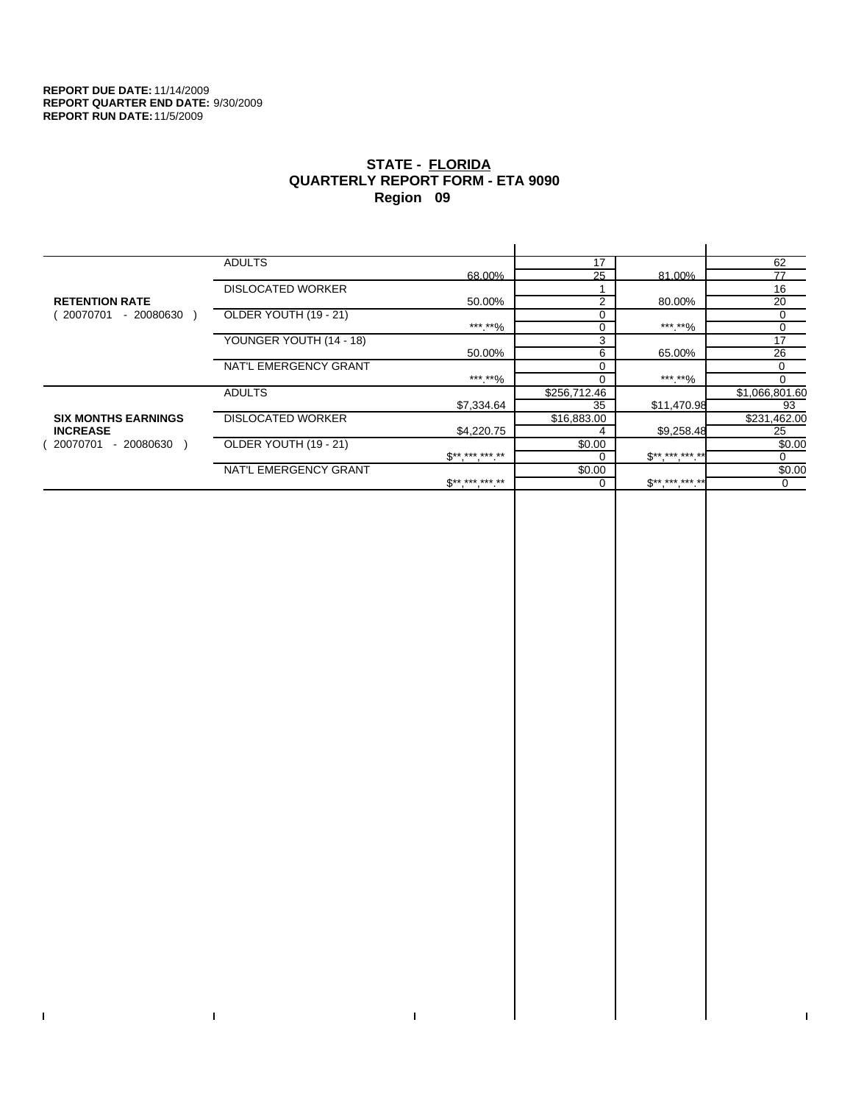$\bar{\Gamma}$ 

 $\mathbf{I}$ 

# **STATE - FLORIDA QUARTERLY REPORT FORM - ETA 9090 Region 09**

|                            | <b>ADULTS</b>            |                              | 17             |                     | 62             |
|----------------------------|--------------------------|------------------------------|----------------|---------------------|----------------|
|                            |                          | 68.00%                       | 25             | 81.00%              | 77             |
|                            | <b>DISLOCATED WORKER</b> |                              |                |                     | 16             |
| <b>RETENTION RATE</b>      |                          | 50.00%                       | $\overline{2}$ | 80.00%              | 20             |
| 20070701<br>- 20080630     | OLDER YOUTH (19 - 21)    |                              | $\Omega$       |                     | 0              |
|                            |                          | ***.**%                      | $\Omega$       | ***.**%             | 0              |
|                            | YOUNGER YOUTH (14 - 18)  |                              | 3              |                     | 17             |
|                            |                          | 50.00%                       | 6              | 65.00%              | 26             |
|                            | NAT'L EMERGENCY GRANT    |                              | $\Omega$       |                     | 0              |
|                            |                          | ***.**%                      |                | ***.**%             | $\Omega$       |
|                            | <b>ADULTS</b>            |                              | \$256,712.46   |                     | \$1,066,801.60 |
|                            |                          | \$7,334.64                   | 35             | \$11,470.98         | 93             |
| <b>SIX MONTHS EARNINGS</b> | <b>DISLOCATED WORKER</b> |                              | \$16,883.00    |                     | \$231,462.00   |
| <b>INCREASE</b>            |                          | \$4,220.75                   |                | \$9,258.48          | 25             |
| 20070701<br>- 20080630     | OLDER YOUTH (19 - 21)    |                              | \$0.00         |                     | \$0.00         |
|                            |                          | $\mathbb{S}^{**}$ *** *** ** |                | $S^{**}$ *** *** ** | 0              |
|                            | NAT'L EMERGENCY GRANT    |                              | \$0.00         |                     | \$0.00         |
|                            |                          | $S^{**}$ *** *** **          |                | $$********$         | 0              |
|                            |                          |                              |                |                     |                |

 $\mathbf{I}$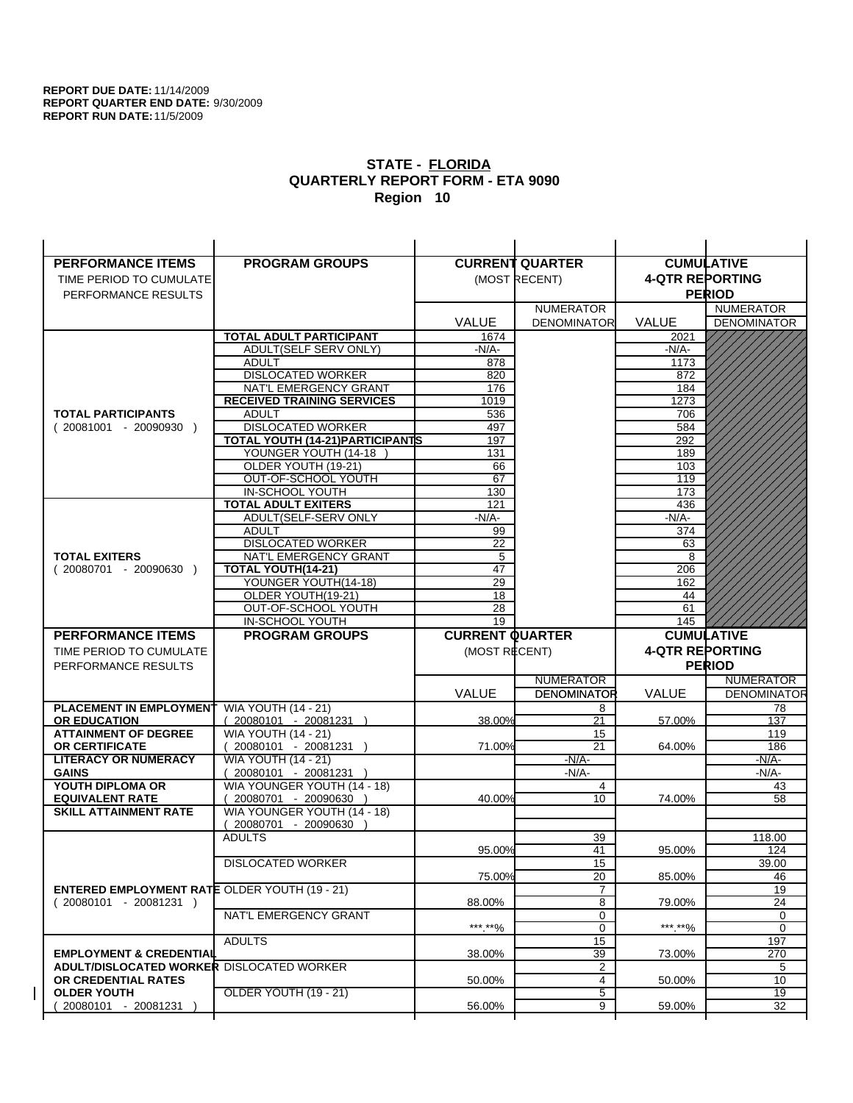$\overline{1}$ 

| <b>PERFORMANCE ITEMS</b>                             | <b>PROGRAM GROUPS</b>                              |                        | <b>CURRENT QUARTER</b> |                        | <b>CUMULATIVE</b>  |
|------------------------------------------------------|----------------------------------------------------|------------------------|------------------------|------------------------|--------------------|
| TIME PERIOD TO CUMULATE                              |                                                    |                        | (MOST RECENT)          | <b>4-QTR REPORTING</b> |                    |
| PERFORMANCE RESULTS                                  |                                                    |                        |                        |                        | <b>PERIOD</b>      |
|                                                      |                                                    |                        | <b>NUMERATOR</b>       |                        | <b>NUMERATOR</b>   |
|                                                      |                                                    | <b>VALUE</b>           | <b>DENOMINATOR</b>     | <b>VALUE</b>           | <b>DENOMINATOR</b> |
|                                                      | TOTAL ADULT PARTICIPANT                            | 1674                   |                        | 2021                   |                    |
|                                                      | ADULT(SELF SERV ONLY)                              | $-N/A-$                |                        | -N/A-                  |                    |
|                                                      | <b>ADULT</b>                                       | 878                    |                        | 1173                   |                    |
|                                                      | <b>DISLOCATED WORKER</b>                           | 820                    |                        | 872                    |                    |
|                                                      | NAT'L EMERGENCY GRANT                              | 176                    |                        | 184                    |                    |
|                                                      | <b>RECEIVED TRAINING SERVICES</b>                  | 1019                   |                        | 1273                   |                    |
| <b>TOTAL PARTICIPANTS</b>                            | <b>ADULT</b>                                       | 536                    |                        | 706                    |                    |
| $(20081001 - 20090930)$                              | <b>DISLOCATED WORKER</b>                           | 497                    |                        | 584                    |                    |
|                                                      | TOTAL YOUTH (14-21) PARTICIPANTS                   | 197                    |                        | 292                    |                    |
|                                                      | YOUNGER YOUTH (14-18<br>OLDER YOUTH (19-21)        | 131                    |                        | 189                    |                    |
|                                                      | OUT-OF-SCHOOL YOUTH                                | 66<br>67               |                        | 103<br>119             |                    |
|                                                      | IN-SCHOOL YOUTH                                    | 130                    |                        | 173                    |                    |
|                                                      | <b>TOTAL ADULT EXITERS</b>                         | 121                    |                        | 436                    |                    |
|                                                      | ADULT(SELF-SERV ONLY                               | $-N/A-$                |                        | $-N/A-$                |                    |
|                                                      | <b>ADULT</b>                                       | 99                     |                        | 374                    |                    |
|                                                      | <b>DISLOCATED WORKER</b>                           | 22                     |                        | 63                     |                    |
| <b>TOTAL EXITERS</b>                                 | NAT'L EMERGENCY GRANT                              | 5                      |                        | 8                      |                    |
| $(20080701 - 20090630)$                              | TOTAL YOUTH(14-21)                                 | 47                     |                        | 206                    |                    |
|                                                      | YOUNGER YOUTH(14-18)                               | 29                     |                        | 162                    |                    |
|                                                      | OLDER YOUTH(19-21)                                 | 18                     |                        | 44                     |                    |
|                                                      | OUT-OF-SCHOOL YOUTH                                | 28<br>19               |                        | 61                     |                    |
|                                                      | IN-SCHOOL YOUTH                                    |                        |                        | 145                    |                    |
|                                                      |                                                    |                        |                        |                        |                    |
| <b>PERFORMANCE ITEMS</b>                             | <b>PROGRAM GROUPS</b>                              | <b>CURRENT QUARTER</b> |                        |                        | <b>CUMULATIVE</b>  |
| TIME PERIOD TO CUMULATE                              |                                                    | (MOST RECENT)          |                        | <b>4-QTR REPORTING</b> |                    |
| PERFORMANCE RESULTS                                  |                                                    |                        |                        |                        | <b>PERIOD</b>      |
|                                                      |                                                    |                        | <b>NUMERATOR</b>       |                        | <b>NUMERATOR</b>   |
|                                                      |                                                    | <b>VALUE</b>           | <b>DENOMINATOR</b>     | <b>VALUE</b>           | <b>DENOMINATOR</b> |
| PLACEMENT IN EMPLOYMENT                              | <b>WIA YOUTH (14 - 21)</b>                         |                        | 8                      |                        | 78                 |
| <b>OR EDUCATION</b>                                  | $(20080101 - 20081231)$                            | 38.00%                 | 21                     | 57.00%                 | 137                |
| <b>ATTAINMENT OF DEGREE</b>                          | <b>WIA YOUTH (14 - 21)</b>                         |                        | 15                     |                        | 119                |
| <b>OR CERTIFICATE</b>                                | $(20080101 - 20081231)$                            | 71.00%                 | 21                     | 64.00%                 | 186                |
| <b>LITERACY OR NUMERACY</b><br><b>GAINS</b>          | <b>WIA YOUTH (14 - 21)</b>                         |                        | $-N/A-$<br>$-N/A-$     |                        | -N/A-<br>$-N/A-$   |
| YOUTH DIPLOMA OR                                     | 20080101 - 20081231<br>WIA YOUNGER YOUTH (14 - 18) |                        | $\overline{4}$         |                        | 43                 |
| <b>EQUIVALENT RATE</b>                               | 20080701 - 20090630 )                              | 40.00%                 | 10                     | 74.00%                 | 58                 |
| <b>SKILL ATTAINMENT RATE</b>                         | WIA YOUNGER YOUTH (14 - 18)                        |                        |                        |                        |                    |
|                                                      | (20080701 - 20090630                               |                        |                        |                        |                    |
|                                                      | <b>ADULTS</b>                                      |                        | 39                     |                        | 118.00             |
|                                                      |                                                    | 95.00%                 | 41                     | 95.00%                 | 124                |
|                                                      | <b>DISLOCATED WORKER</b>                           |                        | $\overline{15}$        |                        | 39.00              |
|                                                      |                                                    | 75.00%                 | 20                     | 85.00%                 | 46                 |
| <b>ENTERED EMPLOYMENT RATE OLDER YOUTH (19 - 21)</b> |                                                    |                        | $\overline{7}$         |                        | 19                 |
| $(20080101 - 20081231)$                              | NAT'L EMERGENCY GRANT                              | 88.00%                 | 8<br>0                 | 79.00%                 | 24<br>0            |
|                                                      |                                                    | ***.**%                | 0                      | *** **%                | 0                  |
|                                                      | <b>ADULTS</b>                                      |                        | 15                     |                        | 197                |
| <b>EMPLOYMENT &amp; CREDENTIAL</b>                   |                                                    | 38.00%                 | 39                     | 73.00%                 | 270                |
| <b>ADULT/DISLOCATED WORKER DISLOCATED WORKER</b>     |                                                    |                        | 2                      |                        | 5                  |
| OR CREDENTIAL RATES                                  |                                                    | 50.00%                 | $\overline{4}$         | 50.00%                 | 10                 |
| <b>OLDER YOUTH</b><br>20080101 - 20081231            | <b>OLDER YOUTH (19 - 21)</b>                       | 56.00%                 | 5<br>9                 | 59.00%                 | 19<br>32           |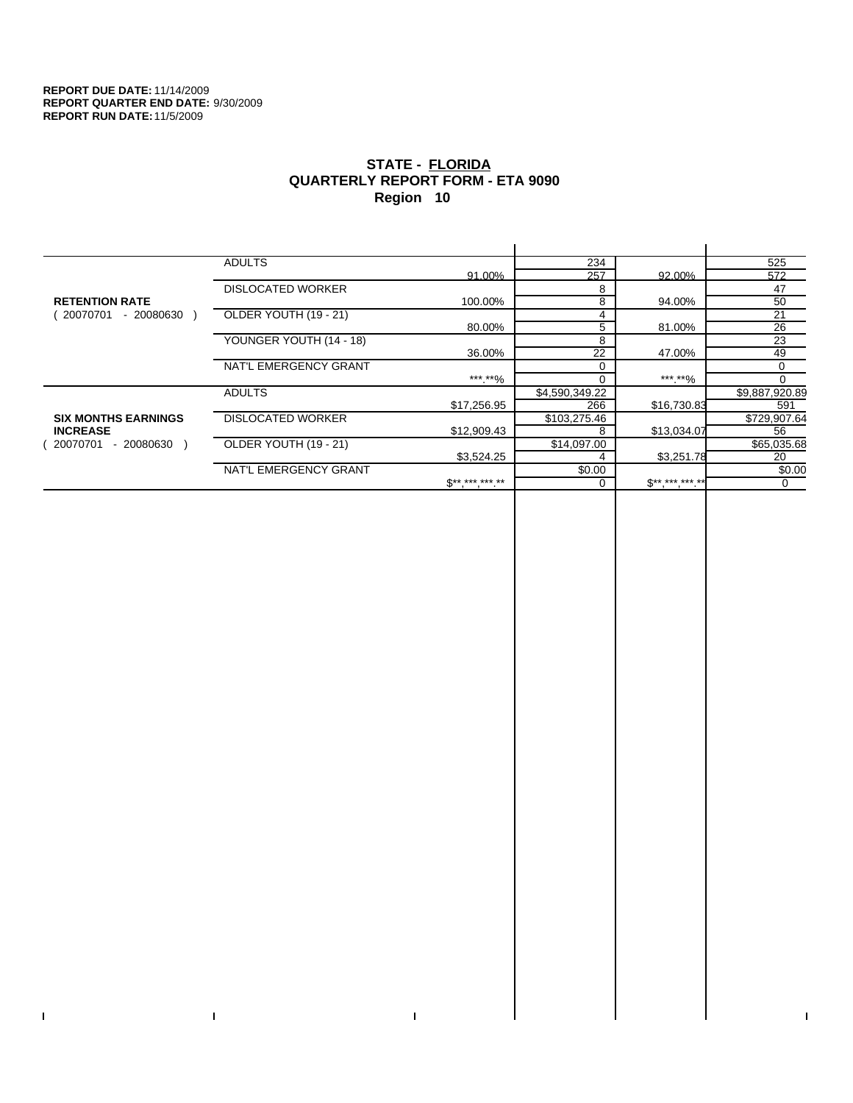$\bar{\Gamma}$ 

 $\Gamma$ 

# **STATE - FLORIDA QUARTERLY REPORT FORM - ETA 9090 Region 10**

|                            | <b>ADULTS</b>            |                            | 234            |             | 525            |
|----------------------------|--------------------------|----------------------------|----------------|-------------|----------------|
|                            |                          | 91.00%                     | 257            | 92.00%      | 572            |
|                            | <b>DISLOCATED WORKER</b> |                            | 8              |             | 47             |
| <b>RETENTION RATE</b>      |                          | 100.00%                    | 8              | 94.00%      | 50             |
| - 20080630<br>20070701     | OLDER YOUTH (19 - 21)    |                            | 4              |             | 21             |
|                            |                          | 80.00%                     | 5              | 81.00%      | 26             |
|                            | YOUNGER YOUTH (14 - 18)  |                            | 8              |             | 23             |
|                            |                          | 36.00%                     | 22             | 47.00%      | 49             |
|                            | NAT'L EMERGENCY GRANT    |                            | $\Omega$       |             | 0              |
|                            |                          | ***.**%                    |                | ***.**%     |                |
|                            | <b>ADULTS</b>            |                            | \$4,590,349.22 |             | \$9,887,920.89 |
|                            |                          | \$17,256.95                | 266            | \$16,730.83 | 591            |
| <b>SIX MONTHS EARNINGS</b> | <b>DISLOCATED WORKER</b> |                            | \$103,275.46   |             | \$729,907.64   |
| <b>INCREASE</b>            |                          | \$12,909.43                | 8              | \$13,034.07 | 56             |
| $-20080630$<br>20070701    | OLDER YOUTH (19 - 21)    |                            | \$14,097.00    |             | \$65,035.68    |
|                            |                          | \$3,524.25                 |                | \$3,251.78  | 20             |
|                            | NAT'L EMERGENCY GRANT    |                            | \$0.00         |             | \$0.00         |
|                            |                          | $\mathbb{S}$ ** *** *** ** |                | $S********$ | 0              |
|                            |                          |                            |                |             |                |

 $\bar{\Gamma}$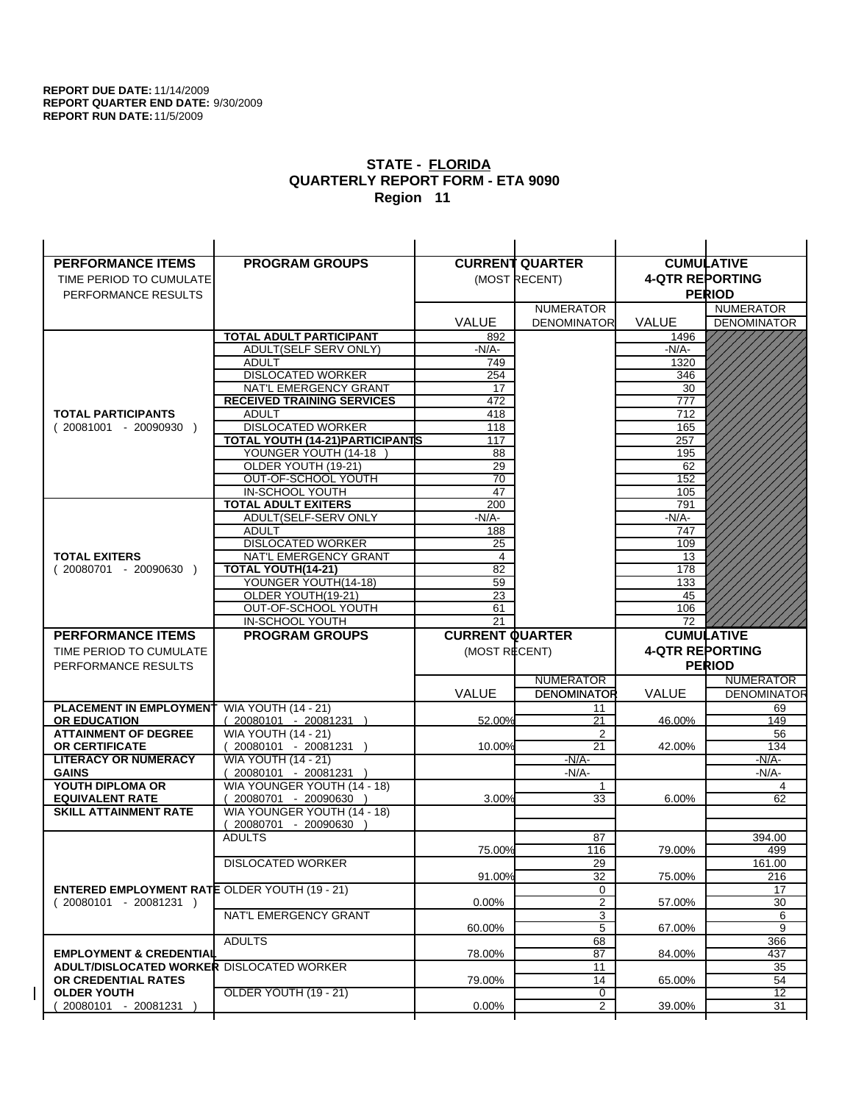| <b>PERFORMANCE ITEMS</b>                                                | <b>PROGRAM GROUPS</b>                                |                        | <b>CURRENT QUARTER</b>  | <b>CUMULATIVE</b>      |                    |
|-------------------------------------------------------------------------|------------------------------------------------------|------------------------|-------------------------|------------------------|--------------------|
| TIME PERIOD TO CUMULATE                                                 |                                                      |                        | (MOST RECENT)           | <b>4-QTR REPORTING</b> |                    |
| PERFORMANCE RESULTS                                                     |                                                      |                        |                         |                        | <b>PERIOD</b>      |
|                                                                         |                                                      |                        | <b>NUMERATOR</b>        |                        | <b>NUMERATOR</b>   |
|                                                                         |                                                      | <b>VALUE</b>           | <b>DENOMINATOR</b>      | <b>VALUE</b>           | <b>DENOMINATOR</b> |
|                                                                         | <b>TOTAL ADULT PARTICIPANT</b>                       | 892                    |                         | 1496                   |                    |
|                                                                         | ADULT(SELF SERV ONLY)                                | $-N/A-$                |                         | -N/A-                  |                    |
|                                                                         | <b>ADULT</b>                                         | 749                    |                         | 1320                   |                    |
|                                                                         | <b>DISLOCATED WORKER</b>                             | 254                    |                         | 346                    |                    |
|                                                                         | NAT'L EMERGENCY GRANT                                | 17                     |                         | 30                     |                    |
|                                                                         | <b>RECEIVED TRAINING SERVICES</b>                    | 472                    |                         | 777                    |                    |
| <b>TOTAL PARTICIPANTS</b>                                               | <b>ADULT</b>                                         | 418                    |                         | 712                    |                    |
| $(20081001 - 20090930)$                                                 | <b>DISLOCATED WORKER</b>                             | 118                    |                         | 165                    |                    |
|                                                                         | TOTAL YOUTH (14-21) PARTICIPANTS                     | 117                    |                         | 257                    |                    |
|                                                                         | YOUNGER YOUTH (14-18                                 | 88                     |                         | 195                    |                    |
|                                                                         | OLDER YOUTH (19-21)<br>OUT-OF-SCHOOL YOUTH           | 29<br>$\overline{70}$  |                         | 62<br>152              |                    |
|                                                                         | IN-SCHOOL YOUTH                                      | 47                     |                         | 105                    |                    |
|                                                                         | <b>TOTAL ADULT EXITERS</b>                           | 200                    |                         | 791                    |                    |
|                                                                         | ADULT(SELF-SERV ONLY                                 | $-N/A-$                |                         | $-N/A-$                |                    |
|                                                                         | <b>ADULT</b>                                         | 188                    |                         | 747                    |                    |
|                                                                         | <b>DISLOCATED WORKER</b>                             | 25                     |                         | 109                    |                    |
| <b>TOTAL EXITERS</b>                                                    | NAT'L EMERGENCY GRANT                                | 4                      |                         | 13                     |                    |
| $(20080701 - 20090630)$                                                 | TOTAL YOUTH(14-21)                                   | 82                     |                         | 178                    |                    |
|                                                                         | YOUNGER YOUTH(14-18)                                 | 59                     |                         | 133                    |                    |
|                                                                         | OLDER YOUTH(19-21)                                   | 23                     |                         | 45                     |                    |
|                                                                         | OUT-OF-SCHOOL YOUTH                                  | 61                     |                         | 106                    |                    |
|                                                                         | IN-SCHOOL YOUTH                                      | 21                     |                         | 72                     |                    |
|                                                                         |                                                      |                        |                         |                        |                    |
| <b>PERFORMANCE ITEMS</b>                                                | <b>PROGRAM GROUPS</b>                                | <b>CURRENT QUARTER</b> |                         |                        | <b>CUMULATIVE</b>  |
| TIME PERIOD TO CUMULATE                                                 |                                                      | (MOST RECENT)          |                         | <b>4-QTR REPORTING</b> |                    |
| PERFORMANCE RESULTS                                                     |                                                      |                        |                         |                        | <b>PERIOD</b>      |
|                                                                         |                                                      |                        | <b>NUMERATOR</b>        |                        | <b>NUMERATOR</b>   |
|                                                                         |                                                      | <b>VALUE</b>           | <b>DENOMINATOR</b>      | VALUE                  | <b>DENOMINATOR</b> |
| PLACEMENT IN EMPLOYMENT                                                 | <b>WIA YOUTH (14 - 21)</b>                           |                        | 11                      |                        | 69                 |
| <b>OR EDUCATION</b>                                                     | $(20080101 - 20081231)$                              | 52.00%                 | 21                      | 46.00%                 | 149                |
| <b>ATTAINMENT OF DEGREE</b>                                             | <b>WIA YOUTH (14 - 21)</b>                           |                        | 2                       |                        | 56                 |
| <b>OR CERTIFICATE</b>                                                   | 20080101 - 20081231 )                                | 10.00%                 | 21                      | 42.00%                 | 134                |
| <b>LITERACY OR NUMERACY</b>                                             | <b>WIA YOUTH (14 - 21)</b>                           |                        | $-N/A$ -                |                        | -N/A-              |
| <b>GAINS</b>                                                            | 20080101 - 20081231 )                                |                        | $-N/A$ -                |                        | -N/A-              |
| YOUTH DIPLOMA OR                                                        | WIA YOUNGER YOUTH (14 - 18)                          |                        | 1                       |                        | 4                  |
| <b>EQUIVALENT RATE</b><br><b>SKILL ATTAINMENT RATE</b>                  | 20080701 - 20090630 )<br>WIA YOUNGER YOUTH (14 - 18) | 3.00%                  | 33                      | 6.00%                  | 62                 |
|                                                                         | (20080701 - 20090630                                 |                        |                         |                        |                    |
|                                                                         | <b>ADULTS</b>                                        |                        | 87                      |                        | 394.00             |
|                                                                         |                                                      | 75.00%                 | 116                     | 79.00%                 | 499                |
|                                                                         | <b>DISLOCATED WORKER</b>                             |                        | $\overline{29}$         |                        | 161.00             |
|                                                                         |                                                      | 91.00%                 | 32                      | 75.00%                 | 216                |
| <b>ENTERED EMPLOYMENT RATE OLDER YOUTH (19 - 21)</b>                    |                                                      |                        | 0                       |                        | 17                 |
| $(20080101 - 20081231)$                                                 |                                                      | 0.00%                  | $\overline{\mathbf{c}}$ | 57.00%                 | 30                 |
|                                                                         | NAT'L EMERGENCY GRANT                                |                        | 3                       |                        | 6                  |
|                                                                         |                                                      | 60.00%                 | 5                       | 67.00%                 | 9                  |
|                                                                         | <b>ADULTS</b>                                        |                        | 68                      |                        | 366                |
| <b>EMPLOYMENT &amp; CREDENTIAL</b>                                      |                                                      | 78.00%                 | 87                      | 84.00%                 | 437                |
| <b>ADULT/DISLOCATED WORKER DISLOCATED WORKER</b><br>OR CREDENTIAL RATES |                                                      | 79.00%                 | 11<br>14                | 65.00%                 | 35<br>54           |
| <b>OLDER YOUTH</b>                                                      | <b>OLDER YOUTH (19 - 21)</b>                         |                        | 0                       |                        | $\overline{12}$    |
| 20080101 - 20081231                                                     |                                                      | 0.00%                  | $\overline{2}$          | 39.00%                 | 31                 |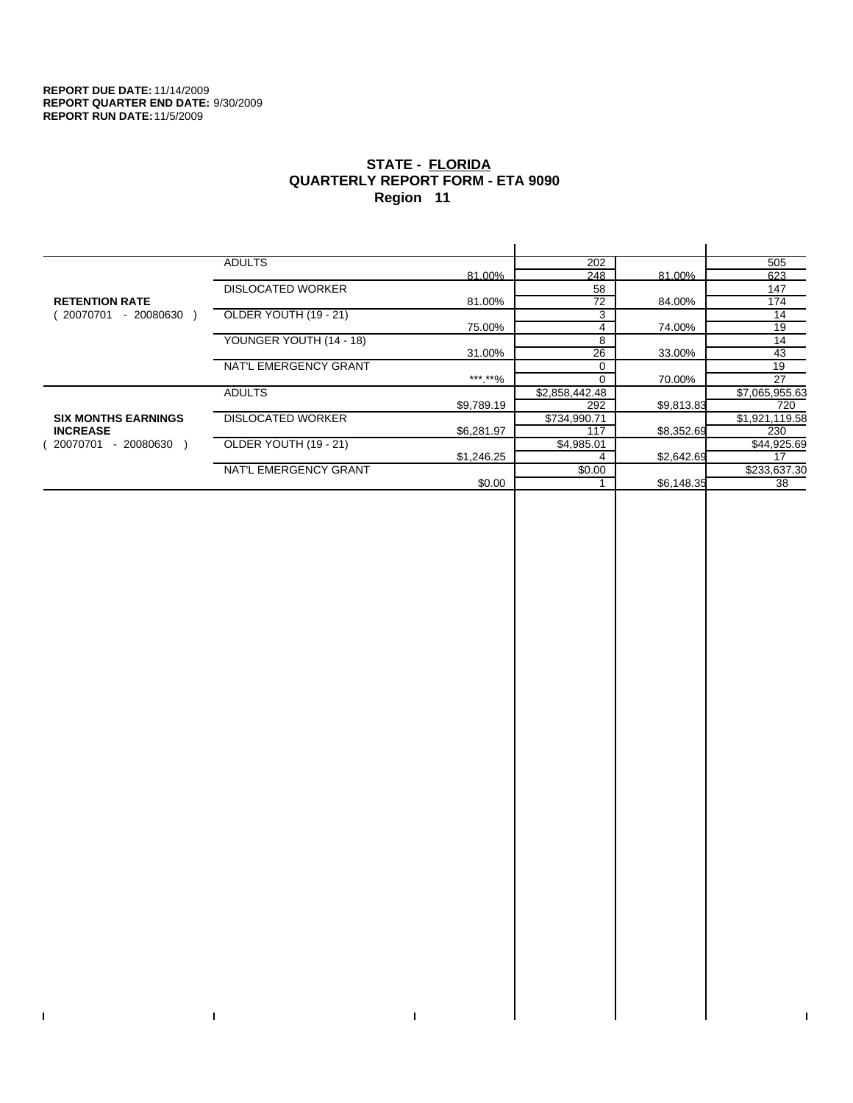$\bar{\Gamma}$ 

 $\Gamma$ 

# **STATE - FLORIDA QUARTERLY REPORT FORM - ETA 9090 Region 11**

|                            | <b>ADULTS</b>            |            | 202            |            | 505            |
|----------------------------|--------------------------|------------|----------------|------------|----------------|
|                            |                          | 81.00%     | 248            | 81.00%     | 623            |
|                            | <b>DISLOCATED WORKER</b> |            | 58             |            | 147            |
| <b>RETENTION RATE</b>      |                          | 81.00%     | 72             | 84.00%     | 174            |
| $-20080630$<br>20070701    | OLDER YOUTH (19 - 21)    |            | 3              |            | 14             |
|                            |                          | 75.00%     | 4              | 74.00%     | 19             |
|                            | YOUNGER YOUTH (14 - 18)  |            | 8              |            | 14             |
|                            |                          | 31.00%     | 26             | 33.00%     | 43             |
|                            | NAT'L EMERGENCY GRANT    |            | $\Omega$       |            | 19             |
|                            |                          | ***.**%    | $\Omega$       | 70.00%     | 27             |
|                            | <b>ADULTS</b>            |            | \$2,858,442.48 |            | \$7,065,955.63 |
|                            |                          | \$9,789.19 | 292            | \$9,813.83 | 720            |
| <b>SIX MONTHS EARNINGS</b> | <b>DISLOCATED WORKER</b> |            | \$734,990.71   |            | \$1,921,119.58 |
| <b>INCREASE</b>            |                          | \$6,281.97 | 117            | \$8,352.69 | 230            |
| 20070701<br>$-20080630$    | OLDER YOUTH (19 - 21)    |            | \$4,985.01     |            | \$44,925.69    |
|                            |                          | \$1,246.25 | 4              | \$2,642.69 | 17             |
|                            | NAT'L EMERGENCY GRANT    |            | \$0.00         |            | \$233,637.30   |
|                            |                          | \$0.00     |                | \$6,148.35 | 38             |
|                            |                          |            |                |            |                |

 $\bar{\Gamma}$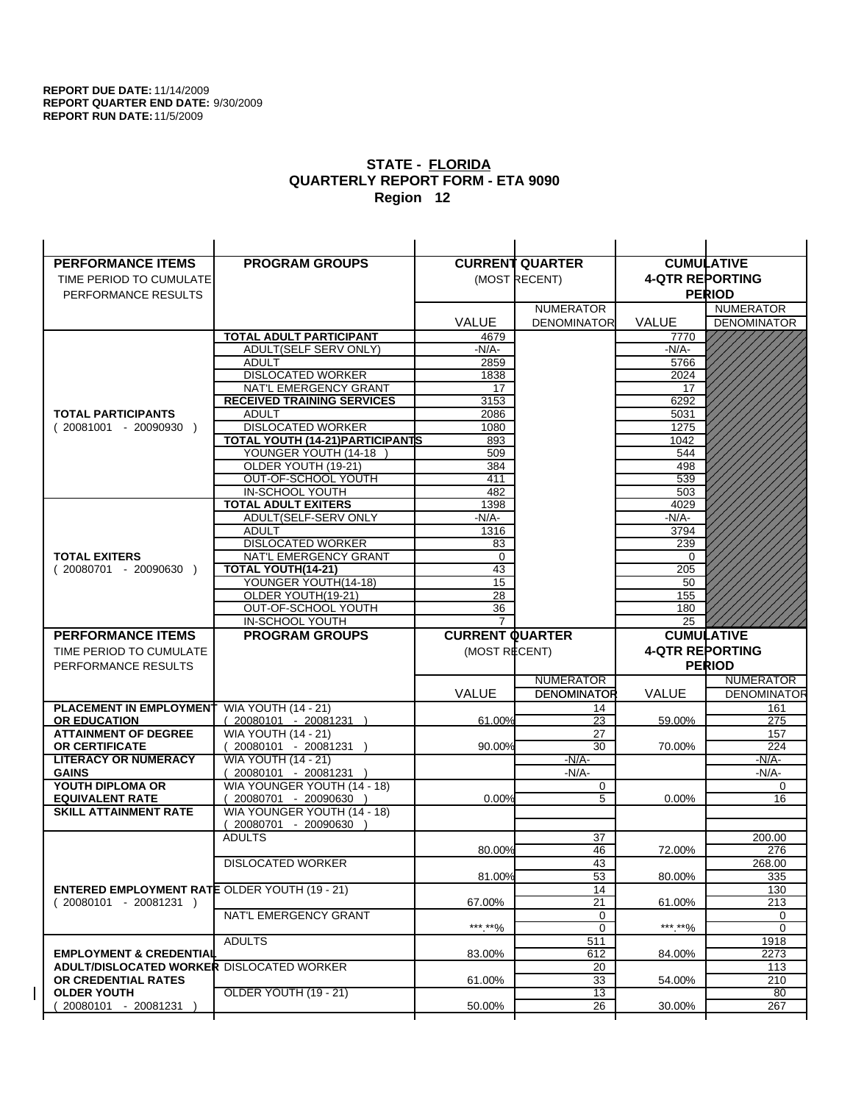| <b>PERFORMANCE ITEMS</b>                             | <b>PROGRAM GROUPS</b>                         |                        | <b>CURRENT QUARTER</b> |                        | <b>CUMULATIVE</b>  |
|------------------------------------------------------|-----------------------------------------------|------------------------|------------------------|------------------------|--------------------|
| TIME PERIOD TO CUMULATE                              |                                               |                        | (MOST RECENT)          | <b>4-QTR REPORTING</b> |                    |
| PERFORMANCE RESULTS                                  |                                               |                        |                        |                        | <b>PERIOD</b>      |
|                                                      |                                               |                        | <b>NUMERATOR</b>       |                        | <b>NUMERATOR</b>   |
|                                                      |                                               | <b>VALUE</b>           | <b>DENOMINATOR</b>     | <b>VALUE</b>           | <b>DENOMINATOR</b> |
|                                                      | TOTAL ADULT PARTICIPANT                       | 4679                   |                        | 7770                   |                    |
|                                                      | ADULT(SELF SERV ONLY)                         | -N/A-                  |                        | $-N/A-$                |                    |
|                                                      | <b>ADULT</b>                                  | 2859                   |                        | 5766                   |                    |
|                                                      | <b>DISLOCATED WORKER</b>                      | 1838                   |                        | 2024                   |                    |
|                                                      | NAT'L EMERGENCY GRANT                         | 17                     |                        | 17                     |                    |
|                                                      | <b>RECEIVED TRAINING SERVICES</b>             | 3153                   |                        | 6292                   |                    |
| <b>TOTAL PARTICIPANTS</b>                            | <b>ADULT</b>                                  | 2086                   |                        | 5031                   |                    |
| $(20081001 - 20090930)$                              | <b>DISLOCATED WORKER</b>                      | 1080                   |                        | 1275                   |                    |
|                                                      | <b>TOTAL YOUTH (14-21) PARTICIPANTS</b>       | 893                    |                        | 1042                   |                    |
|                                                      | YOUNGER YOUTH (14-18                          | 509                    |                        | 544                    |                    |
|                                                      | OLDER YOUTH (19-21)                           | 384                    |                        | 498                    |                    |
|                                                      | OUT-OF-SCHOOL YOUTH                           | 411                    |                        | 539                    |                    |
|                                                      | IN-SCHOOL YOUTH<br><b>TOTAL ADULT EXITERS</b> | 482<br>1398            |                        | 503<br>4029            |                    |
|                                                      | ADULT(SELF-SERV ONLY                          | $-N/A-$                |                        | $-N/A-$                |                    |
|                                                      | <b>ADULT</b>                                  | 1316                   |                        | 3794                   |                    |
|                                                      | <b>DISLOCATED WORKER</b>                      | 83                     |                        | 239                    |                    |
| <b>TOTAL EXITERS</b>                                 | NAT'L EMERGENCY GRANT                         | $\mathbf 0$            |                        | 0                      |                    |
| $(20080701 - 20090630)$                              | <b>TOTAL YOUTH(14-21)</b>                     | 43                     |                        | 205                    |                    |
|                                                      | YOUNGER YOUTH(14-18)                          | 15                     |                        | 50                     |                    |
|                                                      | OLDER YOUTH(19-21)                            | 28                     |                        | 155                    |                    |
|                                                      | OUT-OF-SCHOOL YOUTH                           | 36                     |                        | 180                    |                    |
|                                                      | IN-SCHOOL YOUTH                               | $\overline{7}$         |                        | 25                     |                    |
|                                                      |                                               |                        |                        |                        |                    |
| <b>PERFORMANCE ITEMS</b>                             | <b>PROGRAM GROUPS</b>                         | <b>CURRENT QUARTER</b> |                        |                        | <b>CUMULATIVE</b>  |
| TIME PERIOD TO CUMULATE                              |                                               | (MOST RECENT)          |                        | <b>4-QTR REPORTING</b> |                    |
| PERFORMANCE RESULTS                                  |                                               |                        |                        |                        | <b>PERIOD</b>      |
|                                                      |                                               |                        | <b>NUMERATOR</b>       |                        | <b>NUMERATOR</b>   |
|                                                      |                                               | <b>VALUE</b>           | <b>DENOMINATOR</b>     | <b>VALUE</b>           | <b>DENOMINATOR</b> |
| PLACEMENT IN EMPLOYMENT                              | <b>WIA YOUTH (14 - 21)</b>                    |                        | 14                     |                        | 161                |
| <b>OR EDUCATION</b>                                  | $(20080101 - 20081231)$                       | 61.00%                 | 23                     | 59.00%                 | 275                |
| <b>ATTAINMENT OF DEGREE</b>                          | <b>WIA YOUTH (14 - 21)</b>                    |                        | 27                     |                        | 157                |
| <b>OR CERTIFICATE</b>                                | $(20080101 - 20081231)$                       | 90.00%                 | 30                     | 70.00%                 | 224                |
| <b>LITERACY OR NUMERACY</b>                          | <b>WIA YOUTH (14 - 21)</b>                    |                        | $-N/A-$                |                        | -N/A-              |
| <b>GAINS</b>                                         | 20080101 - 20081231                           |                        | $-N/A-$                |                        | $-N/A-$            |
| YOUTH DIPLOMA OR                                     | WIA YOUNGER YOUTH (14 - 18)                   |                        | 0                      |                        | 0                  |
| <b>EQUIVALENT RATE</b>                               | 20080701 - 20090630 )                         | 0.00%                  | 5                      | $0.00\%$               | 16                 |
| <b>SKILL ATTAINMENT RATE</b>                         | WIA YOUNGER YOUTH (14 - 18)                   |                        |                        |                        |                    |
|                                                      | (20080701 - 20090630<br><b>ADULTS</b>         |                        | 37                     |                        | 200.00             |
|                                                      |                                               | 80.00%                 | 46                     | 72.00%                 | 276                |
|                                                      | <b>DISLOCATED WORKER</b>                      |                        | 43                     |                        | 268.00             |
|                                                      |                                               | 81.00%                 | 53                     | 80.00%                 | 335                |
| <b>ENTERED EMPLOYMENT RATE OLDER YOUTH (19 - 21)</b> |                                               |                        | 14                     |                        | 130                |
| $(20080101 - 20081231)$                              |                                               | 67.00%                 | 21                     | 61.00%                 | 213                |
|                                                      | NAT'L EMERGENCY GRANT                         |                        | 0                      |                        | 0                  |
|                                                      |                                               | ***.**%                | 0                      | *** **%                | $\mathbf 0$        |
|                                                      | <b>ADULTS</b>                                 |                        | 511                    |                        | 1918               |
| <b>EMPLOYMENT &amp; CREDENTIAL</b>                   |                                               | 83.00%                 | 612                    | 84.00%                 | 2273               |
| <b>ADULT/DISLOCATED WORKER DISLOCATED WORKER</b>     |                                               |                        | 20                     |                        | 113                |
| OR CREDENTIAL RATES                                  |                                               | 61.00%                 | 33                     | 54.00%                 | 210                |
| <b>OLDER YOUTH</b><br>20080101 - 20081231            | OLDER YOUTH (19 - 21)                         | 50.00%                 | $\overline{13}$<br>26  | 30.00%                 | 80<br>267          |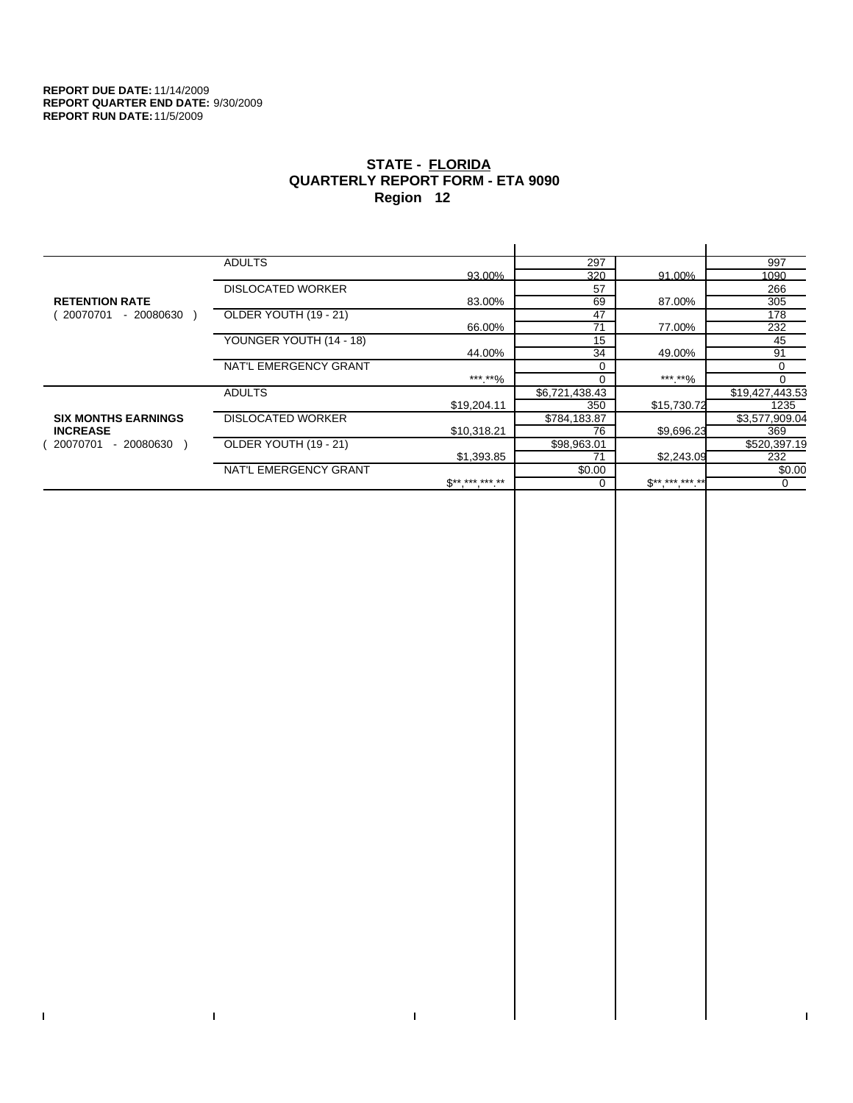$\bar{\Gamma}$ 

 $\Gamma$ 

# **STATE - FLORIDA QUARTERLY REPORT FORM - ETA 9090 Region 12**

|                            | <b>ADULTS</b>            |              | 297            |              | 997             |
|----------------------------|--------------------------|--------------|----------------|--------------|-----------------|
|                            |                          | 93.00%       | 320            | 91.00%       | 1090            |
|                            | <b>DISLOCATED WORKER</b> |              | 57             |              | 266             |
| <b>RETENTION RATE</b>      |                          | 83.00%       | 69             | 87.00%       | 305             |
| - 20080630<br>20070701     | OLDER YOUTH (19 - 21)    |              | 47             |              | 178             |
|                            |                          | 66.00%       | 71             | 77.00%       | 232             |
|                            | YOUNGER YOUTH (14 - 18)  |              | 15             |              | 45              |
|                            |                          | 44.00%       | 34             | 49.00%       | 91              |
|                            | NAT'L EMERGENCY GRANT    |              |                |              | 0               |
|                            |                          | ***.**%      | $\Omega$       | ***.**%      | $\Omega$        |
|                            | <b>ADULTS</b>            |              | \$6,721,438.43 |              | \$19,427,443.53 |
|                            |                          | \$19,204.11  | 350            | \$15,730.72  | 1235            |
| <b>SIX MONTHS EARNINGS</b> | <b>DISLOCATED WORKER</b> |              | \$784,183.87   |              | \$3,577,909.04  |
| <b>INCREASE</b>            |                          | \$10.318.21  | 76             | \$9,696.23   | 369             |
| - 20080630<br>20070701     | OLDER YOUTH (19 - 21)    |              | \$98,963.01    |              | \$520,397.19    |
|                            |                          | \$1,393.85   | 71             | \$2,243.09   | 232             |
|                            | NAT'L EMERGENCY GRANT    |              | \$0.00         |              | \$0.00          |
|                            |                          | $S*********$ |                | $$********"$ | 0               |
|                            |                          |              |                |              |                 |

 $\bar{\Gamma}$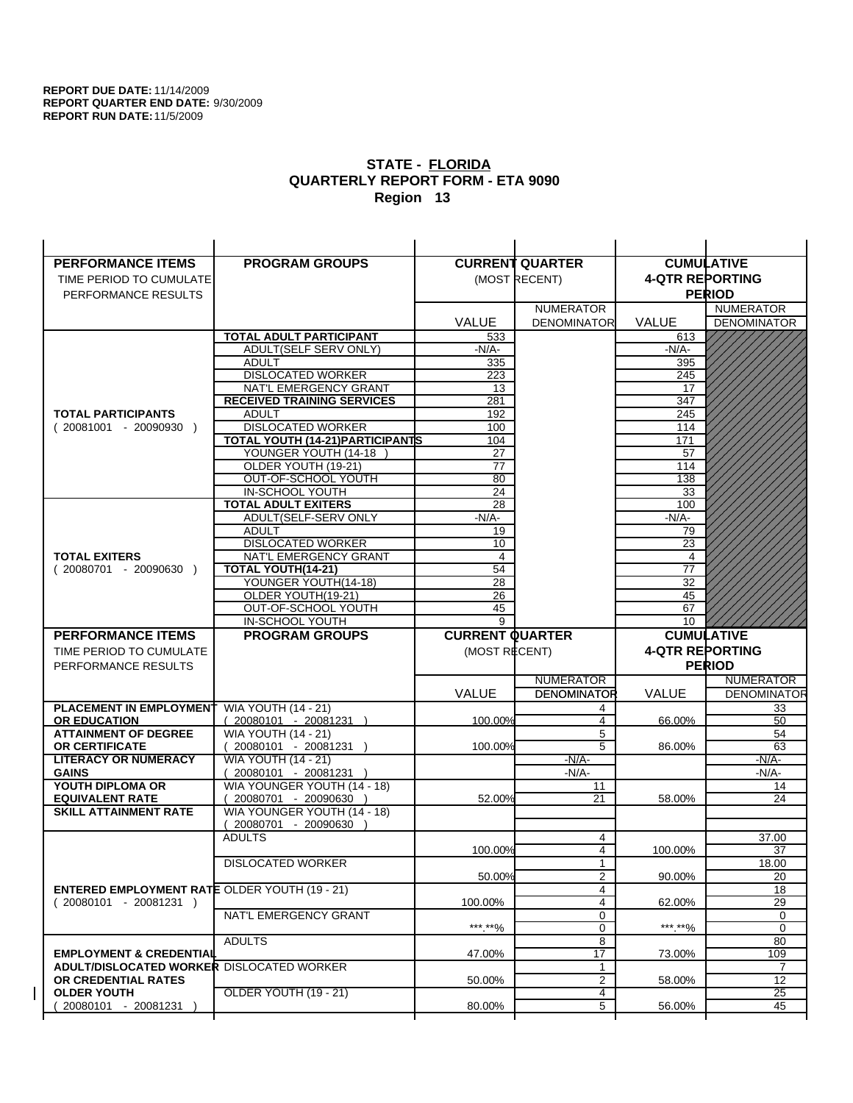| <b>PERFORMANCE ITEMS</b>                             | <b>PROGRAM GROUPS</b>                                |                        | <b>CURRENT QUARTER</b> |                        | <b>CUMULATIVE</b>     |
|------------------------------------------------------|------------------------------------------------------|------------------------|------------------------|------------------------|-----------------------|
| TIME PERIOD TO CUMULATE                              |                                                      |                        | (MOST RECENT)          | <b>4-QTR REPORTING</b> |                       |
| PERFORMANCE RESULTS                                  |                                                      |                        |                        |                        | <b>PERIOD</b>         |
|                                                      |                                                      |                        | <b>NUMERATOR</b>       |                        | <b>NUMERATOR</b>      |
|                                                      |                                                      | <b>VALUE</b>           | <b>DENOMINATOR</b>     | VALUE                  | <b>DENOMINATOR</b>    |
|                                                      | <b>TOTAL ADULT PARTICIPANT</b>                       | 533                    |                        | 613                    |                       |
|                                                      | <b>ADULT(SELF SERV ONLY)</b>                         | -N/A-                  |                        | -N/A-                  |                       |
|                                                      | <b>ADULT</b>                                         | 335                    |                        | 395                    |                       |
|                                                      | <b>DISLOCATED WORKER</b>                             | 223                    |                        | 245                    |                       |
|                                                      | NAT'L EMERGENCY GRANT                                | 13                     |                        | 17                     |                       |
| <b>TOTAL PARTICIPANTS</b>                            | <b>RECEIVED TRAINING SERVICES</b><br><b>ADULT</b>    | 281                    |                        | 347                    |                       |
| $(20081001 - 20090930)$                              | <b>DISLOCATED WORKER</b>                             | 192<br>100             |                        | 245<br>114             |                       |
|                                                      | TOTAL YOUTH (14-21) PARTICIPANTS                     | 104                    |                        | 171                    |                       |
|                                                      | YOUNGER YOUTH (14-18                                 | 27                     |                        | 57                     |                       |
|                                                      | OLDER YOUTH (19-21)                                  | 77                     |                        | 114                    |                       |
|                                                      | OUT-OF-SCHOOL YOUTH                                  | 80                     |                        | 138                    |                       |
|                                                      | IN-SCHOOL YOUTH                                      | 24                     |                        | 33                     |                       |
|                                                      | <b>TOTAL ADULT EXITERS</b>                           | 28                     |                        | 100                    |                       |
|                                                      | ADULT(SELF-SERV ONLY                                 | $-N/A$ -               |                        | -N/A-                  |                       |
|                                                      | <b>ADULT</b>                                         | 19                     |                        | 79                     |                       |
| <b>TOTAL EXITERS</b>                                 | <b>DISLOCATED WORKER</b><br>NAT'L EMERGENCY GRANT    | 10<br>4                |                        | 23<br>$\overline{4}$   |                       |
| $(20080701 - 20090630)$                              | TOTAL YOUTH(14-21)                                   | 54                     |                        | 77                     |                       |
|                                                      | YOUNGER YOUTH(14-18)                                 | 28                     |                        | 32                     |                       |
|                                                      | OLDER YOUTH(19-21)                                   | 26                     |                        | 45                     |                       |
|                                                      | OUT-OF-SCHOOL YOUTH                                  | 45                     |                        | 67                     |                       |
|                                                      | IN-SCHOOL YOUTH                                      | 9                      |                        | 10                     |                       |
|                                                      |                                                      |                        |                        |                        |                       |
| <b>PERFORMANCE ITEMS</b>                             | <b>PROGRAM GROUPS</b>                                | <b>CURRENT QUARTER</b> |                        |                        | <b>CUMULATIVE</b>     |
| TIME PERIOD TO CUMULATE                              |                                                      | (MOST RECENT)          |                        | <b>4-QTR REPORTING</b> |                       |
| PERFORMANCE RESULTS                                  |                                                      |                        |                        |                        | <b>PERIOD</b>         |
|                                                      |                                                      |                        | <b>NUMERATOR</b>       |                        | <b>NUMERATOR</b>      |
|                                                      |                                                      | <b>VALUE</b>           | <b>DENOMINATOR</b>     | <b>VALUE</b>           | <b>DENOMINATOR</b>    |
| <b>PLACEMENT IN EMPLOYMENT</b>                       | <b>WIA YOUTH (14 - 21)</b>                           |                        | 4                      |                        | 33                    |
| <b>OR EDUCATION</b>                                  | $(20080101 - 20081231)$                              | 100.00%                | $\overline{4}$         | 66.00%                 | 50                    |
| <b>ATTAINMENT OF DEGREE</b>                          | <b>WIA YOUTH (14 - 21)</b>                           |                        | 5                      |                        | 54                    |
| OR CERTIFICATE                                       | 20080101 - 20081231 )                                | 100.00%                | 5                      | 86.00%                 | 63                    |
| <b>LITERACY OR NUMERACY</b>                          | <b>WIA YOUTH (14 - 21)</b>                           |                        | $-N/A$ -               |                        | -N/A-                 |
| <b>GAINS</b><br>YOUTH DIPLOMA OR                     | 20080101 - 20081231 )                                |                        | $-N/A-$<br>11          |                        | $-N/A-$<br>14         |
| <b>EQUIVALENT RATE</b>                               | WIA YOUNGER YOUTH (14 - 18)<br>20080701 - 20090630 ) | 52.00%                 | 21                     | 58.00%                 | 24                    |
| <b>SKILL ATTAINMENT RATE</b>                         | WIA YOUNGER YOUTH (14 - 18)                          |                        |                        |                        |                       |
|                                                      | (20080701 - 20090630                                 |                        |                        |                        |                       |
|                                                      | <b>ADULTS</b>                                        |                        | 4                      |                        | 37.00                 |
|                                                      |                                                      | 100.00%                | 4                      | 100.00%                | 37                    |
|                                                      | <b>DISLOCATED WORKER</b>                             |                        |                        |                        | 18.00                 |
|                                                      |                                                      | 50.00%                 | $\overline{2}$         | 90.00%                 | 20                    |
| <b>ENTERED EMPLOYMENT RATE OLDER YOUTH (19 - 21)</b> |                                                      |                        | 4                      |                        | 18                    |
| $(20080101 - 20081231)$                              | NAT'L EMERGENCY GRANT                                | 100.00%                | 4<br>0                 | 62.00%                 | 29<br>0               |
|                                                      |                                                      | *** **%                | 0                      | ***.**%                | 0                     |
|                                                      | <b>ADULTS</b>                                        |                        | 8                      |                        | 80                    |
| <b>EMPLOYMENT &amp; CREDENTIAL</b>                   |                                                      | 47.00%                 | $\overline{17}$        | 73.00%                 | 109                   |
| <b>ADULT/DISLOCATED WORKER DISLOCATED WORKER</b>     |                                                      |                        | 1                      |                        | 7                     |
| OR CREDENTIAL RATES                                  |                                                      | 50.00%                 | $\overline{2}$         | 58.00%                 | 12                    |
| <b>OLDER YOUTH</b><br>20080101 - 20081231            | OLDER YOUTH (19 - 21)                                | 80.00%                 | 4<br>5                 | 56.00%                 | $\overline{25}$<br>45 |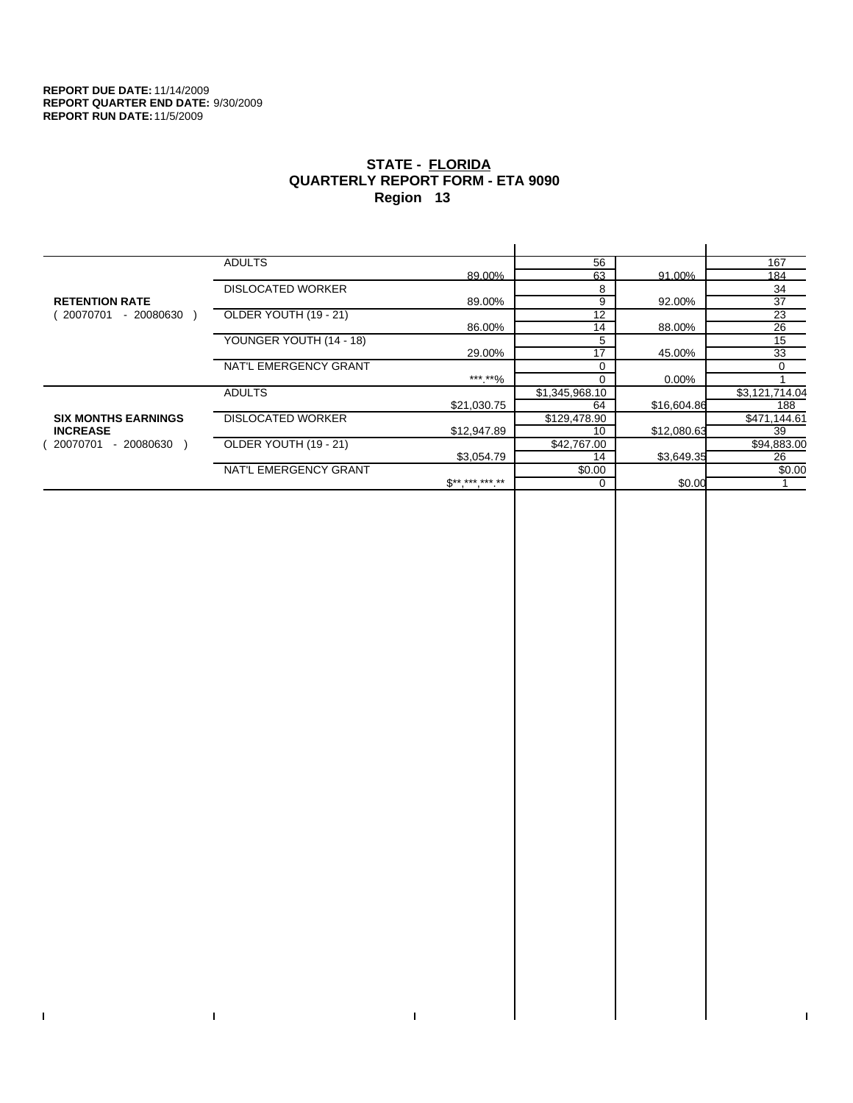$\bar{\Gamma}$ 

 $\Gamma$ 

# **STATE - FLORIDA QUARTERLY REPORT FORM - ETA 9090 Region 13**

|                            | <b>ADULTS</b>            |                 | 56             |             | 167             |
|----------------------------|--------------------------|-----------------|----------------|-------------|-----------------|
|                            |                          | 89.00%          | 63             | 91.00%      | 184             |
|                            | <b>DISLOCATED WORKER</b> |                 | 8              |             | 34              |
| <b>RETENTION RATE</b>      |                          | 89.00%          | 9              | 92.00%      | 37              |
| - 20080630<br>20070701     | OLDER YOUTH (19 - 21)    |                 | 12             |             | $\overline{23}$ |
|                            |                          | 86.00%          | 14             | 88.00%      | 26              |
|                            | YOUNGER YOUTH (14 - 18)  |                 | 5              |             | 15              |
|                            |                          | 29.00%          | 17             | 45.00%      | 33              |
|                            | NAT'L EMERGENCY GRANT    |                 |                |             | $\Omega$        |
|                            |                          | ***.**%         |                | 0.00%       |                 |
|                            | <b>ADULTS</b>            |                 | \$1,345,968.10 |             | \$3,121,714.04  |
|                            |                          | \$21,030.75     | 64             | \$16,604.86 | 188             |
| <b>SIX MONTHS EARNINGS</b> | <b>DISLOCATED WORKER</b> |                 | \$129,478.90   |             | \$471,144.61    |
| <b>INCREASE</b>            |                          | \$12,947.89     | 10             | \$12,080.63 | 39              |
| 20070701<br>- 20080630 )   | OLDER YOUTH (19 - 21)    |                 | \$42,767.00    |             | \$94,883.00     |
|                            |                          | \$3,054.79      | 14             | \$3,649.35  | 26              |
|                            | NAT'L EMERGENCY GRANT    |                 | \$0.00         |             | \$0.00          |
|                            |                          | $S^{*********}$ | $\Omega$       | \$0.00      |                 |
|                            |                          |                 |                |             |                 |

 $\bar{\Gamma}$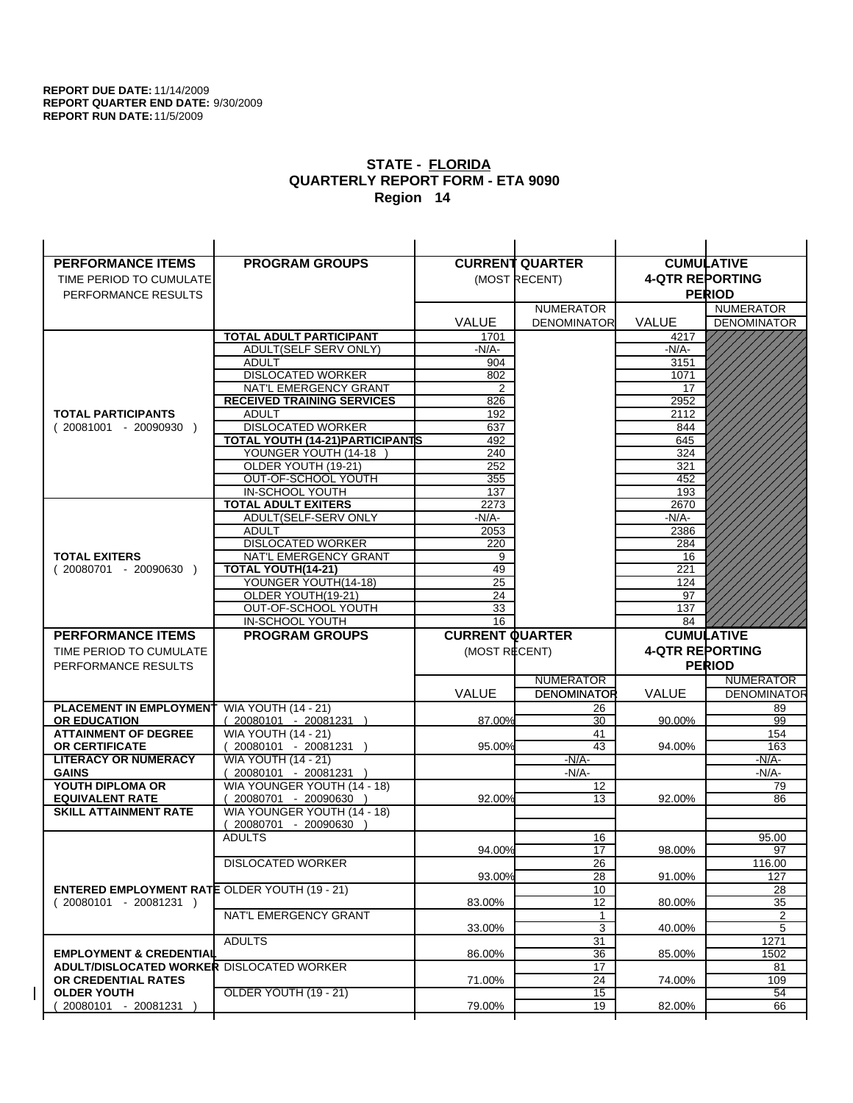| <b>PERFORMANCE ITEMS</b>                             | <b>PROGRAM GROUPS</b>                                    |                        | <b>CURRENT QUARTER</b>   |                        | <b>CUMULATIVE</b>        |
|------------------------------------------------------|----------------------------------------------------------|------------------------|--------------------------|------------------------|--------------------------|
| TIME PERIOD TO CUMULATE                              |                                                          |                        | (MOST RECENT)            | <b>4-QTR REPORTING</b> |                          |
| PERFORMANCE RESULTS                                  |                                                          |                        |                          |                        | <b>PERIOD</b>            |
|                                                      |                                                          |                        | <b>NUMERATOR</b>         |                        | <b>NUMERATOR</b>         |
|                                                      |                                                          | <b>VALUE</b>           | <b>DENOMINATOR</b>       | <b>VALUE</b>           | <b>DENOMINATOR</b>       |
|                                                      | <b>TOTAL ADULT PARTICIPANT</b>                           | 1701                   |                          | 4217                   |                          |
|                                                      | ADULT(SELF SERV ONLY)                                    | $-N/A-$                |                          | -N/A-                  |                          |
|                                                      | <b>ADULT</b>                                             | 904                    |                          | 3151                   |                          |
|                                                      | <b>DISLOCATED WORKER</b>                                 | 802                    |                          | 1071                   |                          |
|                                                      | NAT'L EMERGENCY GRANT                                    | 2                      |                          | 17                     |                          |
|                                                      | <b>RECEIVED TRAINING SERVICES</b>                        | 826                    |                          | 2952                   |                          |
| <b>TOTAL PARTICIPANTS</b>                            | <b>ADULT</b>                                             | 192                    |                          | 2112                   |                          |
| $(20081001 - 20090930)$                              | <b>DISLOCATED WORKER</b>                                 | 637                    |                          | 844                    |                          |
|                                                      | TOTAL YOUTH (14-21) PARTICIPANTS<br>YOUNGER YOUTH (14-18 | 492<br>240             |                          | 645<br>324             |                          |
|                                                      | OLDER YOUTH (19-21)                                      | 252                    |                          | 321                    |                          |
|                                                      | OUT-OF-SCHOOL YOUTH                                      | 355                    |                          | 452                    |                          |
|                                                      | IN-SCHOOL YOUTH                                          | 137                    |                          | 193                    |                          |
|                                                      | <b>TOTAL ADULT EXITERS</b>                               | 2273                   |                          | 2670                   |                          |
|                                                      | ADULT(SELF-SERV ONLY                                     | -N/A-                  |                          | $-N/A$ -               |                          |
|                                                      | <b>ADULT</b>                                             | 2053                   |                          | 2386                   |                          |
|                                                      | <b>DISLOCATED WORKER</b>                                 | 220                    |                          | 284                    |                          |
| <b>TOTAL EXITERS</b>                                 | NAT'L EMERGENCY GRANT                                    | 9                      |                          | 16                     |                          |
| $(20080701 - 20090630)$                              | TOTAL YOUTH(14-21)                                       | 49                     |                          | 221                    |                          |
|                                                      | YOUNGER YOUTH(14-18)                                     | 25                     |                          | 124                    |                          |
|                                                      | OLDER YOUTH(19-21)<br>OUT-OF-SCHOOL YOUTH                | 24<br>33               |                          | 97<br>137              |                          |
|                                                      | <b>IN-SCHOOL YOUTH</b>                                   | $\overline{16}$        |                          | 84                     |                          |
|                                                      |                                                          |                        |                          |                        |                          |
| <b>PERFORMANCE ITEMS</b>                             |                                                          |                        |                          |                        |                          |
|                                                      | <b>PROGRAM GROUPS</b>                                    | <b>CURRENT QUARTER</b> |                          |                        | <b>CUMULATIVE</b>        |
| TIME PERIOD TO CUMULATE                              |                                                          | (MOST RECENT)          |                          | <b>4-QTR REPORTING</b> |                          |
| PERFORMANCE RESULTS                                  |                                                          |                        |                          |                        | <b>PERIOD</b>            |
|                                                      |                                                          |                        | <b>NUMERATOR</b>         |                        | <b>NUMERATOR</b>         |
|                                                      |                                                          | <b>VALUE</b>           | <b>DENOMINATOR</b><br>26 | VALUE                  | <b>DENOMINATOR</b><br>89 |
| PLACEMENT IN EMPLOYMENT<br><b>OR EDUCATION</b>       | <b>WIA YOUTH (14 - 21)</b><br>$(20080101 - 20081231)$    | 87.00%                 | 30                       | 90.00%                 | 99                       |
| <b>ATTAINMENT OF DEGREE</b>                          | <b>WIA YOUTH (14 - 21)</b>                               |                        | 41                       |                        | 154                      |
| <b>OR CERTIFICATE</b>                                | 20080101 - 20081231 )                                    | 95.00%                 | 43                       | 94.00%                 | 163                      |
| <b>LITERACY OR NUMERACY</b>                          | <b>WIA YOUTH (14 - 21)</b>                               |                        | $-N/A-$                  |                        | $-N/A$ -                 |
| <b>GAINS</b>                                         | 20080101 - 20081231 )                                    |                        | $-N/A-$                  |                        | -N/A-                    |
| YOUTH DIPLOMA OR                                     | WIA YOUNGER YOUTH (14 - 18)                              |                        | 12                       |                        | 79                       |
| <b>EQUIVALENT RATE</b>                               | 20080701 - 20090630 )                                    | 92.00%                 | 13                       | 92.00%                 | 86                       |
| <b>SKILL ATTAINMENT RATE</b>                         | WIA YOUNGER YOUTH (14 - 18)                              |                        |                          |                        |                          |
|                                                      | (20080701 - 20090630                                     |                        |                          |                        |                          |
|                                                      | <b>ADULTS</b>                                            | 94.00%                 | 16<br>17                 | 98.00%                 | 95.00<br>97              |
|                                                      | <b>DISLOCATED WORKER</b>                                 |                        |                          |                        | 116.00                   |
|                                                      |                                                          | 93.00%                 | $\overline{26}$<br>28    | 91.00%                 | 127                      |
| <b>ENTERED EMPLOYMENT RATE OLDER YOUTH (19 - 21)</b> |                                                          |                        | 10                       |                        | 28                       |
| $(20080101 - 20081231)$                              |                                                          | 83.00%                 | 12                       | 80.00%                 | 35                       |
|                                                      | NAT'L EMERGENCY GRANT                                    |                        | $\mathbf{1}$             |                        | 2                        |
|                                                      |                                                          | 33.00%                 | 3                        | 40.00%                 | 5                        |
|                                                      | <b>ADULTS</b>                                            |                        | 31                       |                        | 1271                     |
| <b>EMPLOYMENT &amp; CREDENTIAL</b>                   |                                                          | 86.00%                 | 36                       | 85.00%                 | 1502                     |
| <b>ADULT/DISLOCATED WORKER DISLOCATED WORKER</b>     |                                                          |                        | 17                       |                        | 81                       |
| OR CREDENTIAL RATES<br><b>OLDER YOUTH</b>            | <b>OLDER YOUTH (19 - 21)</b>                             | 71.00%                 | 24<br>$\overline{15}$    | 74.00%                 | 109<br>54                |
| 20080101 - 20081231                                  |                                                          | 79.00%                 | 19                       | 82.00%                 | 66                       |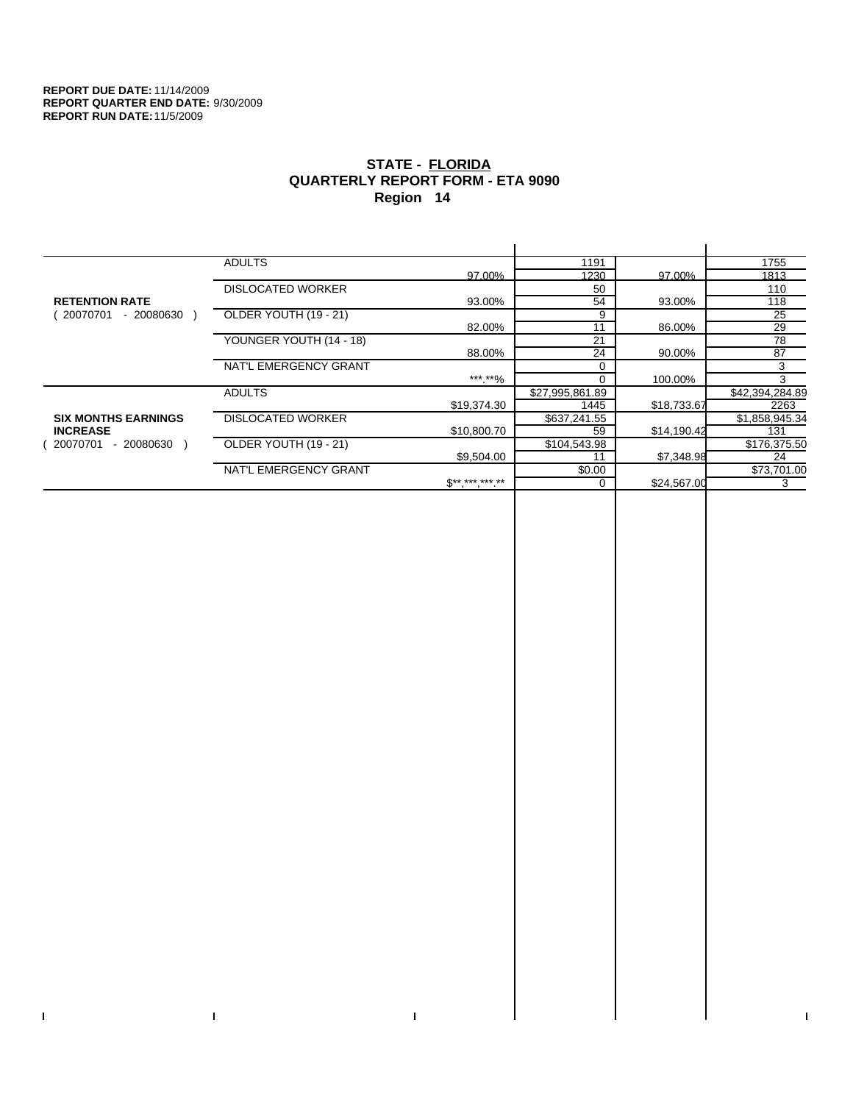$\bar{\Gamma}$ 

 $\Gamma$ 

# **STATE - FLORIDA QUARTERLY REPORT FORM - ETA 9090 Region 14**

|                            | <b>ADULTS</b>            |                              | 1191            |             | 1755            |
|----------------------------|--------------------------|------------------------------|-----------------|-------------|-----------------|
|                            |                          | 97.00%                       | 1230            | 97.00%      | 1813            |
|                            | <b>DISLOCATED WORKER</b> |                              | 50              |             | 110             |
| <b>RETENTION RATE</b>      |                          | 93.00%                       | 54              | 93.00%      | 118             |
| - 20080630<br>20070701     | OLDER YOUTH (19 - 21)    |                              | 9               |             | 25              |
|                            |                          | 82.00%                       | 11              | 86.00%      | 29              |
|                            | YOUNGER YOUTH (14 - 18)  |                              | 21              |             | 78              |
|                            |                          | 88.00%                       | 24              | 90.00%      | 87              |
|                            | NAT'L EMERGENCY GRANT    |                              |                 |             | 3               |
|                            |                          | ***.**%                      |                 | 100.00%     | 3               |
|                            | <b>ADULTS</b>            |                              | \$27,995,861.89 |             | \$42,394,284.89 |
|                            |                          | \$19,374.30                  | 1445            | \$18,733.67 | 2263            |
| <b>SIX MONTHS EARNINGS</b> | <b>DISLOCATED WORKER</b> |                              | \$637,241.55    |             | \$1,858,945.34  |
| <b>INCREASE</b>            |                          | \$10,800.70                  | 59              | \$14,190.42 | 131             |
| - 20080630<br>20070701     | OLDER YOUTH (19 - 21)    |                              | \$104,543.98    |             | \$176,375.50    |
|                            |                          | \$9,504.00                   | 11              | \$7,348.98  | 24              |
|                            | NAT'L EMERGENCY GRANT    |                              | \$0.00          |             | \$73,701.00     |
|                            |                          | $\mathbb{S}^{**}$ *** *** ** |                 | \$24,567.00 | 3               |
|                            |                          |                              |                 |             |                 |

 $\bar{\Gamma}$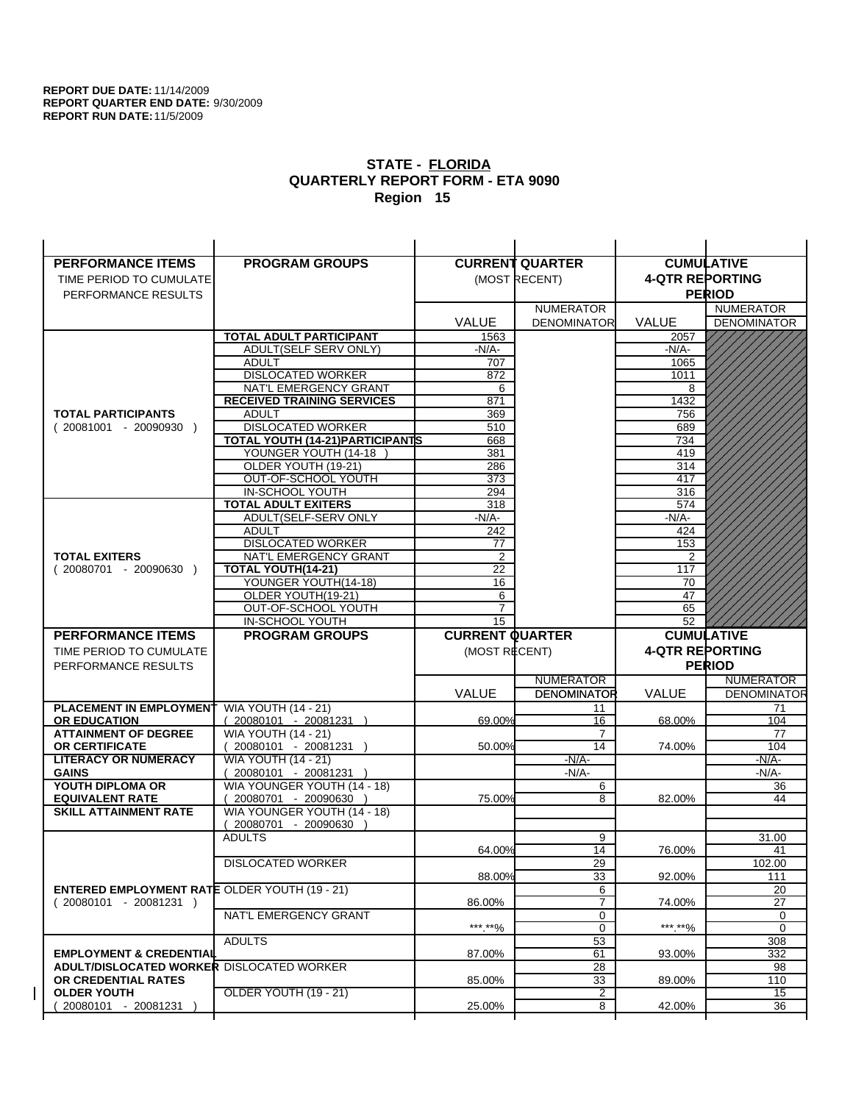| <b>PERFORMANCE ITEMS</b>                             | <b>PROGRAM GROUPS</b>                             |                        | <b>CURRENT QUARTER</b> |                        | <b>CUMULATIVE</b>  |
|------------------------------------------------------|---------------------------------------------------|------------------------|------------------------|------------------------|--------------------|
| TIME PERIOD TO CUMULATE                              |                                                   |                        | (MOST RECENT)          | <b>4-QTR REPORTING</b> |                    |
| PERFORMANCE RESULTS                                  |                                                   |                        |                        |                        | <b>PERIOD</b>      |
|                                                      |                                                   |                        | <b>NUMERATOR</b>       |                        | <b>NUMERATOR</b>   |
|                                                      |                                                   | <b>VALUE</b>           | <b>DENOMINATOR</b>     | <b>VALUE</b>           | <b>DENOMINATOR</b> |
|                                                      | <b>TOTAL ADULT PARTICIPANT</b>                    | 1563                   |                        | 2057                   |                    |
|                                                      | ADULT(SELF SERV ONLY)                             | $-N/A-$                |                        | -N/A-                  |                    |
|                                                      | <b>ADULT</b>                                      | 707                    |                        | 1065                   |                    |
|                                                      | <b>DISLOCATED WORKER</b>                          | 872                    |                        | 1011                   |                    |
|                                                      | NAT'L EMERGENCY GRANT                             | 6                      |                        | 8                      |                    |
|                                                      | <b>RECEIVED TRAINING SERVICES</b>                 | 871                    |                        | 1432                   |                    |
| <b>TOTAL PARTICIPANTS</b>                            | <b>ADULT</b>                                      | 369                    |                        | 756                    |                    |
| $(20081001 - 20090930)$                              | <b>DISLOCATED WORKER</b>                          | 510                    |                        | 689                    |                    |
|                                                      | TOTAL YOUTH (14-21) PARTICIPANTS                  | 668                    |                        | 734                    |                    |
|                                                      | YOUNGER YOUTH (14-18                              | 381                    |                        | 419                    |                    |
|                                                      | OLDER YOUTH (19-21)                               | 286                    |                        | 314                    |                    |
|                                                      | OUT-OF-SCHOOL YOUTH                               | 373                    |                        | 417                    |                    |
|                                                      | IN-SCHOOL YOUTH                                   | 294                    |                        | 316                    |                    |
|                                                      | <b>TOTAL ADULT EXITERS</b>                        | 318                    |                        | 574                    |                    |
|                                                      | ADULT(SELF-SERV ONLY                              | -N/A-                  |                        | $-N/A-$                |                    |
|                                                      | <b>ADULT</b><br><b>DISLOCATED WORKER</b>          | 242                    |                        | 424<br>153             |                    |
| <b>TOTAL EXITERS</b>                                 | NAT'L EMERGENCY GRANT                             | 77<br>2                |                        | 2                      |                    |
| $(20080701 - 20090630)$                              | <b>TOTAL YOUTH(14-21)</b>                         | 22                     |                        | 117                    |                    |
|                                                      | YOUNGER YOUTH(14-18)                              | 16                     |                        | 70                     |                    |
|                                                      | OLDER YOUTH(19-21)                                | 6                      |                        | 47                     |                    |
|                                                      | OUT-OF-SCHOOL YOUTH                               | $\overline{7}$         |                        | 65                     |                    |
|                                                      | IN-SCHOOL YOUTH                                   | $\overline{15}$        |                        | 52                     |                    |
|                                                      |                                                   |                        |                        |                        |                    |
|                                                      |                                                   |                        |                        |                        |                    |
| <b>PERFORMANCE ITEMS</b>                             | <b>PROGRAM GROUPS</b>                             | <b>CURRENT QUARTER</b> |                        |                        | <b>CUMULATIVE</b>  |
| TIME PERIOD TO CUMULATE                              |                                                   | (MOST RECENT)          |                        | <b>4-QTR REPORTING</b> |                    |
| PERFORMANCE RESULTS                                  |                                                   |                        |                        |                        | <b>PERIOD</b>      |
|                                                      |                                                   |                        | <b>NUMERATOR</b>       |                        | <b>NUMERATOR</b>   |
|                                                      |                                                   | <b>VALUE</b>           | <b>DENOMINATOR</b>     | <b>VALUE</b>           | <b>DENOMINATOR</b> |
| PLACEMENT IN EMPLOYMENT                              | <b>WIA YOUTH (14 - 21)</b>                        |                        | 11                     |                        | 71                 |
| <b>OR EDUCATION</b>                                  | $(20080101 - 20081231)$                           | 69.00%                 | 16                     | 68.00%                 | 104                |
| <b>ATTAINMENT OF DEGREE</b><br><b>OR CERTIFICATE</b> | <b>WIA YOUTH (14 - 21)</b>                        | 50.00%                 | 7<br>14                | 74.00%                 | 77<br>104          |
| <b>LITERACY OR NUMERACY</b>                          | $(20080101 - 20081231)$                           |                        | $-N/A-$                |                        | -N/A-              |
| <b>GAINS</b>                                         | <b>WIA YOUTH (14 - 21)</b><br>20080101 - 20081231 |                        | $-N/A-$                |                        | $-N/A-$            |
| YOUTH DIPLOMA OR                                     | WIA YOUNGER YOUTH (14 - 18)                       |                        | 6                      |                        | 36                 |
| <b>EQUIVALENT RATE</b>                               | 20080701 - 20090630 )                             | 75.00%                 | 8                      | 82.00%                 | 44                 |
| <b>SKILL ATTAINMENT RATE</b>                         | WIA YOUNGER YOUTH (14 - 18)                       |                        |                        |                        |                    |
|                                                      | (20080701 - 20090630                              |                        |                        |                        |                    |
|                                                      | <b>ADULTS</b>                                     |                        | 9                      |                        | 31.00              |
|                                                      |                                                   | 64.00%                 | 14                     | 76.00%                 | 41                 |
|                                                      | <b>DISLOCATED WORKER</b>                          |                        | $\overline{29}$        |                        | 102.00             |
|                                                      |                                                   | 88.00%                 | 33                     | 92.00%                 | 111                |
| <b>ENTERED EMPLOYMENT RATE OLDER YOUTH (19 - 21)</b> |                                                   |                        | 6                      |                        | 20                 |
| $(20080101 - 20081231)$                              |                                                   | 86.00%                 | $\overline{7}$         | 74.00%                 | 27                 |
|                                                      | NAT'L EMERGENCY GRANT                             |                        | 0                      |                        | 0                  |
|                                                      |                                                   | ***.**%                | 0                      | ***.**%                | 0                  |
|                                                      | <b>ADULTS</b>                                     |                        | 53                     |                        | 308                |
| <b>EMPLOYMENT &amp; CREDENTIAL</b>                   |                                                   | 87.00%                 | 61                     | 93.00%                 | 332                |
| <b>ADULT/DISLOCATED WORKER DISLOCATED WORKER</b>     |                                                   |                        | 28                     |                        | 98                 |
| OR CREDENTIAL RATES                                  |                                                   | 85.00%                 | 33                     | 89.00%                 | 110                |
| <b>OLDER YOUTH</b><br>20080101 - 20081231            | OLDER YOUTH (19 - 21)                             | 25.00%                 | $\overline{c}$<br>8    | 42.00%                 | 15<br>36           |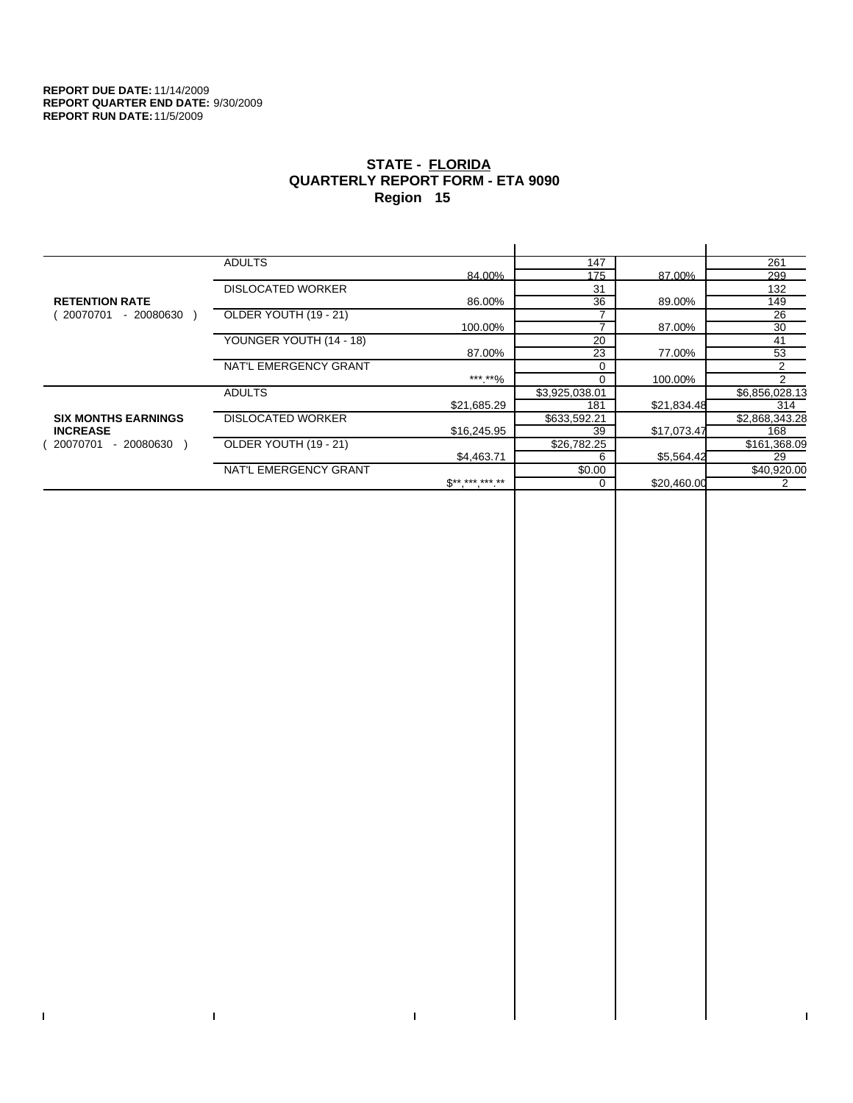$\bar{\Gamma}$ 

 $\Gamma$ 

# **STATE - FLORIDA QUARTERLY REPORT FORM - ETA 9090 Region 15**

|                            | <b>ADULTS</b>            |              | 147            |             | 261            |
|----------------------------|--------------------------|--------------|----------------|-------------|----------------|
|                            |                          | 84.00%       | 175            | 87.00%      | 299            |
|                            | <b>DISLOCATED WORKER</b> |              | 31             |             | 132            |
| <b>RETENTION RATE</b>      |                          | 86.00%       | 36             | 89.00%      | 149            |
| 20070701<br>- 20080630     | OLDER YOUTH (19 - 21)    |              |                |             | 26             |
|                            |                          | 100.00%      |                | 87.00%      | 30             |
|                            | YOUNGER YOUTH (14 - 18)  |              | 20             |             | 41             |
|                            |                          | 87.00%       | 23             | 77.00%      | 53             |
|                            | NAT'L EMERGENCY GRANT    |              | $\Omega$       |             | 2              |
|                            |                          | ***.**%      |                | 100.00%     | $\mathcal{P}$  |
|                            | <b>ADULTS</b>            |              | \$3,925,038.01 |             | \$6,856,028.13 |
|                            |                          | \$21,685.29  | 181            | \$21,834.48 | 314            |
| <b>SIX MONTHS EARNINGS</b> | <b>DISLOCATED WORKER</b> |              | \$633,592.21   |             | \$2,868,343.28 |
| <b>INCREASE</b>            |                          | \$16,245.95  | 39             | \$17,073.47 | 168            |
| 20070701<br>- 20080630     | OLDER YOUTH (19 - 21)    |              | \$26,782.25    |             | \$161,368.09   |
|                            |                          | \$4,463.71   | 6              | \$5,564.42  | 29             |
|                            | NAT'L EMERGENCY GRANT    |              | \$0.00         |             | \$40,920.00    |
|                            |                          | $S*********$ | $\Omega$       | \$20,460.00 | 2              |
|                            |                          |              |                |             |                |

 $\bar{\Gamma}$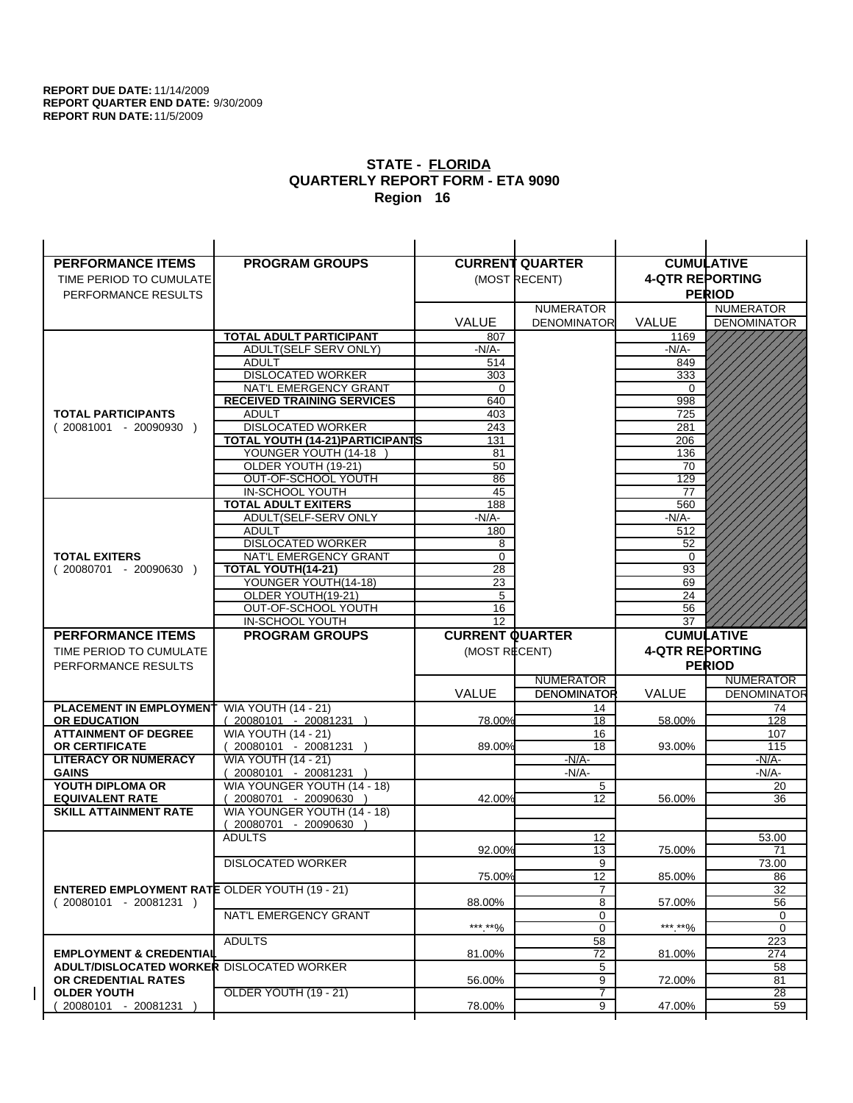| <b>PERFORMANCE ITEMS</b>                                                        | <b>PROGRAM GROUPS</b>                   |                        | <b>CURRENT QUARTER</b> |                        | <b>CUMULATIVE</b>     |
|---------------------------------------------------------------------------------|-----------------------------------------|------------------------|------------------------|------------------------|-----------------------|
| TIME PERIOD TO CUMULATE                                                         |                                         |                        | (MOST RECENT)          | <b>4-QTR REPORTING</b> |                       |
| PERFORMANCE RESULTS                                                             |                                         |                        |                        |                        | <b>PERIOD</b>         |
|                                                                                 |                                         |                        | <b>NUMERATOR</b>       |                        | <b>NUMERATOR</b>      |
|                                                                                 |                                         | <b>VALUE</b>           | <b>DENOMINATOR</b>     | <b>VALUE</b>           | <b>DENOMINATOR</b>    |
|                                                                                 | TOTAL ADULT PARTICIPANT                 | 807                    |                        | 1169                   |                       |
|                                                                                 | ADULT(SELF SERV ONLY)                   | -N/A-                  |                        | -N/A-                  |                       |
|                                                                                 | <b>ADULT</b>                            | 514                    |                        | 849                    |                       |
|                                                                                 | <b>DISLOCATED WORKER</b>                | 303                    |                        | 333                    |                       |
|                                                                                 | NAT'L EMERGENCY GRANT                   | 0                      |                        | $\Omega$               |                       |
|                                                                                 | <b>RECEIVED TRAINING SERVICES</b>       | 640                    |                        | 998                    |                       |
| <b>TOTAL PARTICIPANTS</b>                                                       | <b>ADULT</b>                            | 403                    |                        | 725                    |                       |
| $(20081001 - 20090930)$                                                         | <b>DISLOCATED WORKER</b>                | 243                    |                        | 281                    |                       |
|                                                                                 | <b>TOTAL YOUTH (14-21) PARTICIPANTS</b> | 131                    |                        | 206                    |                       |
|                                                                                 | YOUNGER YOUTH (14-18                    | 81                     |                        | 136                    |                       |
|                                                                                 | OLDER YOUTH (19-21)                     | 50                     |                        | 70                     |                       |
|                                                                                 | OUT-OF-SCHOOL YOUTH<br>IN-SCHOOL YOUTH  | 86                     |                        | 129                    |                       |
|                                                                                 | <b>TOTAL ADULT EXITERS</b>              | 45<br>188              |                        | 77<br>560              |                       |
|                                                                                 | ADULT(SELF-SERV ONLY                    | $-N/A-$                |                        | $-N/A-$                |                       |
|                                                                                 | <b>ADULT</b>                            | 180                    |                        | 512                    |                       |
|                                                                                 | <b>DISLOCATED WORKER</b>                | 8                      |                        | 52                     |                       |
| <b>TOTAL EXITERS</b>                                                            | NAT'L EMERGENCY GRANT                   | 0                      |                        | 0                      |                       |
| $(20080701 - 20090630)$                                                         | TOTAL YOUTH(14-21)                      | 28                     |                        | 93                     |                       |
|                                                                                 | YOUNGER YOUTH(14-18)                    | 23                     |                        | 69                     |                       |
|                                                                                 | OLDER YOUTH(19-21)                      | 5                      |                        | 24                     |                       |
|                                                                                 | OUT-OF-SCHOOL YOUTH                     | 16                     |                        | 56                     |                       |
|                                                                                 | IN-SCHOOL YOUTH                         | $\overline{12}$        |                        | 37                     |                       |
|                                                                                 |                                         |                        |                        |                        |                       |
| <b>PERFORMANCE ITEMS</b>                                                        | <b>PROGRAM GROUPS</b>                   | <b>CURRENT QUARTER</b> |                        |                        | <b>CUMULATIVE</b>     |
| TIME PERIOD TO CUMULATE                                                         |                                         | (MOST RECENT)          |                        | <b>4-QTR REPORTING</b> |                       |
| PERFORMANCE RESULTS                                                             |                                         |                        |                        |                        | <b>PERIOD</b>         |
|                                                                                 |                                         |                        | <b>NUMERATOR</b>       |                        | <b>NUMERATOR</b>      |
|                                                                                 |                                         | <b>VALUE</b>           | <b>DENOMINATOR</b>     | <b>VALUE</b>           | <b>DENOMINATOR</b>    |
| PLACEMENT IN EMPLOYMENT                                                         | <b>WIA YOUTH (14 - 21)</b>              |                        | 14                     |                        | 74                    |
| <b>OR EDUCATION</b>                                                             | $(20080101 - 20081231)$                 | 78.00%                 | 18                     | 58.00%                 | 128                   |
| <b>ATTAINMENT OF DEGREE</b>                                                     | <b>WIA YOUTH (14 - 21)</b>              |                        | 16                     |                        | 107                   |
| <b>OR CERTIFICATE</b>                                                           | $(20080101 - 20081231)$                 | 89.00%                 | 18                     | 93.00%                 | 115                   |
| <b>LITERACY OR NUMERACY</b>                                                     | <b>WIA YOUTH (14 - 21)</b>              |                        | $-N/A-$                |                        | -N/A-                 |
| <b>GAINS</b>                                                                    | 20080101 - 20081231                     |                        | $-N/A-$                |                        | $-N/A-$               |
| YOUTH DIPLOMA OR                                                                | WIA YOUNGER YOUTH (14 - 18)             |                        | 5                      |                        | 20                    |
| <b>EQUIVALENT RATE</b>                                                          | 20080701 - 20090630 )                   | 42.00%                 | 12                     | 56.00%                 | 36                    |
| <b>SKILL ATTAINMENT RATE</b>                                                    | WIA YOUNGER YOUTH (14 - 18)             |                        |                        |                        |                       |
|                                                                                 | (20080701 - 20090630                    |                        |                        |                        |                       |
|                                                                                 | <b>ADULTS</b>                           |                        | 12                     |                        | 53.00                 |
|                                                                                 |                                         | 92.00%                 | 13                     | 75.00%                 | 71                    |
|                                                                                 | <b>DISLOCATED WORKER</b>                |                        | $\overline{9}$         |                        | 73.00                 |
|                                                                                 |                                         | 75.00%                 | 12<br>$\overline{7}$   | 85.00%                 | 86                    |
| <b>ENTERED EMPLOYMENT RATE OLDER YOUTH (19 - 21)</b><br>$(20080101 - 20081231)$ |                                         | 88.00%                 | 8                      | 57.00%                 | 32<br>56              |
|                                                                                 | NAT'L EMERGENCY GRANT                   |                        | 0                      |                        | 0                     |
|                                                                                 |                                         | ***.**%                | $\mathbf 0$            | *** **%                | 0                     |
|                                                                                 | <b>ADULTS</b>                           |                        | 58                     |                        | 223                   |
| <b>EMPLOYMENT &amp; CREDENTIAL</b>                                              |                                         | 81.00%                 | 72                     | 81.00%                 | 274                   |
| <b>ADULT/DISLOCATED WORKER DISLOCATED WORKER</b>                                |                                         |                        | 5                      |                        | 58                    |
| OR CREDENTIAL RATES                                                             |                                         | 56.00%                 | 9                      | 72.00%                 | 81                    |
| <b>OLDER YOUTH</b><br>20080101 - 20081231                                       | OLDER YOUTH (19 - 21)                   | 78.00%                 | 7<br>9                 | 47.00%                 | $\overline{28}$<br>59 |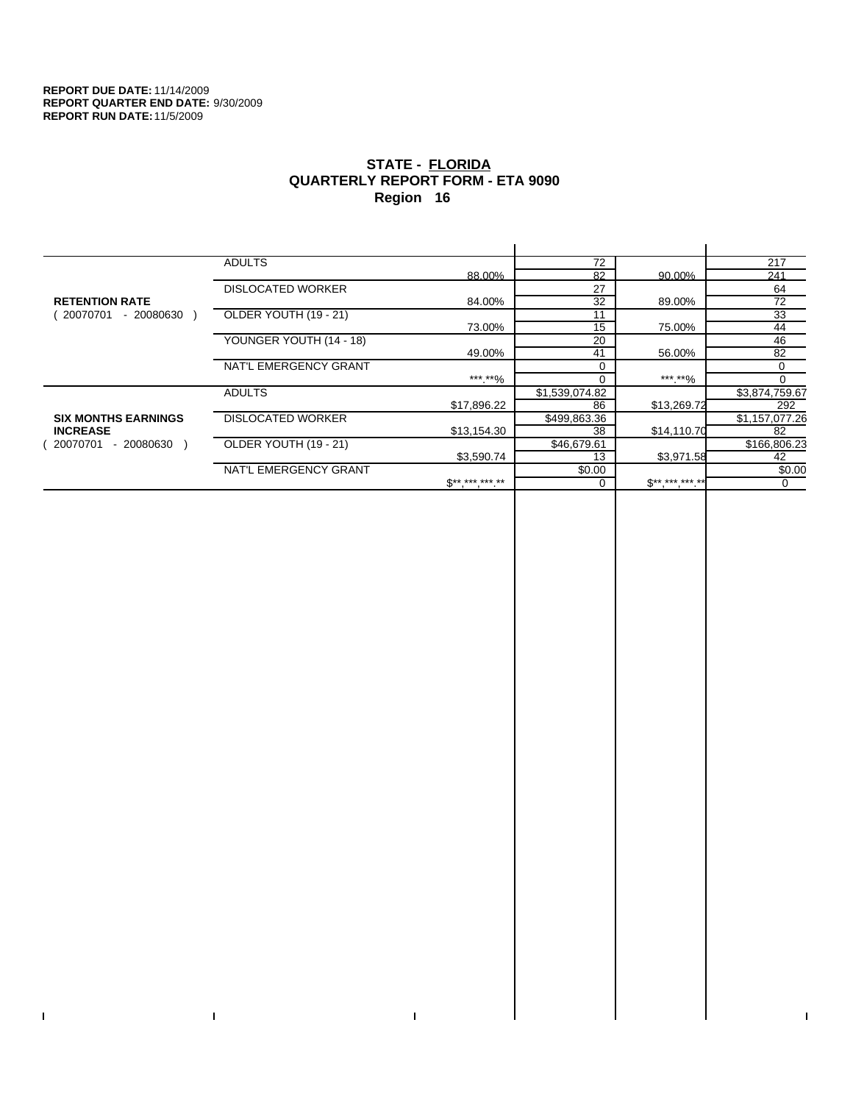$\bar{\Gamma}$ 

 $\Gamma$ 

# **STATE - FLORIDA QUARTERLY REPORT FORM - ETA 9090 Region 16**

|                            | <b>ADULTS</b>            |              | 72             |              | 217            |
|----------------------------|--------------------------|--------------|----------------|--------------|----------------|
|                            |                          | 88.00%       | 82             | 90.00%       | 241            |
|                            | <b>DISLOCATED WORKER</b> |              | 27             |              | 64             |
| <b>RETENTION RATE</b>      |                          | 84.00%       | 32             | 89.00%       | 72             |
| - 20080630<br>20070701     | OLDER YOUTH (19 - 21)    |              | 11             |              | 33             |
|                            |                          | 73.00%       | 15             | 75.00%       | 44             |
|                            | YOUNGER YOUTH (14 - 18)  |              | 20             |              | 46             |
|                            |                          | 49.00%       | 41             | 56.00%       | 82             |
|                            | NAT'L EMERGENCY GRANT    |              |                |              | 0              |
|                            |                          | ***.**%      |                | ***.**%      | $\Omega$       |
|                            | <b>ADULTS</b>            |              | \$1,539,074.82 |              | \$3,874,759.67 |
|                            |                          | \$17,896.22  | 86             | \$13,269.72  | 292            |
| <b>SIX MONTHS EARNINGS</b> | <b>DISLOCATED WORKER</b> |              | \$499,863.36   |              | \$1,157,077.26 |
| <b>INCREASE</b>            |                          | \$13,154.30  | 38             | \$14,110.70  | 82             |
| - 20080630<br>20070701     | OLDER YOUTH (19 - 21)    |              | \$46,679.61    |              | \$166,806.23   |
|                            |                          | \$3,590.74   | 13             | \$3,971.58   | 42             |
|                            | NAT'L EMERGENCY GRANT    |              | \$0.00         |              | \$0.00         |
|                            |                          | $S*********$ |                | $$********"$ | 0              |
|                            |                          |              |                |              |                |

 $\bar{\Gamma}$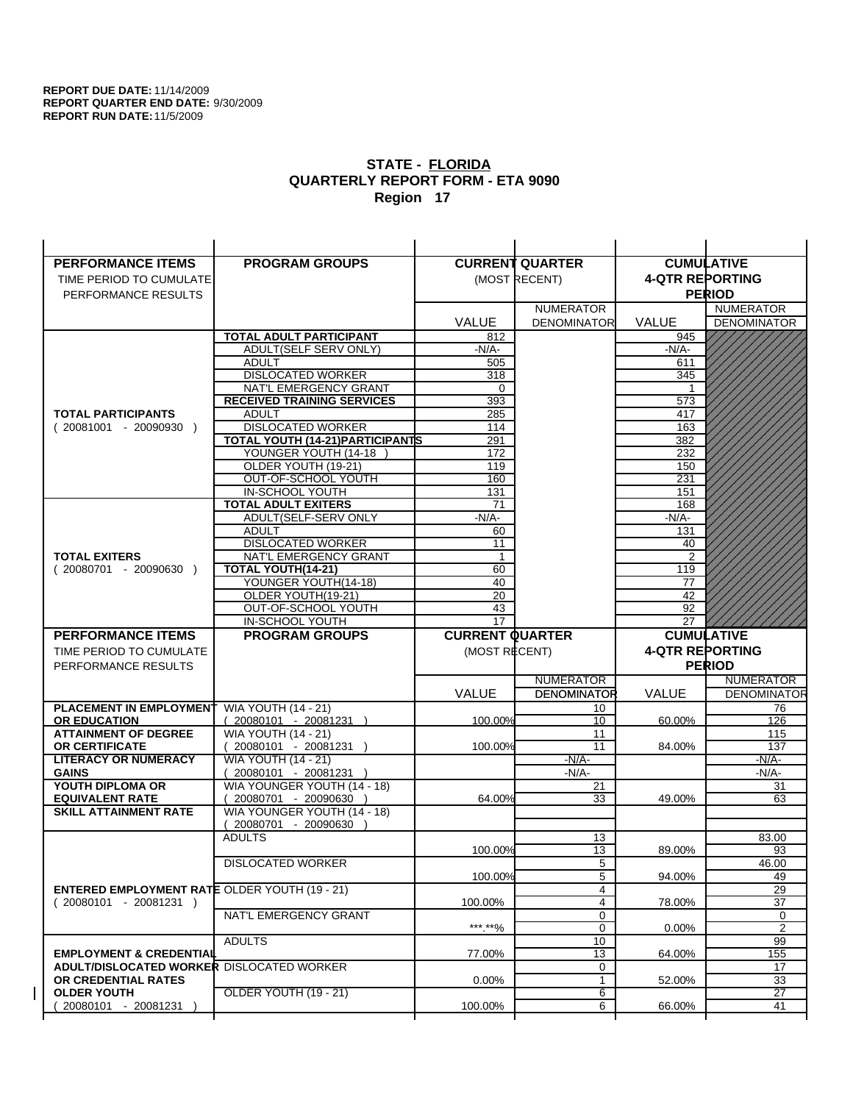| <b>PERFORMANCE ITEMS</b>                             | <b>PROGRAM GROUPS</b>                                        |                        | <b>CURRENT QUARTER</b> |                        | <b>CUMULATIVE</b>    |
|------------------------------------------------------|--------------------------------------------------------------|------------------------|------------------------|------------------------|----------------------|
| TIME PERIOD TO CUMULATE                              |                                                              |                        | (MOST RECENT)          | <b>4-QTR REPORTING</b> |                      |
| PERFORMANCE RESULTS                                  |                                                              |                        |                        |                        | <b>PERIOD</b>        |
|                                                      |                                                              |                        | <b>NUMERATOR</b>       |                        | <b>NUMERATOR</b>     |
|                                                      |                                                              | <b>VALUE</b>           | <b>DENOMINATOR</b>     | VALUE                  | <b>DENOMINATOR</b>   |
|                                                      | <b>TOTAL ADULT PARTICIPANT</b>                               | 812                    |                        | 945                    |                      |
|                                                      | <b>ADULT(SELF SERV ONLY)</b>                                 | -N/A-                  |                        | -N/A-                  |                      |
|                                                      | <b>ADULT</b>                                                 | 505                    |                        | 611                    |                      |
|                                                      | <b>DISLOCATED WORKER</b>                                     | 318                    |                        | 345                    |                      |
|                                                      | NAT'L EMERGENCY GRANT                                        | 0                      |                        |                        |                      |
|                                                      | <b>RECEIVED TRAINING SERVICES</b>                            | 393                    |                        | 573                    |                      |
| <b>TOTAL PARTICIPANTS</b>                            | <b>ADULT</b>                                                 | 285                    |                        | 417                    |                      |
| $(20081001 - 20090930)$                              | <b>DISLOCATED WORKER</b><br>TOTAL YOUTH (14-21) PARTICIPANTS | 114                    |                        | 163                    |                      |
|                                                      | YOUNGER YOUTH (14-18                                         | 291<br>172             |                        | 382<br>232             |                      |
|                                                      | OLDER YOUTH (19-21)                                          | 119                    |                        | 150                    |                      |
|                                                      | OUT-OF-SCHOOL YOUTH                                          | 160                    |                        | 231                    |                      |
|                                                      | IN-SCHOOL YOUTH                                              | 131                    |                        | 151                    |                      |
|                                                      | <b>TOTAL ADULT EXITERS</b>                                   | 71                     |                        | 168                    |                      |
|                                                      | ADULT(SELF-SERV ONLY                                         | $-N/A-$                |                        | $-N/A-$                |                      |
|                                                      | <b>ADULT</b>                                                 | 60                     |                        | 131                    |                      |
|                                                      | <b>DISLOCATED WORKER</b>                                     | 11                     |                        | 40                     |                      |
| <b>TOTAL EXITERS</b>                                 | NAT'L EMERGENCY GRANT                                        | $\mathbf{1}$<br>60     |                        | 2<br>119               |                      |
| $(20080701 - 20090630)$                              | TOTAL YOUTH(14-21)<br>YOUNGER YOUTH(14-18)                   | 40                     |                        | 77                     |                      |
|                                                      | OLDER YOUTH(19-21)                                           | $\overline{20}$        |                        | $\overline{42}$        |                      |
|                                                      | OUT-OF-SCHOOL YOUTH                                          | 43                     |                        | 92                     |                      |
|                                                      | IN-SCHOOL YOUTH                                              | 17                     |                        | 27                     |                      |
|                                                      |                                                              |                        |                        |                        |                      |
| <b>PERFORMANCE ITEMS</b>                             | <b>PROGRAM GROUPS</b>                                        | <b>CURRENT QUARTER</b> |                        |                        | <b>CUMULATIVE</b>    |
| TIME PERIOD TO CUMULATE                              |                                                              | (MOST RECENT)          |                        | <b>4-QTR REPORTING</b> |                      |
| PERFORMANCE RESULTS                                  |                                                              |                        |                        |                        | <b>PERIOD</b>        |
|                                                      |                                                              |                        | <b>NUMERATOR</b>       |                        | <b>NUMERATOR</b>     |
|                                                      |                                                              | <b>VALUE</b>           | <b>DENOMINATOR</b>     | <b>VALUE</b>           | <b>DENOMINATOR</b>   |
| <b>PLACEMENT IN EMPLOYMENT</b>                       | <b>WIA YOUTH (14 - 21)</b>                                   |                        | 10                     |                        | 76                   |
| <b>OR EDUCATION</b>                                  | $(20080101 - 20081231)$                                      | 100.00%                | 10                     | 60.00%                 | 126                  |
| <b>ATTAINMENT OF DEGREE</b>                          | <b>WIA YOUTH (14 - 21)</b>                                   |                        | 11                     |                        | 115                  |
| OR CERTIFICATE                                       | $(20080101 - 20081231)$                                      | 100.00%                | 11                     | 84.00%                 | 137                  |
| <b>LITERACY OR NUMERACY</b>                          | <b>WIA YOUTH (14 - 21)</b>                                   |                        | $-N/A$ -               |                        | -N/A-                |
| <b>GAINS</b><br>YOUTH DIPLOMA OR                     | 20080101 - 20081231                                          |                        | $-N/A-$                |                        | $-N/A-$              |
| <b>EQUIVALENT RATE</b>                               | WIA YOUNGER YOUTH (14 - 18)<br>$(20080701 - 20090630)$       | 64.00%                 | 21<br>33               | 49.00%                 | 31<br>63             |
| <b>SKILL ATTAINMENT RATE</b>                         | WIA YOUNGER YOUTH (14 - 18)                                  |                        |                        |                        |                      |
|                                                      | (20080701 - 20090630                                         |                        |                        |                        |                      |
|                                                      | <b>ADULTS</b>                                                |                        | 13                     |                        | 83.00                |
|                                                      |                                                              | 100.00%                | 13                     | 89.00%                 | 93                   |
|                                                      | <b>DISLOCATED WORKER</b>                                     |                        | 5                      |                        | 46.00                |
|                                                      |                                                              | 100.00%                | 5                      | 94.00%                 | 49                   |
| <b>ENTERED EMPLOYMENT RATE OLDER YOUTH (19 - 21)</b> |                                                              |                        | 4                      |                        | 29                   |
| $(20080101 - 20081231)$                              | NAT'L EMERGENCY GRANT                                        | 100.00%                | 4<br>0                 | 78.00%                 | $\overline{37}$<br>0 |
|                                                      |                                                              | ***.**%                | 0                      | 0.00%                  | 2                    |
|                                                      | <b>ADULTS</b>                                                |                        | 10                     |                        | 99                   |
| <b>EMPLOYMENT &amp; CREDENTIAL</b>                   |                                                              | 77.00%                 | 13                     | 64.00%                 | 155                  |
| ADULT/DISLOCATED WORKER DISLOCATED WORKER            |                                                              |                        | 0                      |                        | 17                   |
| OR CREDENTIAL RATES                                  |                                                              | $0.00\%$               | $\mathbf{1}$           | 52.00%                 | 33                   |
| <b>OLDER YOUTH</b><br>20080101 - 20081231            | OLDER YOUTH (19 - 21)                                        | 100.00%                | 6<br>6                 | 66.00%                 | 27<br>41             |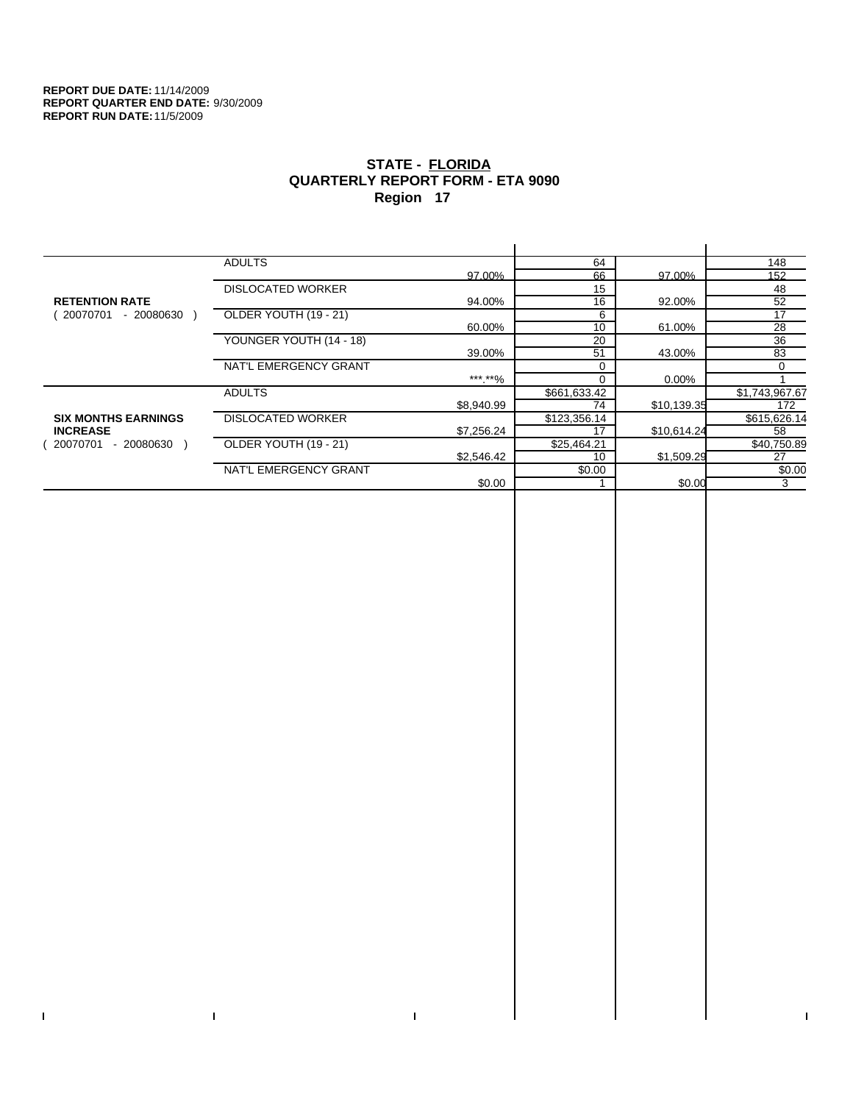$\bar{\Gamma}$ 

 $\mathbf{I}$ 

# **STATE - FLORIDA QUARTERLY REPORT FORM - ETA 9090 Region 17**

|                            | <b>ADULTS</b>            |            | 64           |             | 148            |
|----------------------------|--------------------------|------------|--------------|-------------|----------------|
|                            |                          | 97.00%     | 66           | 97.00%      | 152            |
|                            | <b>DISLOCATED WORKER</b> |            | 15           |             | 48             |
| <b>RETENTION RATE</b>      |                          | 94.00%     | 16           | 92.00%      | 52             |
| 20070701<br>- 20080630     | OLDER YOUTH (19 - 21)    |            | 6            |             | 17             |
|                            |                          | 60.00%     | 10           | 61.00%      | 28             |
|                            | YOUNGER YOUTH (14 - 18)  |            | 20           |             | 36             |
|                            |                          | 39.00%     | 51           | 43.00%      | 83             |
|                            | NAT'L EMERGENCY GRANT    |            |              |             | 0              |
|                            |                          | ***.**%    |              | 0.00%       |                |
|                            | <b>ADULTS</b>            |            | \$661,633.42 |             | \$1,743,967.67 |
|                            |                          | \$8,940.99 | 74           | \$10,139.35 | 172            |
| <b>SIX MONTHS EARNINGS</b> | <b>DISLOCATED WORKER</b> |            | \$123,356.14 |             | \$615,626.14   |
| <b>INCREASE</b>            |                          | \$7,256.24 | 17           | \$10,614.24 | 58             |
| - 20080630<br>20070701     | OLDER YOUTH (19 - 21)    |            | \$25,464.21  |             | \$40,750.89    |
|                            |                          | \$2,546.42 | 10           | \$1,509.29  | 27             |
|                            | NAT'L EMERGENCY GRANT    |            | \$0.00       |             | \$0.00         |
|                            |                          | \$0.00     |              | \$0.00      | 3              |
|                            |                          |            |              |             |                |

 $\bar{\Gamma}$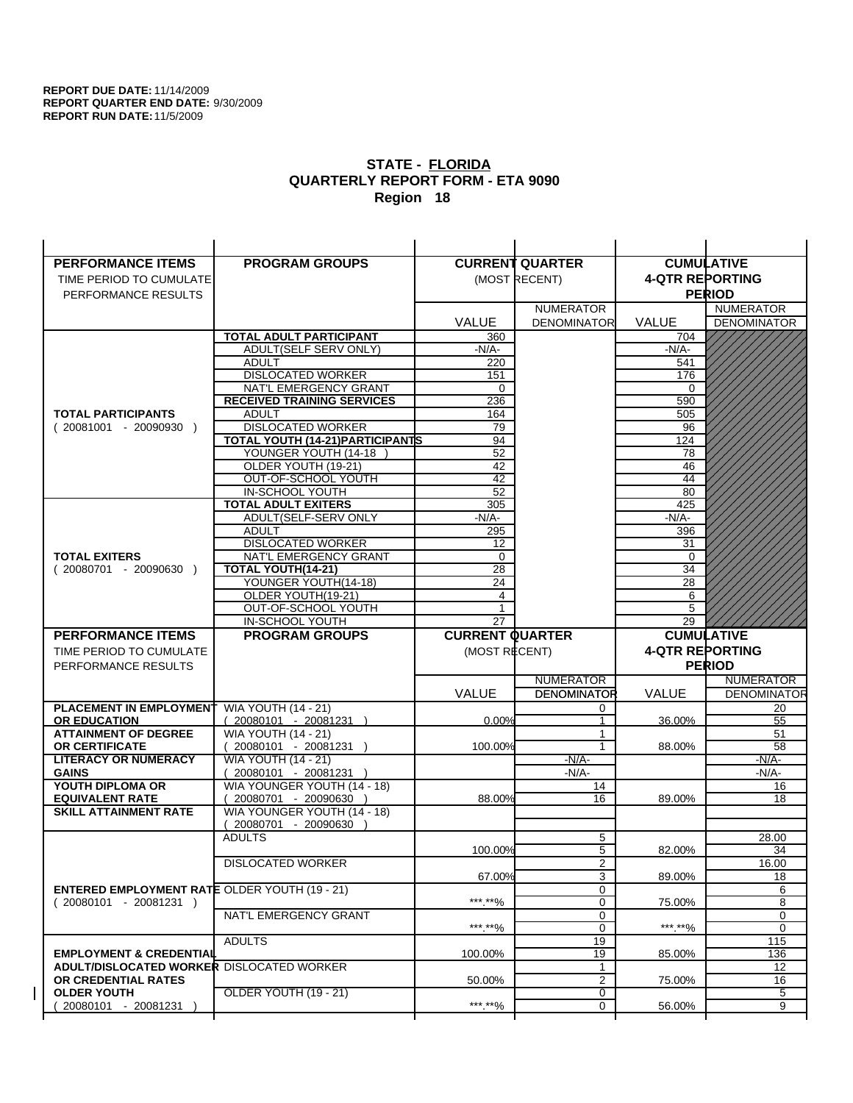$\overline{1}$ 

| <b>PERFORMANCE ITEMS</b>                             | <b>PROGRAM GROUPS</b>                                |                        | <b>CURRENT QUARTER</b> |                        | <b>CUMULATIVE</b>  |
|------------------------------------------------------|------------------------------------------------------|------------------------|------------------------|------------------------|--------------------|
| TIME PERIOD TO CUMULATE                              |                                                      |                        | (MOST RECENT)          | <b>4-QTR REPORTING</b> |                    |
| PERFORMANCE RESULTS                                  |                                                      |                        |                        |                        | <b>PERIOD</b>      |
|                                                      |                                                      |                        | <b>NUMERATOR</b>       |                        | <b>NUMERATOR</b>   |
|                                                      |                                                      | <b>VALUE</b>           | <b>DENOMINATOR</b>     | <b>VALUE</b>           | <b>DENOMINATOR</b> |
|                                                      | TOTAL ADULT PARTICIPANT                              | 360                    |                        | 704                    |                    |
|                                                      | ADULT(SELF SERV ONLY)                                | -N/A-                  |                        | $-N/A-$                |                    |
|                                                      | <b>ADULT</b>                                         | 220                    |                        | 541                    |                    |
|                                                      | <b>DISLOCATED WORKER</b>                             | 151                    |                        | 176                    |                    |
|                                                      | NAT'L EMERGENCY GRANT                                | 0                      |                        | $\Omega$               |                    |
|                                                      | <b>RECEIVED TRAINING SERVICES</b>                    | 236                    |                        | 590                    |                    |
| <b>TOTAL PARTICIPANTS</b>                            | <b>ADULT</b>                                         | 164                    |                        | 505                    |                    |
| $(20081001 - 20090930)$                              | <b>DISLOCATED WORKER</b>                             | 79                     |                        | 96                     |                    |
|                                                      | <b>TOTAL YOUTH (14-21) PARTICIPANTS</b>              | 94                     |                        | 124                    |                    |
|                                                      | YOUNGER YOUTH (14-18                                 | 52                     |                        | 78                     |                    |
|                                                      | OLDER YOUTH (19-21)<br>OUT-OF-SCHOOL YOUTH           | 42<br>$\overline{42}$  |                        | 46<br>44               |                    |
|                                                      | IN-SCHOOL YOUTH                                      | 52                     |                        | 80                     |                    |
|                                                      | <b>TOTAL ADULT EXITERS</b>                           | 305                    |                        | 425                    |                    |
|                                                      | ADULT(SELF-SERV ONLY                                 | $-N/A-$                |                        | $-N/A-$                |                    |
|                                                      | <b>ADULT</b>                                         | 295                    |                        | 396                    |                    |
|                                                      | <b>DISLOCATED WORKER</b>                             | 12                     |                        | 31                     |                    |
| <b>TOTAL EXITERS</b>                                 | NAT'L EMERGENCY GRANT                                | 0                      |                        | 0                      |                    |
| $(20080701 - 20090630)$                              | <b>TOTAL YOUTH(14-21)</b>                            | 28                     |                        | 34                     |                    |
|                                                      | YOUNGER YOUTH(14-18)                                 | 24                     |                        | 28                     |                    |
|                                                      | OLDER YOUTH(19-21)                                   | $\overline{4}$         |                        | 6                      |                    |
|                                                      | OUT-OF-SCHOOL YOUTH                                  | 1                      |                        | 5                      |                    |
|                                                      | IN-SCHOOL YOUTH                                      | 27                     |                        | 29                     |                    |
|                                                      |                                                      |                        |                        |                        |                    |
| <b>PERFORMANCE ITEMS</b>                             | <b>PROGRAM GROUPS</b>                                | <b>CURRENT QUARTER</b> |                        |                        | <b>CUMULATIVE</b>  |
| TIME PERIOD TO CUMULATE                              |                                                      | (MOST RECENT)          |                        | <b>4-QTR REPORTING</b> |                    |
| PERFORMANCE RESULTS                                  |                                                      |                        |                        |                        | <b>PERIOD</b>      |
|                                                      |                                                      |                        | <b>NUMERATOR</b>       |                        | <b>NUMERATOR</b>   |
|                                                      |                                                      | <b>VALUE</b>           | <b>DENOMINATOR</b>     | <b>VALUE</b>           | <b>DENOMINATOR</b> |
| PLACEMENT IN EMPLOYMENT                              | <b>WIA YOUTH (14 - 21)</b>                           |                        | 0                      |                        | 20                 |
| <b>OR EDUCATION</b>                                  | $(20080101 - 20081231)$                              | 0.00%                  | $\mathbf{1}$           | 36.00%                 | 55                 |
| <b>ATTAINMENT OF DEGREE</b>                          | <b>WIA YOUTH (14 - 21)</b>                           |                        | $\mathbf{1}$           |                        | 51                 |
| <b>OR CERTIFICATE</b>                                | $(20080101 - 20081231)$                              | 100.00%                | $\mathbf{1}$           | 88.00%                 | 58                 |
| <b>LITERACY OR NUMERACY</b>                          | <b>WIA YOUTH (14 - 21)</b>                           |                        | $-N/A-$                |                        | -N/A-              |
| <b>GAINS</b>                                         | 20080101 - 20081231                                  |                        | $-N/A-$                |                        | $-N/A-$            |
| YOUTH DIPLOMA OR<br><b>EQUIVALENT RATE</b>           | WIA YOUNGER YOUTH (14 - 18)<br>20080701 - 20090630 ) | 88.00%                 | 14<br>16               | 89.00%                 | 16<br>18           |
| <b>SKILL ATTAINMENT RATE</b>                         | WIA YOUNGER YOUTH (14 - 18)                          |                        |                        |                        |                    |
|                                                      | (20080701 - 20090630                                 |                        |                        |                        |                    |
|                                                      | <b>ADULTS</b>                                        |                        | 5                      |                        | 28.00              |
|                                                      |                                                      | 100.00%                | 5                      | 82.00%                 | 34                 |
|                                                      | <b>DISLOCATED WORKER</b>                             |                        | $\overline{2}$         |                        | 16.00              |
|                                                      |                                                      | 67.00%                 | 3                      | 89.00%                 | 18                 |
| <b>ENTERED EMPLOYMENT RATE OLDER YOUTH (19 - 21)</b> |                                                      |                        | 0                      |                        | 6                  |
| $(20080101 - 20081231)$                              |                                                      | ***.**%                | 0                      | 75.00%                 | 8                  |
|                                                      | NAT'L EMERGENCY GRANT                                |                        | 0                      |                        | 0                  |
|                                                      |                                                      | ***.**%                | 0                      | ***.**%                | 0                  |
| <b>EMPLOYMENT &amp; CREDENTIAL</b>                   | <b>ADULTS</b>                                        | 100.00%                | 19<br>19               | 85.00%                 | 115<br>136         |
| <b>ADULT/DISLOCATED WORKER DISLOCATED WORKER</b>     |                                                      |                        | 1                      |                        | 12                 |
| OR CREDENTIAL RATES                                  |                                                      | 50.00%                 | $\overline{2}$         | 75.00%                 | 16                 |
| <b>OLDER YOUTH</b>                                   | <b>OLDER YOUTH (19 - 21)</b>                         |                        | 0                      |                        | 5                  |
| 20080101 - 20081231                                  |                                                      | ***.**%                | 0                      | 56.00%                 | 9                  |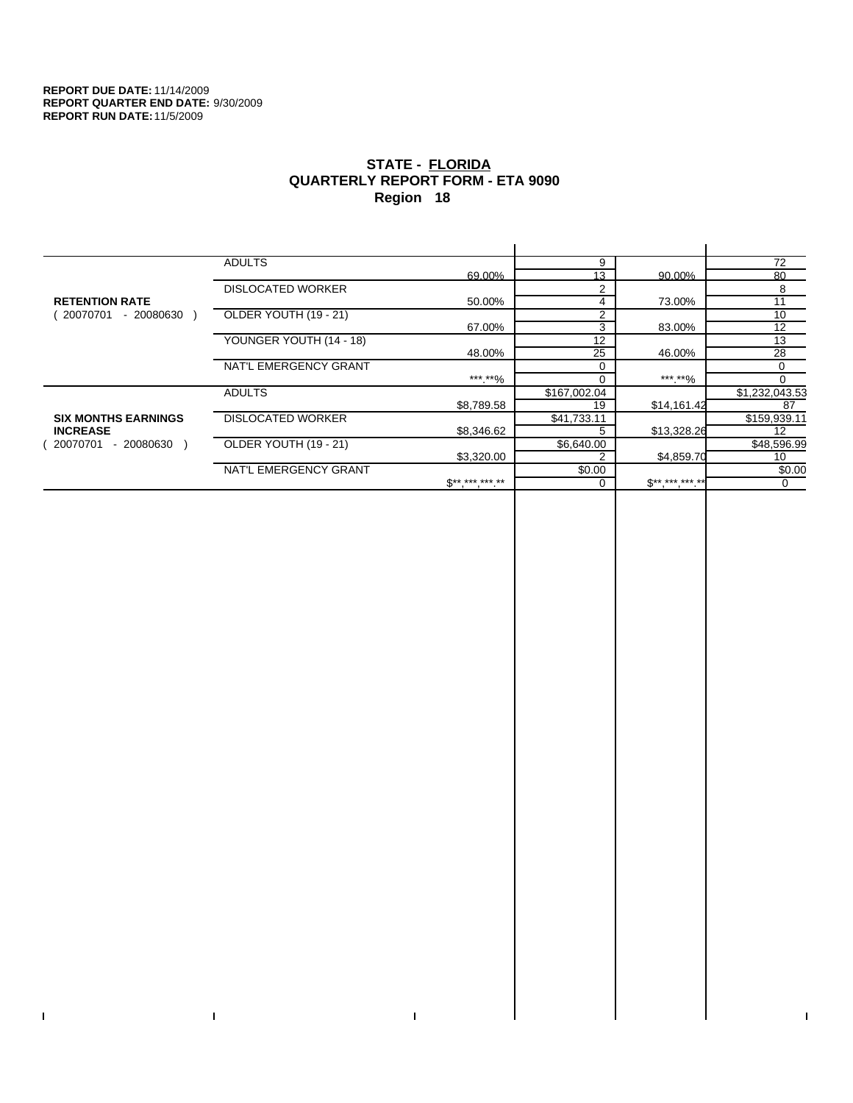$\bar{\Gamma}$ 

 $\mathbf{I}$ 

# **STATE - FLORIDA QUARTERLY REPORT FORM - ETA 9090 Region 18**

|                            | <b>ADULTS</b>            |              | 9            |                     | 72             |
|----------------------------|--------------------------|--------------|--------------|---------------------|----------------|
|                            |                          | 69.00%       | 13           | 90.00%              | 80             |
|                            | <b>DISLOCATED WORKER</b> |              | 2            |                     | 8              |
| <b>RETENTION RATE</b>      |                          | 50.00%       | 4            | 73.00%              | 11             |
| 20070701<br>- 20080630     | OLDER YOUTH (19 - 21)    |              | 2            |                     | 10             |
|                            |                          | 67.00%       | 3            | 83.00%              | 12             |
|                            | YOUNGER YOUTH (14 - 18)  |              | 12           |                     | 13             |
|                            |                          | 48.00%       | 25           | 46.00%              | 28             |
|                            | NAT'L EMERGENCY GRANT    |              |              |                     | 0              |
|                            |                          | *** **%      |              | *** **%             | 0              |
|                            | <b>ADULTS</b>            |              | \$167,002.04 |                     | \$1,232,043.53 |
|                            |                          | \$8,789.58   | 19           | \$14,161.42         | 87             |
| <b>SIX MONTHS EARNINGS</b> | <b>DISLOCATED WORKER</b> |              | \$41,733.11  |                     | \$159,939.11   |
| <b>INCREASE</b>            |                          | \$8,346.62   |              | \$13,328.26         | 12             |
| - 20080630<br>20070701     | OLDER YOUTH (19 - 21)    |              | \$6,640.00   |                     | \$48,596.99    |
|                            |                          | \$3,320.00   |              | \$4,859.70          | 10             |
|                            | NAT'L EMERGENCY GRANT    |              | \$0.00       |                     | \$0.00         |
|                            |                          | $S*********$ |              | $S^{**}$ *** *** ** | 0              |
|                            |                          |              |              |                     |                |

 $\bar{\Gamma}$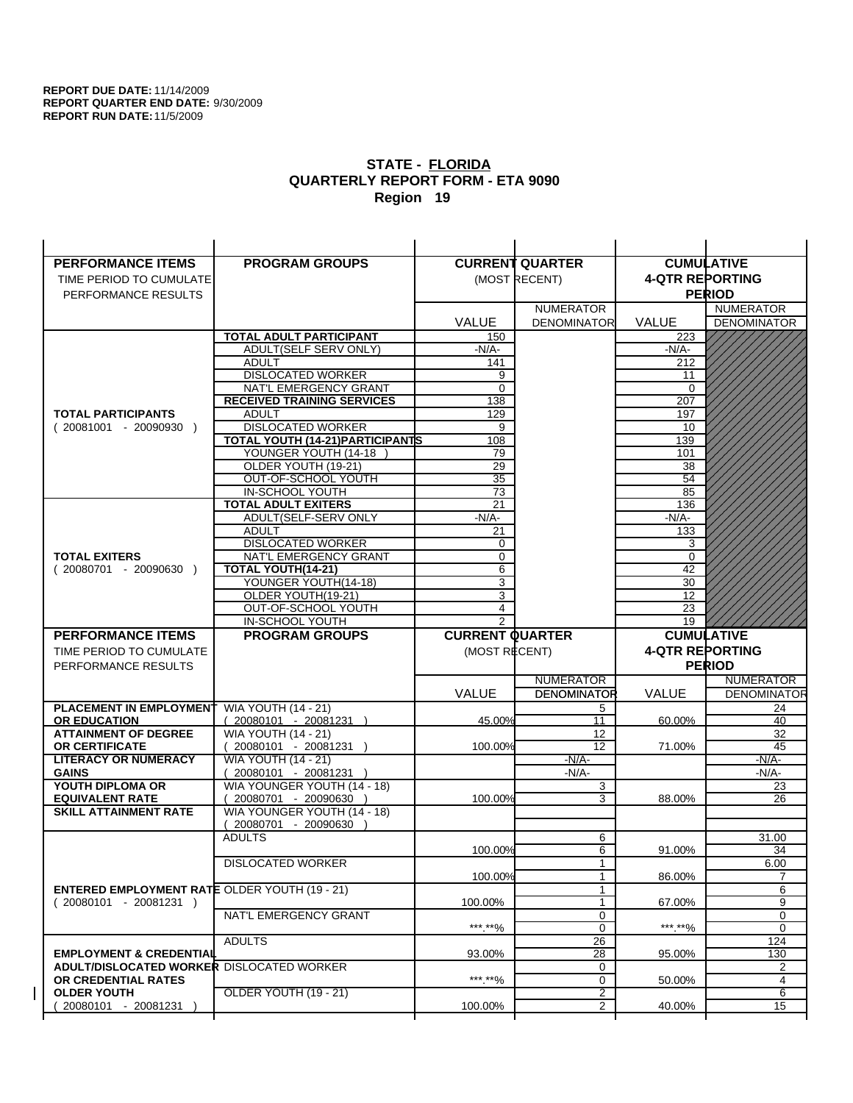| <b>PERFORMANCE ITEMS</b>                                                        | <b>PROGRAM GROUPS</b>                                |                        | <b>CURRENT QUARTER</b> |                        | <b>CUMULATIVE</b>  |
|---------------------------------------------------------------------------------|------------------------------------------------------|------------------------|------------------------|------------------------|--------------------|
| TIME PERIOD TO CUMULATE                                                         |                                                      |                        | (MOST RECENT)          | <b>4-QTR REPORTING</b> |                    |
| PERFORMANCE RESULTS                                                             |                                                      |                        |                        |                        | <b>PERIOD</b>      |
|                                                                                 |                                                      |                        | <b>NUMERATOR</b>       |                        | <b>NUMERATOR</b>   |
|                                                                                 |                                                      | <b>VALUE</b>           | <b>DENOMINATOR</b>     | VALUE                  | <b>DENOMINATOR</b> |
|                                                                                 | <b>TOTAL ADULT PARTICIPANT</b>                       | 150                    |                        | 223                    |                    |
|                                                                                 | ADULT(SELF SERV ONLY)                                | -N/A-                  |                        | -N/A-                  |                    |
|                                                                                 | <b>ADULT</b>                                         | 141                    |                        | 212                    |                    |
|                                                                                 | <b>DISLOCATED WORKER</b>                             | 9                      |                        | 11                     |                    |
|                                                                                 | NAT'L EMERGENCY GRANT                                | 0                      |                        | 0                      |                    |
| <b>TOTAL PARTICIPANTS</b>                                                       | <b>RECEIVED TRAINING SERVICES</b><br><b>ADULT</b>    | 138                    |                        | 207                    |                    |
| $(20081001 - 20090930)$                                                         | <b>DISLOCATED WORKER</b>                             | 129<br>9               |                        | 197<br>10              |                    |
|                                                                                 | TOTAL YOUTH (14-21) PARTICIPANTS                     | 108                    |                        | 139                    |                    |
|                                                                                 | YOUNGER YOUTH (14-18                                 | 79                     |                        | 101                    |                    |
|                                                                                 | OLDER YOUTH (19-21)                                  | 29                     |                        | 38                     |                    |
|                                                                                 | OUT-OF-SCHOOL YOUTH                                  | $\overline{35}$        |                        | 54                     |                    |
|                                                                                 | IN-SCHOOL YOUTH                                      | 73                     |                        | 85                     |                    |
|                                                                                 | <b>TOTAL ADULT EXITERS</b>                           | 21                     |                        | 136                    |                    |
|                                                                                 | ADULT(SELF-SERV ONLY                                 | $-N/A-$                |                        | -N/A-                  |                    |
|                                                                                 | <b>ADULT</b>                                         | 21                     |                        | 133                    |                    |
| <b>TOTAL EXITERS</b>                                                            | <b>DISLOCATED WORKER</b><br>NAT'L EMERGENCY GRANT    | 0<br>$\mathbf 0$       |                        | 3<br>$\mathbf 0$       |                    |
| $(20080701 - 20090630)$                                                         | <b>TOTAL YOUTH(14-21)</b>                            | 6                      |                        | 42                     |                    |
|                                                                                 | YOUNGER YOUTH(14-18)                                 | 3                      |                        | 30                     |                    |
|                                                                                 | OLDER YOUTH(19-21)                                   | $\overline{3}$         |                        | 12                     |                    |
|                                                                                 | OUT-OF-SCHOOL YOUTH                                  | 4                      |                        | 23                     |                    |
|                                                                                 | IN-SCHOOL YOUTH                                      | $\overline{2}$         |                        | 19                     |                    |
|                                                                                 |                                                      |                        |                        |                        |                    |
| <b>PERFORMANCE ITEMS</b>                                                        | <b>PROGRAM GROUPS</b>                                | <b>CURRENT QUARTER</b> |                        |                        | <b>CUMULATIVE</b>  |
| TIME PERIOD TO CUMULATE                                                         |                                                      | (MOST RECENT)          |                        | <b>4-QTR REPORTING</b> |                    |
| PERFORMANCE RESULTS                                                             |                                                      |                        |                        |                        | <b>PERIOD</b>      |
|                                                                                 |                                                      |                        | <b>NUMERATOR</b>       |                        | <b>NUMERATOR</b>   |
|                                                                                 |                                                      | <b>VALUE</b>           | <b>DENOMINATOR</b>     | <b>VALUE</b>           | <b>DENOMINATOR</b> |
| <b>PLACEMENT IN EMPLOYMENT</b>                                                  | <b>WIA YOUTH (14 - 21)</b>                           |                        | 5                      |                        | 24                 |
| <b>OR EDUCATION</b>                                                             | $(20080101 - 20081231)$                              | 45.00%                 | 11                     | 60.00%                 | 40                 |
| <b>ATTAINMENT OF DEGREE</b>                                                     | <b>WIA YOUTH (14 - 21)</b>                           |                        | 12                     |                        | 32                 |
| OR CERTIFICATE                                                                  | 20080101 - 20081231 )                                | 100.00%                | 12                     | 71.00%                 | 45                 |
| <b>LITERACY OR NUMERACY</b>                                                     | <b>WIA YOUTH (14 - 21)</b>                           |                        | $-N/A$ -               |                        | -N/A-              |
| <b>GAINS</b><br>YOUTH DIPLOMA OR                                                | 20080101 - 20081231 )<br>WIA YOUNGER YOUTH (14 - 18) |                        | $-N/A-$<br>3           |                        | $-N/A-$<br>23      |
| <b>EQUIVALENT RATE</b>                                                          | 20080701 - 20090630 )                                | 100.00%                | 3                      | 88.00%                 | 26                 |
| <b>SKILL ATTAINMENT RATE</b>                                                    | WIA YOUNGER YOUTH (14 - 18)                          |                        |                        |                        |                    |
|                                                                                 | 20080701 - 20090630                                  |                        |                        |                        |                    |
|                                                                                 | <b>ADULTS</b>                                        |                        | 6                      |                        | 31.00              |
|                                                                                 |                                                      | 100.00%                | 6                      | 91.00%                 | 34                 |
|                                                                                 | <b>DISLOCATED WORKER</b>                             |                        | 1                      |                        | 6.00               |
|                                                                                 |                                                      | 100.00%                | 1                      | 86.00%                 | 7                  |
| <b>ENTERED EMPLOYMENT RATE OLDER YOUTH (19 - 21)</b><br>$(20080101 - 20081231)$ |                                                      |                        | 1<br>$\mathbf{1}$      |                        | 6                  |
|                                                                                 | NAT'L EMERGENCY GRANT                                | 100.00%                | 0                      | 67.00%                 | 9<br>0             |
|                                                                                 |                                                      | ***.**%                | 0                      | ***.**%                | 0                  |
|                                                                                 | <b>ADULTS</b>                                        |                        | 26                     |                        | 124                |
| <b>EMPLOYMENT &amp; CREDENTIAL</b>                                              |                                                      | 93.00%                 | 28                     | 95.00%                 | 130                |
| <b>ADULT/DISLOCATED WORKER DISLOCATED WORKER</b>                                |                                                      |                        | 0                      |                        | 2                  |
| OR CREDENTIAL RATES                                                             |                                                      | ***.**%                | 0                      | 50.00%                 | 4                  |
| <b>OLDER YOUTH</b><br>20080101 - 20081231                                       | OLDER YOUTH (19 - 21)                                | 100.00%                | 2<br>2                 | 40.00%                 | 6<br>15            |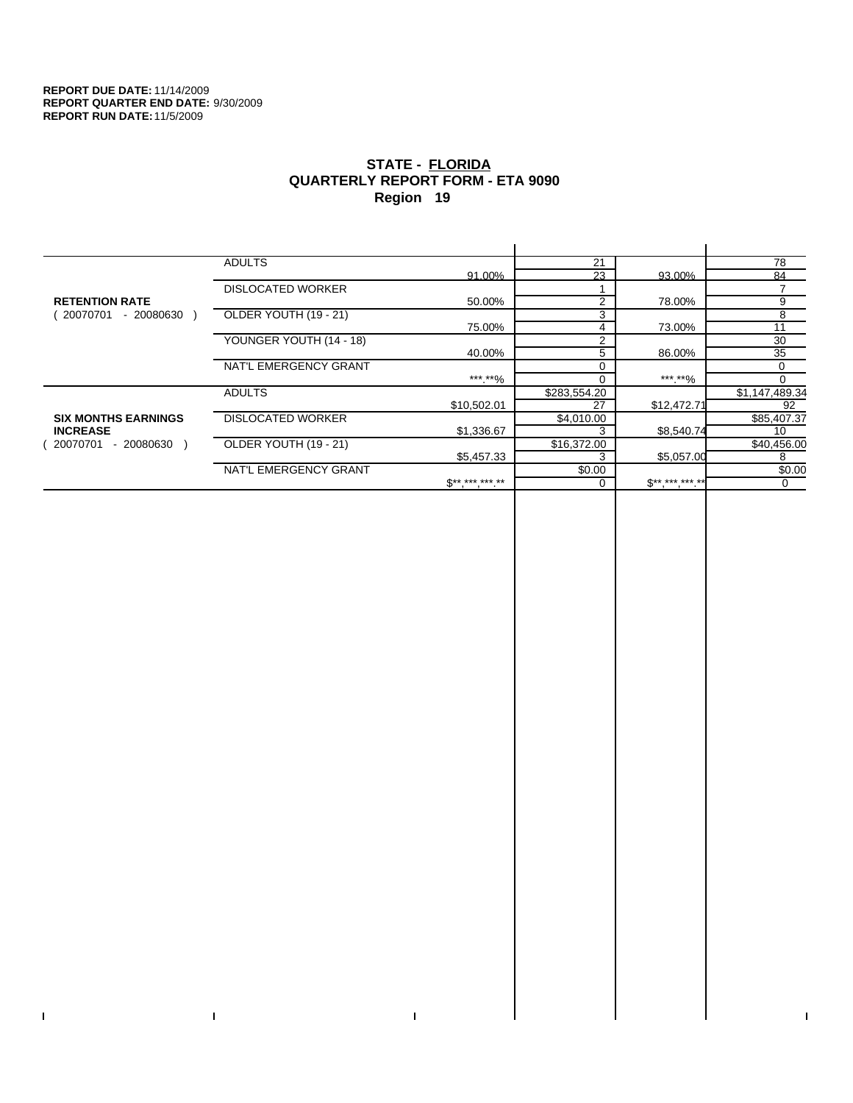$\mathbf I$ 

 $\Gamma$ 

# **STATE - FLORIDA QUARTERLY REPORT FORM - ETA 9090 Region 19**

|                            | <b>ADULTS</b>            |                | 21             |             | 78             |
|----------------------------|--------------------------|----------------|----------------|-------------|----------------|
|                            |                          | 91.00%         | 23             | 93.00%      | 84             |
|                            | <b>DISLOCATED WORKER</b> |                |                |             |                |
| <b>RETENTION RATE</b>      |                          | 50.00%         | $\overline{2}$ | 78.00%      | 9              |
| - 20080630<br>20070701     | OLDER YOUTH (19 - 21)    |                | 3              |             | 8              |
|                            |                          | 75.00%         | 4              | 73.00%      | 11             |
|                            | YOUNGER YOUTH (14 - 18)  |                | 2              |             | 30             |
|                            |                          | 40.00%         | 5              | 86.00%      | 35             |
|                            | NAT'L EMERGENCY GRANT    |                | 0              |             | 0              |
|                            |                          | *** **%        | 0              | *** **%     | 0              |
|                            | <b>ADULTS</b>            |                | \$283,554.20   |             | \$1,147,489.34 |
|                            |                          | \$10,502.01    | 27             | \$12,472.71 | 92             |
| <b>SIX MONTHS EARNINGS</b> | <b>DISLOCATED WORKER</b> |                | \$4,010.00     |             | \$85,407.37    |
| <b>INCREASE</b>            |                          | \$1,336.67     | 3              | \$8,540.74  | 10             |
| - 20080630 \<br>20070701   | OLDER YOUTH (19 - 21)    |                | \$16,372.00    |             | \$40,456.00    |
|                            |                          | \$5,457.33     | 3              | \$5,057.00  | 8              |
|                            | NAT'L EMERGENCY GRANT    |                | \$0.00         |             | \$0.00         |
|                            |                          | $S^{********}$ | 0              | $S********$ | 0              |
|                            |                          |                |                |             |                |

 $\bar{\Gamma}$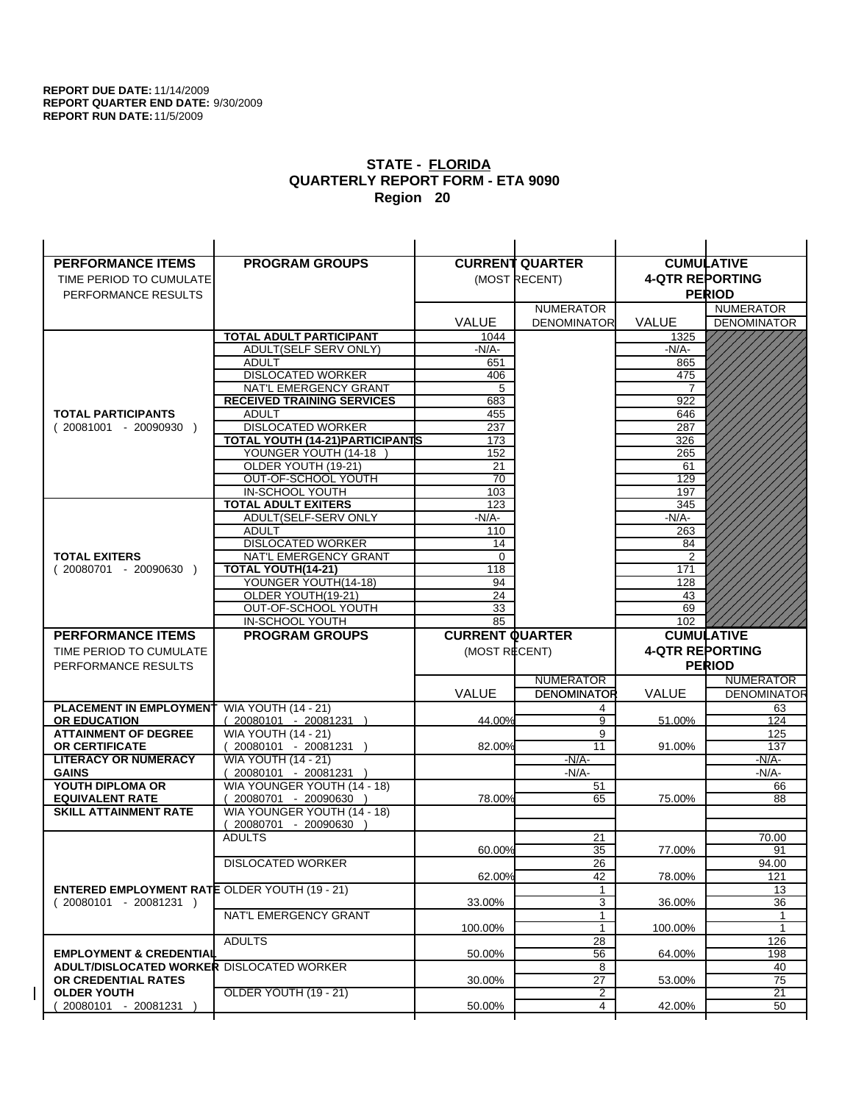| <b>PERFORMANCE ITEMS</b>                                                        | <b>PROGRAM GROUPS</b>                         |                        | <b>CURRENT QUARTER</b> |                        | <b>CUMULATIVE</b>  |
|---------------------------------------------------------------------------------|-----------------------------------------------|------------------------|------------------------|------------------------|--------------------|
| TIME PERIOD TO CUMULATE                                                         |                                               |                        | (MOST RECENT)          | <b>4-QTR REPORTING</b> |                    |
| PERFORMANCE RESULTS                                                             |                                               |                        |                        |                        | <b>PERIOD</b>      |
|                                                                                 |                                               |                        | <b>NUMERATOR</b>       |                        | <b>NUMERATOR</b>   |
|                                                                                 |                                               | <b>VALUE</b>           | <b>DENOMINATOR</b>     | <b>VALUE</b>           | <b>DENOMINATOR</b> |
|                                                                                 | TOTAL ADULT PARTICIPANT                       | 1044                   |                        | 1325                   |                    |
|                                                                                 | ADULT(SELF SERV ONLY)                         | $-N/A-$                |                        | -N/A-                  |                    |
|                                                                                 | <b>ADULT</b>                                  | 651                    |                        | 865                    |                    |
|                                                                                 | <b>DISLOCATED WORKER</b>                      | 406                    |                        | 475                    |                    |
|                                                                                 | NAT'L EMERGENCY GRANT                         | 5                      |                        |                        |                    |
|                                                                                 | <b>RECEIVED TRAINING SERVICES</b>             | 683                    |                        | 922                    |                    |
| <b>TOTAL PARTICIPANTS</b>                                                       | <b>ADULT</b>                                  | 455                    |                        | 646                    |                    |
| $(20081001 - 20090930)$                                                         | <b>DISLOCATED WORKER</b>                      | 237                    |                        | 287                    |                    |
|                                                                                 | TOTAL YOUTH (14-21) PARTICIPANTS              | 173                    |                        | 326                    |                    |
|                                                                                 | YOUNGER YOUTH (14-18                          | 152                    |                        | 265                    |                    |
|                                                                                 | OLDER YOUTH (19-21)                           | 21                     |                        | 61                     |                    |
|                                                                                 | OUT-OF-SCHOOL YOUTH                           | $\overline{70}$        |                        | 129                    |                    |
|                                                                                 | IN-SCHOOL YOUTH<br><b>TOTAL ADULT EXITERS</b> | 103<br>123             |                        | 197<br>345             |                    |
|                                                                                 | ADULT(SELF-SERV ONLY                          | $-N/A-$                |                        | $-N/A-$                |                    |
|                                                                                 | <b>ADULT</b>                                  | 110                    |                        | 263                    |                    |
|                                                                                 | <b>DISLOCATED WORKER</b>                      | 14                     |                        | 84                     |                    |
| <b>TOTAL EXITERS</b>                                                            | NAT'L EMERGENCY GRANT                         | 0                      |                        | 2                      |                    |
| $(20080701 - 20090630)$                                                         | TOTAL YOUTH(14-21)                            | 118                    |                        | 171                    |                    |
|                                                                                 | YOUNGER YOUTH(14-18)                          | 94                     |                        | 128                    |                    |
|                                                                                 | OLDER YOUTH(19-21)                            | 24                     |                        | 43                     |                    |
|                                                                                 | OUT-OF-SCHOOL YOUTH                           | 33                     |                        | 69                     |                    |
|                                                                                 | IN-SCHOOL YOUTH                               | 85                     |                        | 102                    |                    |
|                                                                                 |                                               |                        |                        |                        |                    |
| <b>PERFORMANCE ITEMS</b>                                                        | <b>PROGRAM GROUPS</b>                         | <b>CURRENT QUARTER</b> |                        |                        | <b>CUMULATIVE</b>  |
| TIME PERIOD TO CUMULATE                                                         |                                               | (MOST RECENT)          |                        | <b>4-QTR REPORTING</b> |                    |
| PERFORMANCE RESULTS                                                             |                                               |                        |                        |                        | <b>PERIOD</b>      |
|                                                                                 |                                               |                        | <b>NUMERATOR</b>       |                        | <b>NUMERATOR</b>   |
|                                                                                 |                                               | <b>VALUE</b>           | <b>DENOMINATOR</b>     | <b>VALUE</b>           | <b>DENOMINATOR</b> |
| PLACEMENT IN EMPLOYMENT                                                         | <b>WIA YOUTH (14 - 21)</b>                    |                        | 4                      |                        | 63                 |
| <b>OR EDUCATION</b>                                                             | $(20080101 - 20081231)$                       | 44.00%                 | 9                      | 51.00%                 | 124                |
| <b>ATTAINMENT OF DEGREE</b>                                                     | <b>WIA YOUTH (14 - 21)</b>                    |                        | 9                      |                        | 125                |
| <b>OR CERTIFICATE</b>                                                           | $(20080101 - 20081231)$                       | 82.00%                 | 11                     | 91.00%                 | 137                |
| <b>LITERACY OR NUMERACY</b>                                                     | <b>WIA YOUTH (14 - 21)</b>                    |                        | $-N/A-$                |                        | -N/A-              |
| <b>GAINS</b>                                                                    | 20080101 - 20081231                           |                        | $-N/A-$                |                        | $-N/A-$            |
| YOUTH DIPLOMA OR                                                                | WIA YOUNGER YOUTH (14 - 18)                   |                        | 51                     |                        | 66                 |
| <b>EQUIVALENT RATE</b>                                                          | 20080701 - 20090630 )                         | 78.00%                 | 65                     | 75.00%                 | 88                 |
| <b>SKILL ATTAINMENT RATE</b>                                                    | WIA YOUNGER YOUTH (14 - 18)                   |                        |                        |                        |                    |
|                                                                                 | (20080701 - 20090630                          |                        |                        |                        |                    |
|                                                                                 | <b>ADULTS</b>                                 |                        | 21                     |                        | 70.00              |
|                                                                                 |                                               | 60.00%                 | 35                     | 77.00%                 | 91                 |
|                                                                                 | <b>DISLOCATED WORKER</b>                      |                        | $\overline{26}$        |                        | 94.00              |
|                                                                                 |                                               | 62.00%                 | 42                     | 78.00%                 | 121<br>13          |
| <b>ENTERED EMPLOYMENT RATE OLDER YOUTH (19 - 21)</b><br>$(20080101 - 20081231)$ |                                               | 33.00%                 | 3                      | 36.00%                 | 36                 |
|                                                                                 | NAT'L EMERGENCY GRANT                         |                        | $\mathbf{1}$           |                        | 1                  |
|                                                                                 |                                               | 100.00%                | 1                      | 100.00%                | $\mathbf{1}$       |
|                                                                                 | <b>ADULTS</b>                                 |                        | 28                     |                        | 126                |
| <b>EMPLOYMENT &amp; CREDENTIAL</b>                                              |                                               | 50.00%                 | 56                     | 64.00%                 | 198                |
| <b>ADULT/DISLOCATED WORKER DISLOCATED WORKER</b>                                |                                               |                        | 8                      |                        | 40                 |
| OR CREDENTIAL RATES                                                             |                                               | 30.00%                 | 27                     | 53.00%                 | 75                 |
| <b>OLDER YOUTH</b><br>20080101 - 20081231                                       | <b>OLDER YOUTH (19 - 21)</b>                  | 50.00%                 | 2<br>4                 | 42.00%                 | 21<br>50           |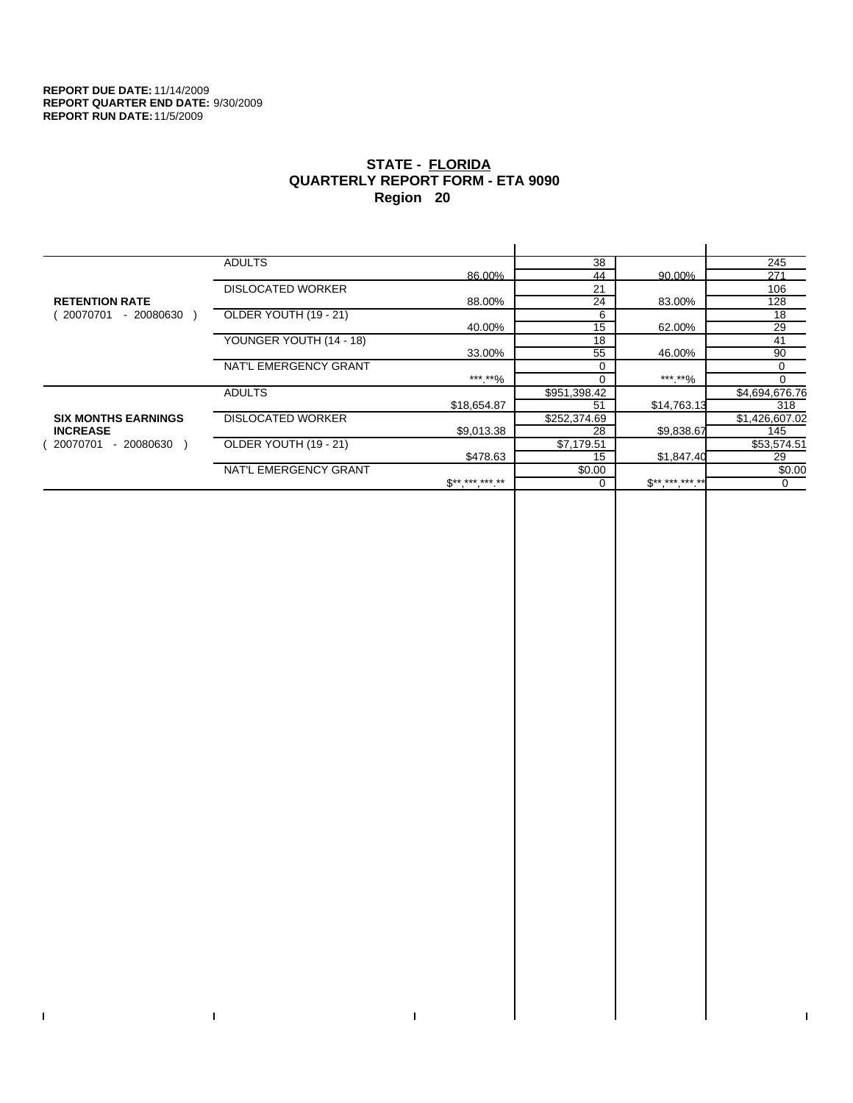$\bar{\Gamma}$ 

 $\Gamma$ 

# **STATE - FLORIDA QUARTERLY REPORT FORM - ETA 9090 Region 20**

|                            | <b>ADULTS</b>            |              | 38           |              | 245            |
|----------------------------|--------------------------|--------------|--------------|--------------|----------------|
|                            |                          | 86.00%       | 44           | 90.00%       | 271            |
|                            | <b>DISLOCATED WORKER</b> |              | 21           |              | 106            |
| <b>RETENTION RATE</b>      |                          | 88.00%       | 24           | 83.00%       | 128            |
| 20070701<br>- 20080630     | OLDER YOUTH (19 - 21)    |              | 6            |              | 18             |
|                            |                          | 40.00%       | 15           | 62.00%       | 29             |
|                            | YOUNGER YOUTH (14 - 18)  |              | 18           |              | 41             |
|                            |                          | 33.00%       | 55           | 46.00%       | 90             |
|                            | NAT'L EMERGENCY GRANT    |              | $\Omega$     |              | 0              |
|                            |                          | ***.**%      |              | *** **%      |                |
|                            | <b>ADULTS</b>            |              | \$951,398.42 |              | \$4,694,676.76 |
|                            |                          | \$18,654.87  | 51           | \$14,763.13  | 318            |
| <b>SIX MONTHS EARNINGS</b> | <b>DISLOCATED WORKER</b> |              | \$252,374.69 |              | \$1,426,607.02 |
| <b>INCREASE</b>            |                          | \$9,013.38   | 28           | \$9,838.67   | 145            |
| 20070701<br>- 20080630     | OLDER YOUTH (19 - 21)    |              | \$7,179.51   |              | \$53,574.51    |
|                            |                          | \$478.63     | 15           | \$1,847.40   | 29             |
|                            | NAT'L EMERGENCY GRANT    |              | \$0.00       |              | \$0.00         |
|                            |                          | $S*********$ |              | $S*********$ | 0              |
|                            |                          |              |              |              |                |

 $\bar{\Gamma}$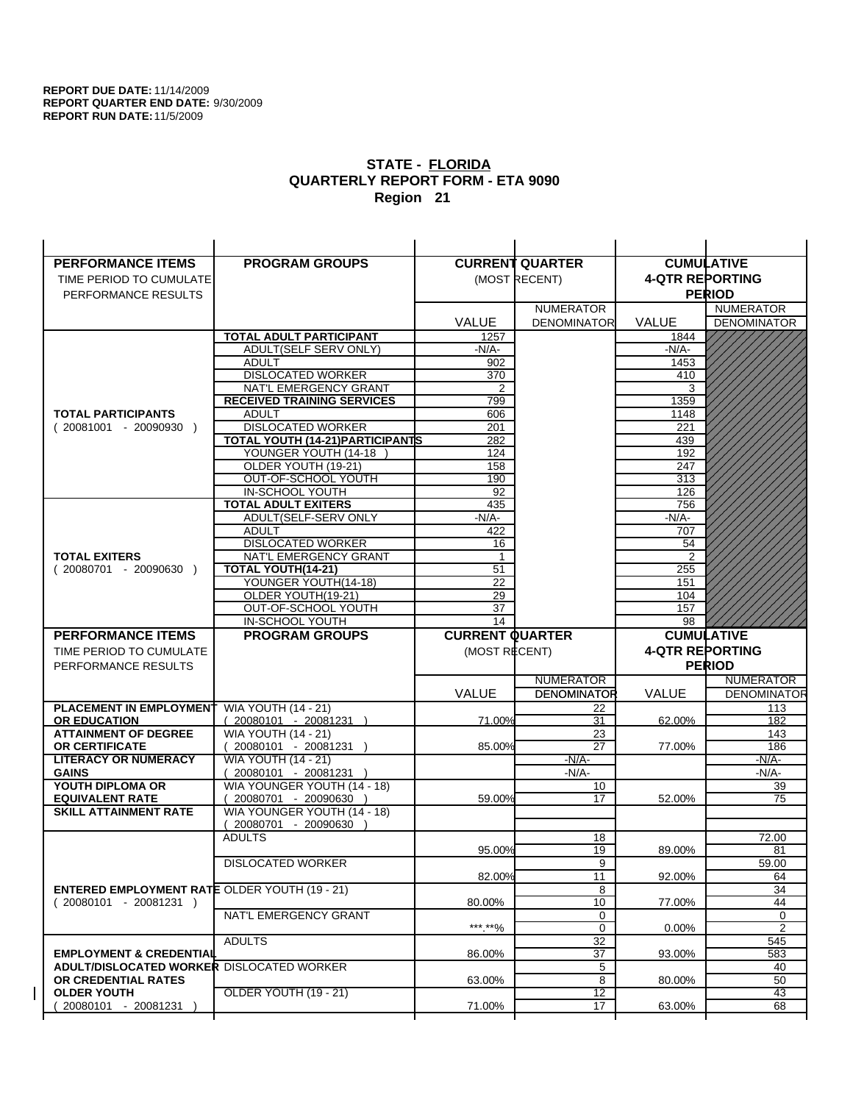| <b>PERFORMANCE ITEMS</b>                             | <b>PROGRAM GROUPS</b>                   |                        | <b>CURRENT QUARTER</b> |                        | <b>CUMULATIVE</b>  |
|------------------------------------------------------|-----------------------------------------|------------------------|------------------------|------------------------|--------------------|
| TIME PERIOD TO CUMULATE                              |                                         |                        | (MOST RECENT)          | <b>4-QTR REPORTING</b> |                    |
| PERFORMANCE RESULTS                                  |                                         |                        |                        |                        | <b>PERIOD</b>      |
|                                                      |                                         |                        | <b>NUMERATOR</b>       |                        | <b>NUMERATOR</b>   |
|                                                      |                                         | <b>VALUE</b>           | <b>DENOMINATOR</b>     | VALUE                  | <b>DENOMINATOR</b> |
|                                                      | <b>TOTAL ADULT PARTICIPANT</b>          | 1257                   |                        | 1844                   |                    |
|                                                      | ADULT(SELF SERV ONLY)                   | $-N/A-$                |                        | -N/A-                  |                    |
|                                                      | <b>ADULT</b>                            | 902                    |                        | 1453                   |                    |
|                                                      | <b>DISLOCATED WORKER</b>                | 370                    |                        | 410                    |                    |
|                                                      | NAT'L EMERGENCY GRANT                   | 2                      |                        | 3                      |                    |
|                                                      | <b>RECEIVED TRAINING SERVICES</b>       | 799                    |                        | 1359                   |                    |
| <b>TOTAL PARTICIPANTS</b>                            | <b>ADULT</b>                            | 606                    |                        | 1148                   |                    |
| $(20081001 - 20090930)$                              | <b>DISLOCATED WORKER</b>                | 201                    |                        | 221                    |                    |
|                                                      | <b>TOTAL YOUTH (14-21) PARTICIPANTS</b> | 282                    |                        | 439                    |                    |
|                                                      | YOUNGER YOUTH (14-18                    | 124                    |                        | 192                    |                    |
|                                                      | OLDER YOUTH (19-21)                     | 158                    |                        | 247                    |                    |
|                                                      | OUT-OF-SCHOOL YOUTH<br>IN-SCHOOL YOUTH  | 190                    |                        | 313<br>126             |                    |
|                                                      | <b>TOTAL ADULT EXITERS</b>              | 92<br>435              |                        | 756                    |                    |
|                                                      | ADULT(SELF-SERV ONLY                    | $-N/A-$                |                        | $-N/A-$                |                    |
|                                                      | <b>ADULT</b>                            | 422                    |                        | 707                    |                    |
|                                                      | <b>DISLOCATED WORKER</b>                | 16                     |                        | 54                     |                    |
| <b>TOTAL EXITERS</b>                                 | NAT'L EMERGENCY GRANT                   | 1                      |                        | $\overline{2}$         |                    |
| $(20080701 - 20090630)$                              | <b>TOTAL YOUTH(14-21)</b>               | 51                     |                        | 255                    |                    |
|                                                      | YOUNGER YOUTH(14-18)                    | 22                     |                        | 151                    |                    |
|                                                      | OLDER YOUTH(19-21)                      | 29                     |                        | 104                    |                    |
|                                                      | OUT-OF-SCHOOL YOUTH                     | 37                     |                        | 157                    |                    |
|                                                      | IN-SCHOOL YOUTH                         | 14                     |                        | 98                     |                    |
|                                                      |                                         |                        |                        |                        |                    |
| <b>PERFORMANCE ITEMS</b>                             | <b>PROGRAM GROUPS</b>                   | <b>CURRENT QUARTER</b> |                        |                        | <b>CUMULATIVE</b>  |
| TIME PERIOD TO CUMULATE                              |                                         | (MOST RECENT)          |                        | <b>4-QTR REPORTING</b> |                    |
| PERFORMANCE RESULTS                                  |                                         |                        |                        |                        | <b>PERIOD</b>      |
|                                                      |                                         |                        | <b>NUMERATOR</b>       |                        | <b>NUMERATOR</b>   |
|                                                      |                                         | <b>VALUE</b>           | <b>DENOMINATOR</b>     | <b>VALUE</b>           | <b>DENOMINATOR</b> |
| <b>PLACEMENT IN EMPLOYMENT</b>                       | <b>WIA YOUTH (14 - 21)</b>              |                        | 22                     |                        | 113                |
| <b>OR EDUCATION</b>                                  | $(20080101 - 20081231)$                 | 71.00%                 | 31                     | 62.00%                 | 182                |
| <b>ATTAINMENT OF DEGREE</b>                          | <b>WIA YOUTH (14 - 21)</b>              |                        | 23                     |                        | 143                |
| <b>OR CERTIFICATE</b>                                | $(20080101 - 20081231)$                 | 85.00%                 | 27                     | 77.00%                 | 186                |
| <b>LITERACY OR NUMERACY</b>                          | <b>WIA YOUTH (14 - 21)</b>              |                        | -N/A-                  |                        | -N/A-              |
| <b>GAINS</b>                                         | 20080101 - 20081231                     |                        | $-N/A-$                |                        | $-N/A-$            |
| YOUTH DIPLOMA OR                                     | WIA YOUNGER YOUTH (14 - 18)             |                        | 10                     |                        | 39                 |
| <b>EQUIVALENT RATE</b>                               | 20080701 - 20090630 )                   | 59.00%                 | 17                     | 52.00%                 | 75                 |
| <b>SKILL ATTAINMENT RATE</b>                         | WIA YOUNGER YOUTH (14 - 18)             |                        |                        |                        |                    |
|                                                      | (20080701 - 20090630                    |                        |                        |                        |                    |
|                                                      | <b>ADULTS</b>                           | 95.00%                 | 18<br>19               | 89.00%                 | 72.00<br>81        |
|                                                      |                                         |                        |                        |                        |                    |
|                                                      | <b>DISLOCATED WORKER</b>                | 82.00%                 | $\overline{9}$<br>11   | 92.00%                 | 59.00<br>64        |
| <b>ENTERED EMPLOYMENT RATE OLDER YOUTH (19 - 21)</b> |                                         |                        | 8                      |                        | 34                 |
| $(20080101 - 20081231)$                              |                                         | 80.00%                 | 10                     | 77.00%                 | 44                 |
|                                                      | NAT'L EMERGENCY GRANT                   |                        | 0                      |                        | 0                  |
|                                                      |                                         | ***.**%                | $\mathbf 0$            | 0.00%                  | 2                  |
|                                                      | <b>ADULTS</b>                           |                        | 32                     |                        | 545                |
| <b>EMPLOYMENT &amp; CREDENTIAL</b>                   |                                         | 86.00%                 | 37                     | 93.00%                 | 583                |
| <b>ADULT/DISLOCATED WORKER DISLOCATED WORKER</b>     |                                         |                        | 5                      |                        | 40                 |
| OR CREDENTIAL RATES                                  |                                         | 63.00%                 | 8                      | 80.00%                 | 50                 |
| <b>OLDER YOUTH</b><br>20080101 - 20081231            | OLDER YOUTH (19 - 21)                   | 71.00%                 | 12<br>17               | 63.00%                 | 43<br>68           |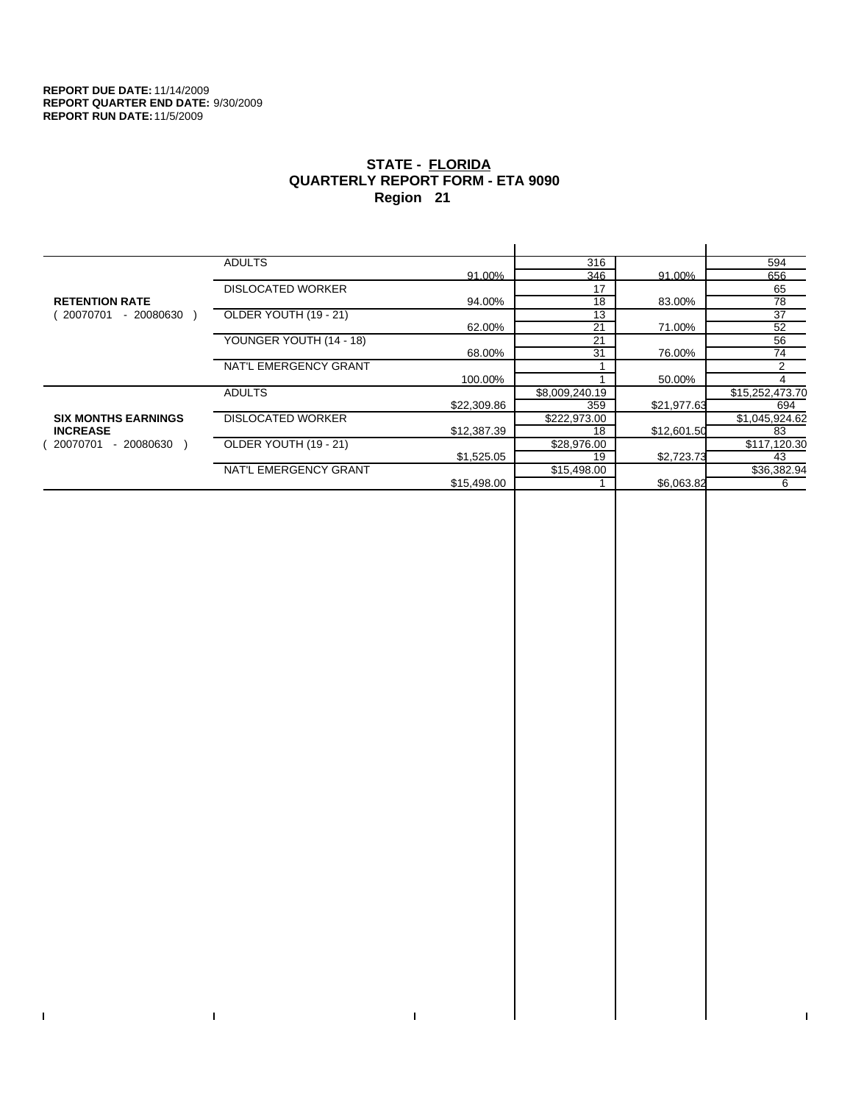$\bar{\Gamma}$ 

 $\mathbf{I}$ 

# **STATE - FLORIDA QUARTERLY REPORT FORM - ETA 9090 Region 21**

|                            | <b>ADULTS</b>            |             | 316            |             | 594             |
|----------------------------|--------------------------|-------------|----------------|-------------|-----------------|
|                            |                          | 91.00%      | 346            | 91.00%      | 656             |
|                            | <b>DISLOCATED WORKER</b> |             | 17             |             | 65              |
| <b>RETENTION RATE</b>      |                          | 94.00%      | 18             | 83.00%      | 78              |
| 20070701<br>- 20080630     | OLDER YOUTH (19 - 21)    |             | 13             |             | 37              |
|                            |                          | 62.00%      | 21             | 71.00%      | 52              |
|                            | YOUNGER YOUTH (14 - 18)  |             | 21             |             | 56              |
|                            |                          | 68.00%      | 31             | 76.00%      | 74              |
|                            | NAT'L EMERGENCY GRANT    |             |                |             | 2               |
|                            |                          | 100.00%     |                | 50.00%      |                 |
|                            | <b>ADULTS</b>            |             | \$8,009,240.19 |             | \$15,252,473.70 |
|                            |                          | \$22,309.86 | 359            | \$21,977.63 | 694             |
| <b>SIX MONTHS EARNINGS</b> | <b>DISLOCATED WORKER</b> |             | \$222,973.00   |             | \$1,045,924.62  |
| <b>INCREASE</b>            |                          | \$12,387.39 | 18             | \$12,601.50 | 83              |
| - 20080630<br>20070701     | OLDER YOUTH (19 - 21)    |             | \$28,976.00    |             | \$117,120.30    |
|                            |                          | \$1,525.05  | 19             | \$2,723.73  | 43              |
|                            | NAT'L EMERGENCY GRANT    |             | \$15,498.00    |             | \$36,382.94     |
|                            |                          | \$15,498.00 |                | \$6,063.82  | 6               |
|                            |                          |             |                |             |                 |

 $\bar{\Gamma}$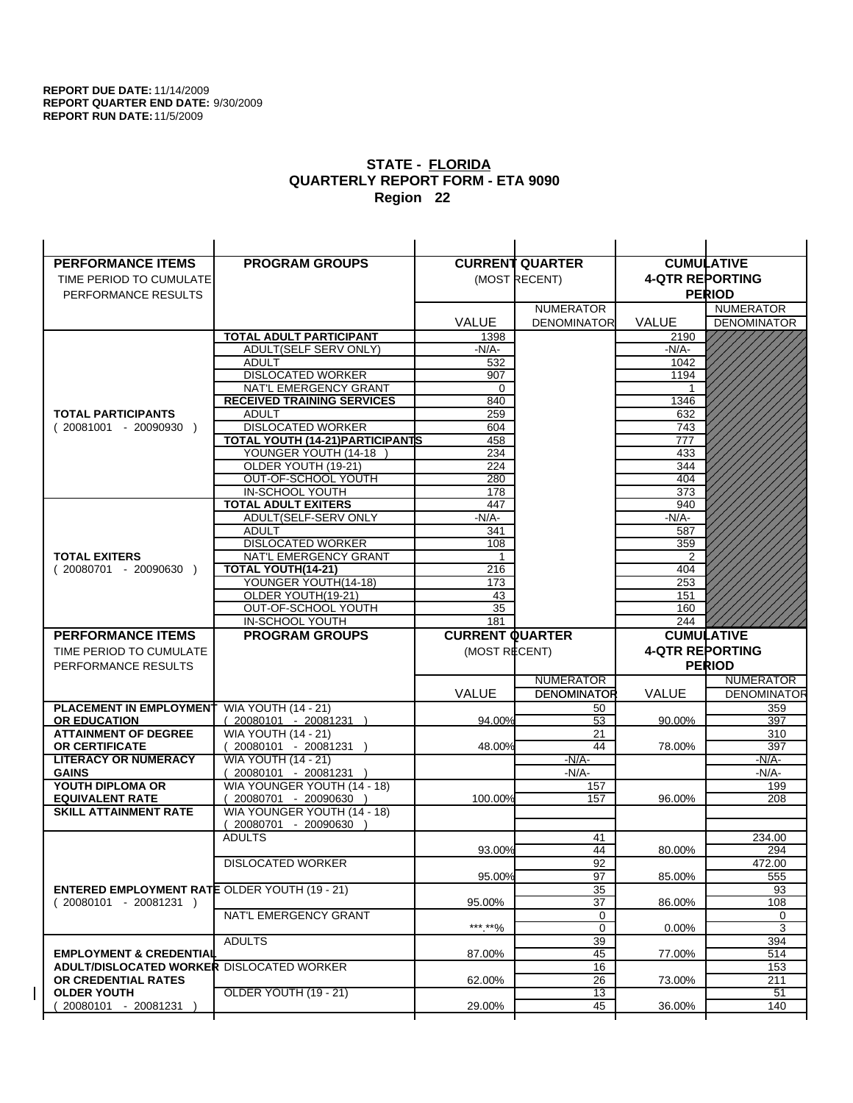| <b>PERFORMANCE ITEMS</b>                             | <b>PROGRAM GROUPS</b>                                |                        | <b>CURRENT QUARTER</b> |                        | <b>CUMULATIVE</b>  |
|------------------------------------------------------|------------------------------------------------------|------------------------|------------------------|------------------------|--------------------|
| TIME PERIOD TO CUMULATE                              |                                                      |                        | (MOST RECENT)          | <b>4-QTR REPORTING</b> |                    |
| PERFORMANCE RESULTS                                  |                                                      |                        |                        |                        | <b>PERIOD</b>      |
|                                                      |                                                      |                        | <b>NUMERATOR</b>       |                        | <b>NUMERATOR</b>   |
|                                                      |                                                      | <b>VALUE</b>           | <b>DENOMINATOR</b>     | <b>VALUE</b>           | <b>DENOMINATOR</b> |
|                                                      | <b>TOTAL ADULT PARTICIPANT</b>                       | 1398                   |                        | 2190                   |                    |
|                                                      | ADULT(SELF SERV ONLY)                                | $-N/A-$                |                        | -N/A-                  |                    |
|                                                      | <b>ADULT</b>                                         | 532                    |                        | 1042                   |                    |
|                                                      | <b>DISLOCATED WORKER</b>                             | 907                    |                        | 1194                   |                    |
|                                                      | NAT'L EMERGENCY GRANT                                | $\Omega$               |                        |                        |                    |
|                                                      | <b>RECEIVED TRAINING SERVICES</b>                    | 840                    |                        | 1346                   |                    |
| <b>TOTAL PARTICIPANTS</b>                            | <b>ADULT</b>                                         | 259                    |                        | 632                    |                    |
| $(20081001 - 20090930)$                              | <b>DISLOCATED WORKER</b>                             | 604                    |                        | 743                    |                    |
|                                                      | <b>TOTAL YOUTH (14-21) PARTICIPANTS</b>              | 458                    |                        | 777                    |                    |
|                                                      | YOUNGER YOUTH (14-18                                 | 234                    |                        | 433                    |                    |
|                                                      | OLDER YOUTH (19-21)                                  | 224<br>280             |                        | 344<br>404             |                    |
|                                                      | OUT-OF-SCHOOL YOUTH<br>IN-SCHOOL YOUTH               | 178                    |                        | 373                    |                    |
|                                                      | <b>TOTAL ADULT EXITERS</b>                           | 447                    |                        | 940                    |                    |
|                                                      | ADULT(SELF-SERV ONLY                                 | $-N/A$ -               |                        | $-N/A$ -               |                    |
|                                                      | <b>ADULT</b>                                         | 341                    |                        | 587                    |                    |
|                                                      | <b>DISLOCATED WORKER</b>                             | 108                    |                        | 359                    |                    |
| <b>TOTAL EXITERS</b>                                 | NAT'L EMERGENCY GRANT                                | 1                      |                        | 2                      |                    |
| $(20080701 - 20090630)$                              | TOTAL YOUTH(14-21)                                   | 216                    |                        | 404                    |                    |
|                                                      | YOUNGER YOUTH(14-18)                                 | 173                    |                        | 253                    |                    |
|                                                      | OLDER YOUTH(19-21)                                   | 43                     |                        | 151                    |                    |
|                                                      | OUT-OF-SCHOOL YOUTH                                  | 35                     |                        | 160                    |                    |
|                                                      | IN-SCHOOL YOUTH                                      | 181                    |                        | 244                    |                    |
|                                                      |                                                      |                        |                        |                        |                    |
| <b>PERFORMANCE ITEMS</b>                             | <b>PROGRAM GROUPS</b>                                | <b>CURRENT QUARTER</b> |                        |                        | <b>CUMULATIVE</b>  |
| TIME PERIOD TO CUMULATE                              |                                                      | (MOST RECENT)          |                        | <b>4-QTR REPORTING</b> |                    |
| PERFORMANCE RESULTS                                  |                                                      |                        |                        |                        | <b>PERIOD</b>      |
|                                                      |                                                      |                        | <b>NUMERATOR</b>       |                        | <b>NUMERATOR</b>   |
|                                                      |                                                      | <b>VALUE</b>           | <b>DENOMINATOR</b>     | VALUE                  | <b>DENOMINATOR</b> |
| <b>PLACEMENT IN EMPLOYMENT</b>                       | <b>WIA YOUTH (14 - 21)</b>                           |                        | 50                     |                        | 359                |
| <b>OR EDUCATION</b>                                  | $(20080101 - 20081231)$                              | 94.00%                 | 53                     | 90.00%                 | 397                |
| <b>ATTAINMENT OF DEGREE</b>                          | <b>WIA YOUTH (14 - 21)</b>                           |                        | 21                     |                        | 310                |
| OR CERTIFICATE                                       | $(20080101 - 20081231)$                              | 48.00%                 | 44                     | 78.00%                 | 397                |
| <b>LITERACY OR NUMERACY</b>                          | <b>WIA YOUTH (14 - 21)</b>                           |                        | $-N/A$ -               |                        | -N/A-              |
| <b>GAINS</b>                                         | 20080101 - 20081231                                  |                        | $-N/A-$                |                        | $-N/A-$            |
| YOUTH DIPLOMA OR<br><b>EQUIVALENT RATE</b>           | WIA YOUNGER YOUTH (14 - 18)                          |                        | 157<br>157             | 96.00%                 | 199<br>208         |
| <b>SKILL ATTAINMENT RATE</b>                         | 20080701 - 20090630 )<br>WIA YOUNGER YOUTH (14 - 18) | 100.00%                |                        |                        |                    |
|                                                      | (20080701 - 20090630                                 |                        |                        |                        |                    |
|                                                      | <b>ADULTS</b>                                        |                        | 41                     |                        | 234.00             |
|                                                      |                                                      | 93.00%                 | 44                     | 80.00%                 | 294                |
|                                                      | <b>DISLOCATED WORKER</b>                             |                        | $\overline{92}$        |                        | 472.00             |
|                                                      |                                                      | 95.00%                 | 97                     | 85.00%                 | 555                |
| <b>ENTERED EMPLOYMENT RATE OLDER YOUTH (19 - 21)</b> |                                                      |                        | 35                     |                        | 93                 |
| $(20080101 - 20081231)$                              |                                                      | 95.00%                 | 37                     | 86.00%                 | 108                |
|                                                      | NAT'L EMERGENCY GRANT                                |                        | 0                      |                        | 0                  |
|                                                      |                                                      | ***.**%                | 0                      | $0.00\%$               | 3                  |
| <b>EMPLOYMENT &amp; CREDENTIAL</b>                   | <b>ADULTS</b>                                        | 87.00%                 | 39<br>45               | 77.00%                 | 394<br>514         |
| <b>ADULT/DISLOCATED WORKER DISLOCATED WORKER</b>     |                                                      |                        | 16                     |                        | 153                |
| OR CREDENTIAL RATES                                  |                                                      | 62.00%                 | 26                     | 73.00%                 | 211                |
| <b>OLDER YOUTH</b>                                   | OLDER YOUTH (19 - 21)                                |                        | 13                     |                        | 51                 |
| 20080101 - 20081231                                  |                                                      | 29.00%                 | 45                     | 36.00%                 | 140                |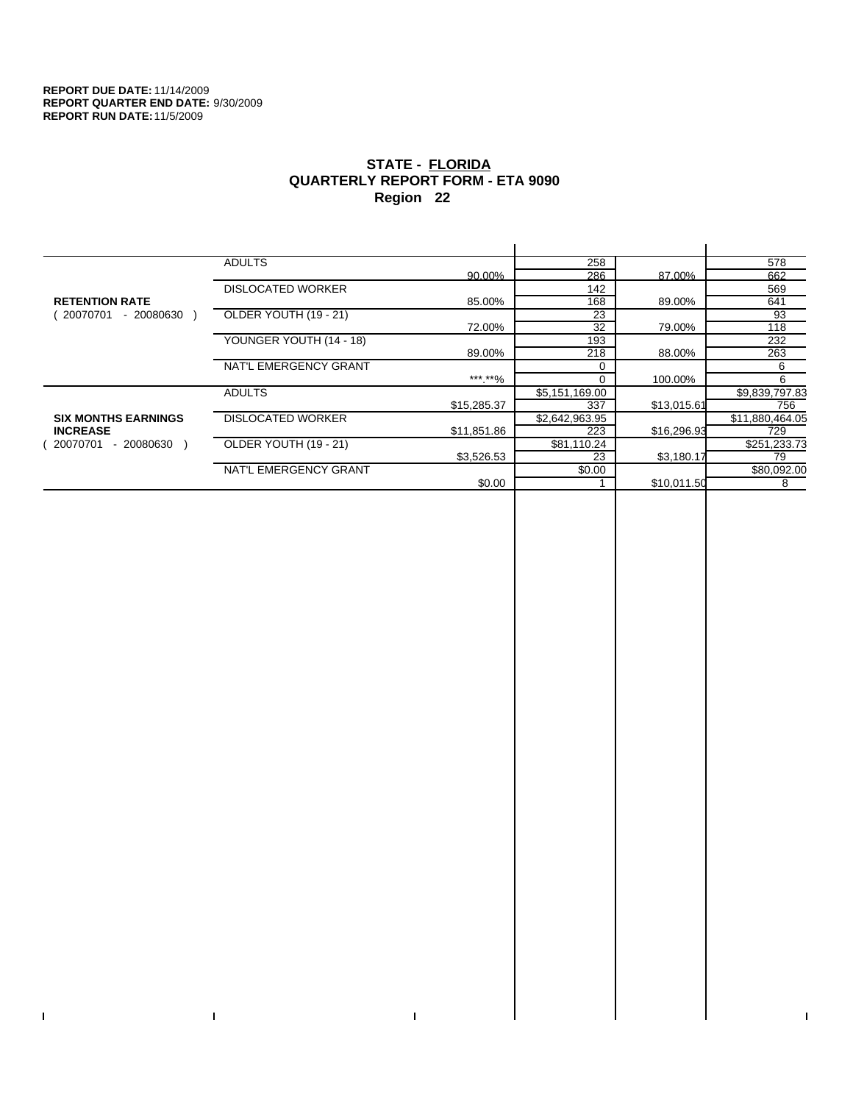$\bar{\Gamma}$ 

 $\Gamma$ 

# **STATE - FLORIDA QUARTERLY REPORT FORM - ETA 9090 Region 22**

|                            | <b>ADULTS</b>            |             | 258            |             | 578             |
|----------------------------|--------------------------|-------------|----------------|-------------|-----------------|
|                            |                          | 90.00%      | 286            | 87.00%      | 662             |
|                            | <b>DISLOCATED WORKER</b> |             | 142            |             | 569             |
| <b>RETENTION RATE</b>      |                          | 85.00%      | 168            | 89.00%      | 641             |
| $-20080630$<br>20070701    | OLDER YOUTH (19 - 21)    |             | 23             |             | 93              |
|                            |                          | 72.00%      | 32             | 79.00%      | 118             |
|                            | YOUNGER YOUTH (14 - 18)  |             | 193            |             | 232             |
|                            |                          | 89.00%      | 218            | 88.00%      | 263             |
|                            | NAT'L EMERGENCY GRANT    |             | $\Omega$       |             | 6               |
|                            |                          | ***.**%     | $\Omega$       | 100.00%     | 6               |
|                            | <b>ADULTS</b>            |             | \$5,151,169.00 |             | \$9,839,797.83  |
|                            |                          | \$15,285.37 | 337            | \$13,015.61 | 756             |
| <b>SIX MONTHS EARNINGS</b> | <b>DISLOCATED WORKER</b> |             | \$2,642,963.95 |             | \$11,880,464.05 |
| <b>INCREASE</b>            |                          | \$11,851.86 | 223            | \$16,296.93 | 729             |
| 20070701<br>$-20080630$    | OLDER YOUTH (19 - 21)    |             | \$81,110.24    |             | \$251,233.73    |
|                            |                          | \$3,526.53  | 23             | \$3,180.17  | 79              |
|                            | NAT'L EMERGENCY GRANT    |             | \$0.00         |             | \$80,092.00     |
|                            |                          | \$0.00      |                | \$10,011.50 | 8               |
|                            |                          |             |                |             |                 |

 $\bar{\Gamma}$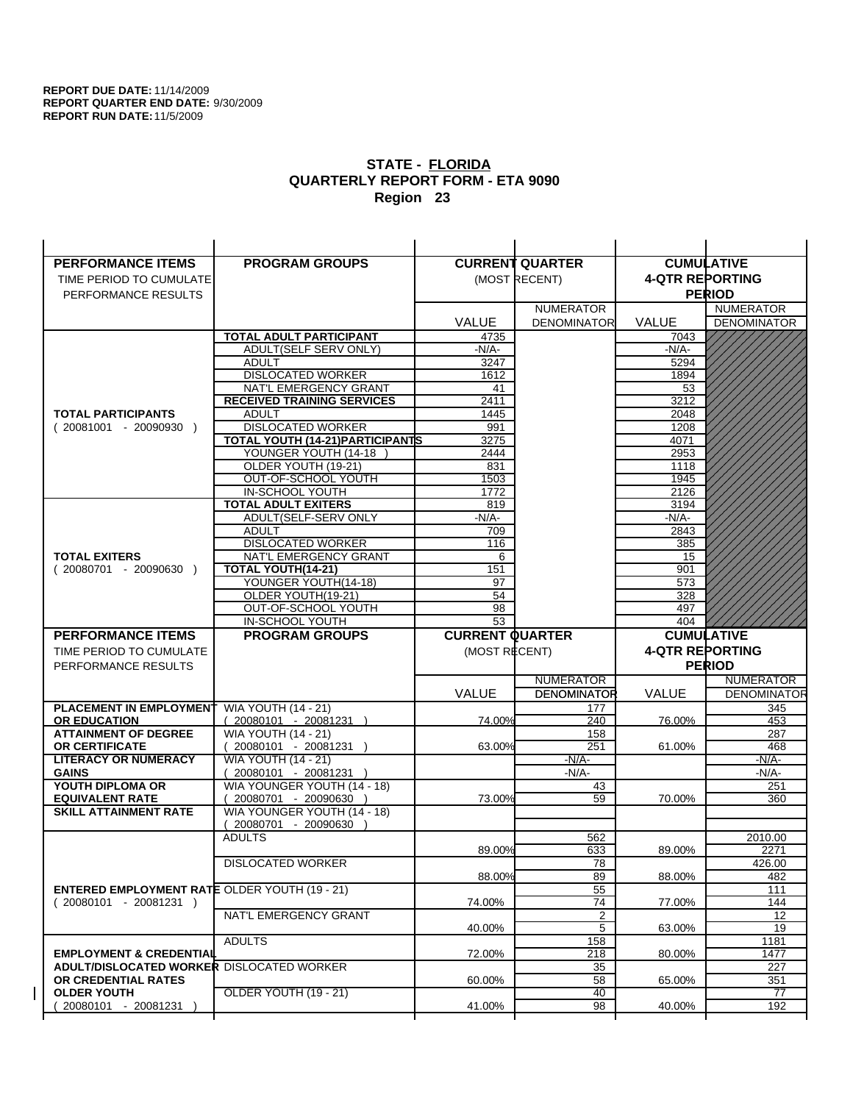| <b>PERFORMANCE ITEMS</b>                             | <b>PROGRAM GROUPS</b>                  |                        | <b>CURRENT QUARTER</b> |                        | <b>CUMULATIVE</b>  |
|------------------------------------------------------|----------------------------------------|------------------------|------------------------|------------------------|--------------------|
| TIME PERIOD TO CUMULATE                              |                                        |                        | (MOST RECENT)          | <b>4-QTR REPORTING</b> |                    |
| PERFORMANCE RESULTS                                  |                                        |                        |                        |                        | <b>PERIOD</b>      |
|                                                      |                                        |                        | <b>NUMERATOR</b>       |                        | <b>NUMERATOR</b>   |
|                                                      |                                        | <b>VALUE</b>           | <b>DENOMINATOR</b>     | <b>VALUE</b>           | <b>DENOMINATOR</b> |
|                                                      | TOTAL ADULT PARTICIPANT                | 4735                   |                        | 7043                   |                    |
|                                                      | ADULT(SELF SERV ONLY)                  | $-N/A-$                |                        | -N/A-                  |                    |
|                                                      | <b>ADULT</b>                           | 3247                   |                        | 5294                   |                    |
|                                                      | <b>DISLOCATED WORKER</b>               | 1612                   |                        | 1894                   |                    |
|                                                      | NAT'L EMERGENCY GRANT                  | 41                     |                        | 53                     |                    |
|                                                      | <b>RECEIVED TRAINING SERVICES</b>      | 2411                   |                        | 3212                   |                    |
| <b>TOTAL PARTICIPANTS</b>                            | <b>ADULT</b>                           | 1445                   |                        | 2048                   |                    |
| $(20081001 - 20090930)$                              | <b>DISLOCATED WORKER</b>               | 991                    |                        | 1208                   |                    |
|                                                      | TOTAL YOUTH (14-21) PARTICIPANTS       | 3275                   |                        | 4071                   |                    |
|                                                      | YOUNGER YOUTH (14-18                   | 2444                   |                        | 2953                   |                    |
|                                                      | OLDER YOUTH (19-21)                    | 831                    |                        | 1118                   |                    |
|                                                      | OUT-OF-SCHOOL YOUTH<br>IN-SCHOOL YOUTH | 1503                   |                        | 1945<br>2126           |                    |
|                                                      | <b>TOTAL ADULT EXITERS</b>             | 1772<br>819            |                        | 3194                   |                    |
|                                                      | ADULT(SELF-SERV ONLY                   | $-N/A-$                |                        | $-N/A-$                |                    |
|                                                      | <b>ADULT</b>                           | 709                    |                        | 2843                   |                    |
|                                                      | <b>DISLOCATED WORKER</b>               | 116                    |                        | 385                    |                    |
| <b>TOTAL EXITERS</b>                                 | NAT'L EMERGENCY GRANT                  | 6                      |                        | 15                     |                    |
| $(20080701 - 20090630)$                              | TOTAL YOUTH(14-21)                     | 151                    |                        | 901                    |                    |
|                                                      | YOUNGER YOUTH(14-18)                   | 97                     |                        | 573                    |                    |
|                                                      | OLDER YOUTH(19-21)                     | 54                     |                        | 328                    |                    |
|                                                      | OUT-OF-SCHOOL YOUTH                    | 98                     |                        | 497                    |                    |
|                                                      | IN-SCHOOL YOUTH                        | 53                     |                        | 404                    |                    |
|                                                      |                                        |                        |                        |                        |                    |
| <b>PERFORMANCE ITEMS</b>                             | <b>PROGRAM GROUPS</b>                  | <b>CURRENT QUARTER</b> |                        |                        | <b>CUMULATIVE</b>  |
| TIME PERIOD TO CUMULATE                              |                                        | (MOST RECENT)          |                        | <b>4-QTR REPORTING</b> |                    |
| PERFORMANCE RESULTS                                  |                                        |                        |                        |                        | <b>PERIOD</b>      |
|                                                      |                                        |                        | <b>NUMERATOR</b>       |                        | <b>NUMERATOR</b>   |
|                                                      |                                        | <b>VALUE</b>           | <b>DENOMINATOR</b>     | <b>VALUE</b>           | <b>DENOMINATOR</b> |
| PLACEMENT IN EMPLOYMENT                              | <b>WIA YOUTH (14 - 21)</b>             |                        | 177                    |                        | 345                |
| <b>OR EDUCATION</b>                                  | $(20080101 - 20081231)$                | 74.00%                 | 240                    | 76.00%                 | 453                |
| <b>ATTAINMENT OF DEGREE</b>                          | <b>WIA YOUTH (14 - 21)</b>             |                        | 158                    |                        | 287                |
| <b>OR CERTIFICATE</b>                                | $(20080101 - 20081231)$                | 63.00%                 | 251                    | 61.00%                 | 468                |
| <b>LITERACY OR NUMERACY</b>                          | <b>WIA YOUTH (14 - 21)</b>             |                        | -N/A-                  |                        | -N/A-              |
| <b>GAINS</b>                                         | 20080101 - 20081231                    |                        | $-N/A-$                |                        | $-N/A-$            |
| YOUTH DIPLOMA OR                                     | WIA YOUNGER YOUTH (14 - 18)            |                        | 43                     |                        | 251                |
| <b>EQUIVALENT RATE</b>                               | 20080701 - 20090630 )                  | 73.00%                 | 59                     | 70.00%                 | 360                |
| <b>SKILL ATTAINMENT RATE</b>                         | WIA YOUNGER YOUTH (14 - 18)            |                        |                        |                        |                    |
|                                                      | (20080701 - 20090630                   |                        |                        |                        |                    |
|                                                      | <b>ADULTS</b>                          | 89.00%                 | 562<br>633             | 89.00%                 | 2010.00<br>2271    |
|                                                      |                                        |                        |                        |                        |                    |
|                                                      | <b>DISLOCATED WORKER</b>               | 88.00%                 | $\overline{78}$<br>89  | 88.00%                 | 426.00<br>482      |
| <b>ENTERED EMPLOYMENT RATE OLDER YOUTH (19 - 21)</b> |                                        |                        | 55                     |                        | 111                |
| $(20080101 - 20081231)$                              |                                        | 74.00%                 | 74                     | 77.00%                 | 144                |
|                                                      | NAT'L EMERGENCY GRANT                  |                        | $\overline{2}$         |                        | 12                 |
|                                                      |                                        | 40.00%                 | 5                      | 63.00%                 | 19                 |
|                                                      | <b>ADULTS</b>                          |                        | 158                    |                        | 1181               |
| <b>EMPLOYMENT &amp; CREDENTIAL</b>                   |                                        | 72.00%                 | 218                    | 80.00%                 | 1477               |
| <b>ADULT/DISLOCATED WORKER DISLOCATED WORKER</b>     |                                        |                        | 35                     |                        | 227                |
| OR CREDENTIAL RATES                                  |                                        | 60.00%                 | 58                     | 65.00%                 | 351                |
| <b>OLDER YOUTH</b><br>20080101 - 20081231            | <b>OLDER YOUTH (19 - 21)</b>           | 41.00%                 | 40<br>98               | 40.00%                 | 77<br>192          |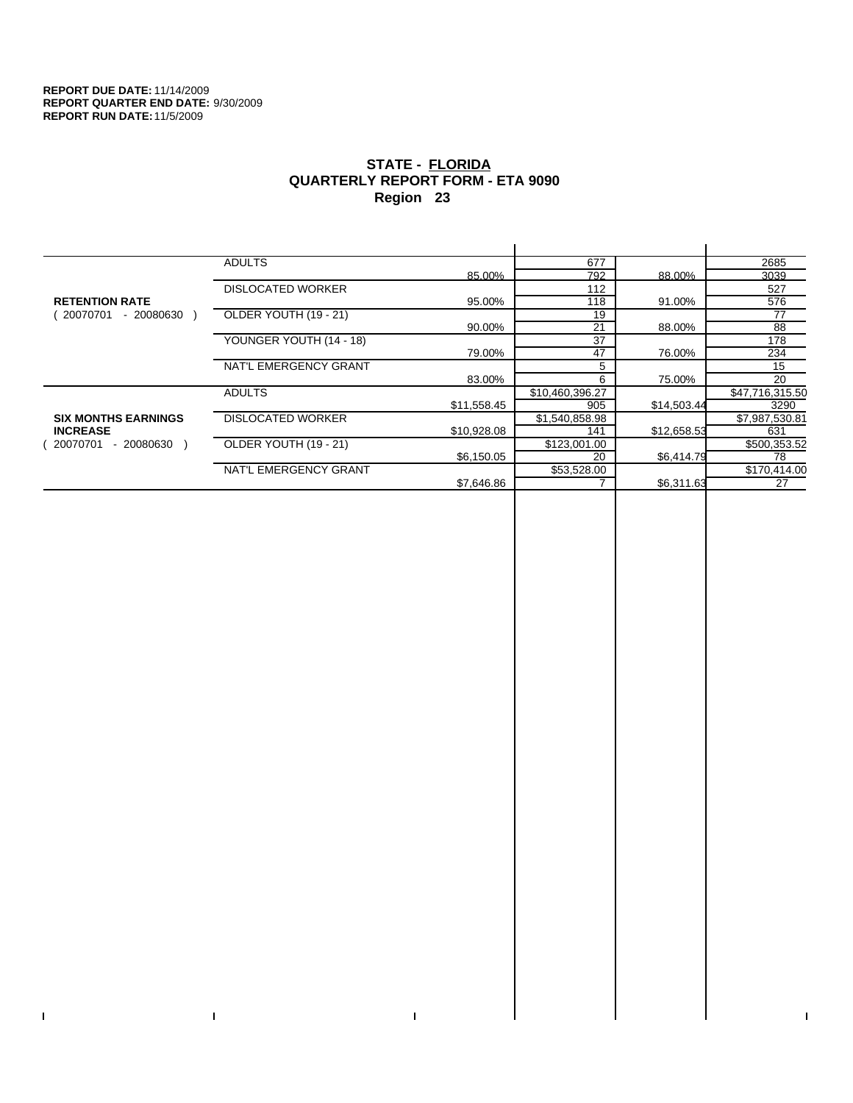$\bar{\Gamma}$ 

 $\Gamma$ 

# **STATE - FLORIDA QUARTERLY REPORT FORM - ETA 9090 Region 23**

|                            | <b>ADULTS</b>            |             | 677             |             | 2685            |
|----------------------------|--------------------------|-------------|-----------------|-------------|-----------------|
|                            |                          | 85.00%      | 792             | 88.00%      | 3039            |
|                            | <b>DISLOCATED WORKER</b> |             | 112             |             | 527             |
| <b>RETENTION RATE</b>      |                          | 95.00%      | 118             | 91.00%      | 576             |
| 20070701<br>- 20080630     | OLDER YOUTH (19 - 21)    |             | 19              |             | 77              |
|                            |                          | 90.00%      | 21              | 88.00%      | 88              |
|                            | YOUNGER YOUTH (14 - 18)  |             | 37              |             | 178             |
|                            |                          | 79.00%      | 47              | 76.00%      | 234             |
|                            | NAT'L EMERGENCY GRANT    |             | 5               |             | 15              |
|                            |                          | 83.00%      | 6               | 75.00%      | 20              |
|                            | <b>ADULTS</b>            |             | \$10,460,396.27 |             | \$47,716,315.50 |
|                            |                          | \$11,558.45 | 905             | \$14,503.44 | 3290            |
| <b>SIX MONTHS EARNINGS</b> | <b>DISLOCATED WORKER</b> |             | \$1,540,858.98  |             | \$7,987,530.81  |
| <b>INCREASE</b>            |                          | \$10,928.08 | 141             | \$12,658.53 | 631             |
| - 20080630<br>20070701     | OLDER YOUTH (19 - 21)    |             | \$123,001.00    |             | \$500,353.52    |
|                            |                          | \$6,150.05  | 20              | \$6,414.79  | 78              |
|                            | NAT'L EMERGENCY GRANT    |             | \$53,528.00     |             | \$170,414.00    |
|                            |                          | \$7,646.86  |                 | \$6,311.63  | 27              |
|                            |                          |             |                 |             |                 |

 $\bar{\Gamma}$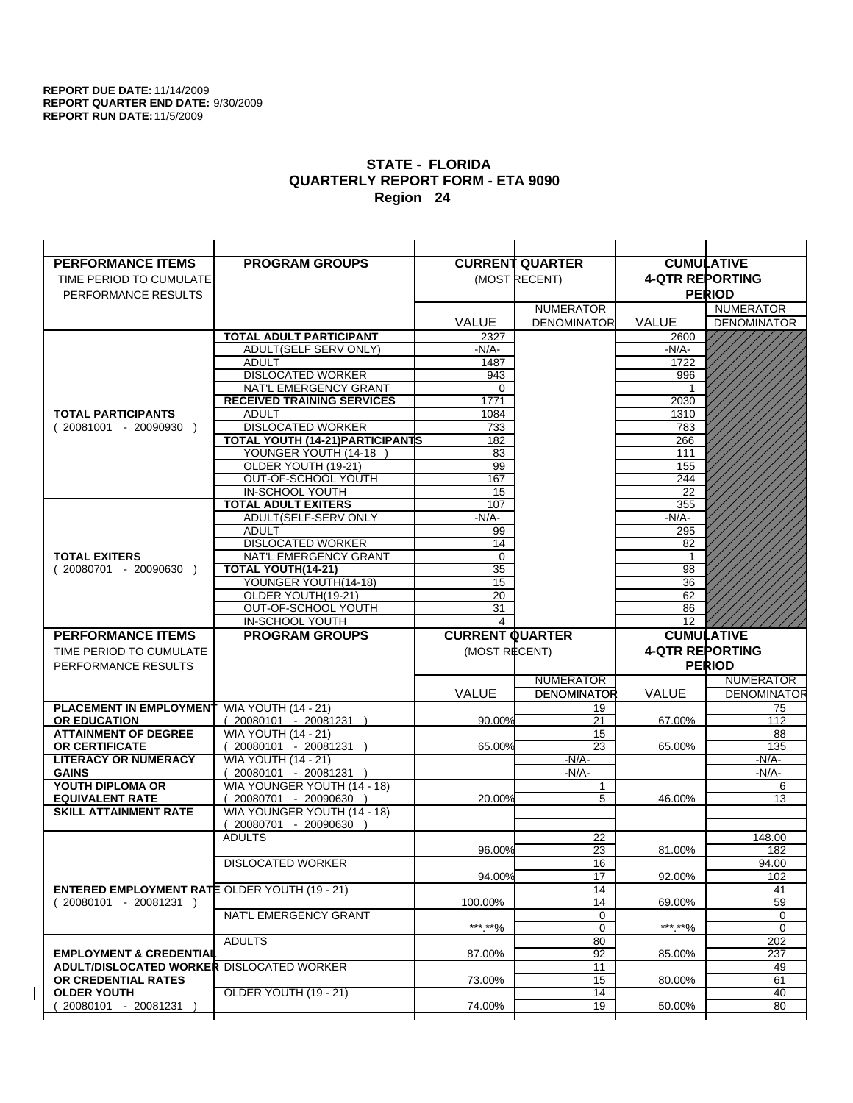| <b>PERFORMANCE ITEMS</b>                                                        | <b>PROGRAM GROUPS</b>                   |                        | <b>CURRENT QUARTER</b> |                        | <b>CUMULATIVE</b>  |
|---------------------------------------------------------------------------------|-----------------------------------------|------------------------|------------------------|------------------------|--------------------|
| TIME PERIOD TO CUMULATE                                                         |                                         |                        | (MOST RECENT)          | <b>4-QTR REPORTING</b> |                    |
| PERFORMANCE RESULTS                                                             |                                         |                        |                        |                        | <b>PERIOD</b>      |
|                                                                                 |                                         |                        | <b>NUMERATOR</b>       |                        | <b>NUMERATOR</b>   |
|                                                                                 |                                         | <b>VALUE</b>           | <b>DENOMINATOR</b>     | <b>VALUE</b>           | <b>DENOMINATOR</b> |
|                                                                                 | TOTAL ADULT PARTICIPANT                 | 2327                   |                        | 2600                   |                    |
|                                                                                 | ADULT(SELF SERV ONLY)                   | -N/A-                  |                        | -N/A-                  |                    |
|                                                                                 | <b>ADULT</b>                            | 1487                   |                        | 1722                   |                    |
|                                                                                 | <b>DISLOCATED WORKER</b>                | 943                    |                        | 996                    |                    |
|                                                                                 | NAT'L EMERGENCY GRANT                   | 0                      |                        |                        |                    |
|                                                                                 | <b>RECEIVED TRAINING SERVICES</b>       | 1771                   |                        | 2030                   |                    |
| <b>TOTAL PARTICIPANTS</b>                                                       | <b>ADULT</b>                            | 1084                   |                        | 1310                   |                    |
| $(20081001 - 20090930)$                                                         | <b>DISLOCATED WORKER</b>                | 733                    |                        | 783                    |                    |
|                                                                                 | <b>TOTAL YOUTH (14-21) PARTICIPANTS</b> | 182                    |                        | 266                    |                    |
|                                                                                 | YOUNGER YOUTH (14-18                    | 83                     |                        | 111                    |                    |
|                                                                                 | OLDER YOUTH (19-21)                     | 99                     |                        | 155                    |                    |
|                                                                                 | OUT-OF-SCHOOL YOUTH<br>IN-SCHOOL YOUTH  | 167                    |                        | 244<br>22              |                    |
|                                                                                 | <b>TOTAL ADULT EXITERS</b>              | 15<br>107              |                        | 355                    |                    |
|                                                                                 | ADULT(SELF-SERV ONLY                    | $-N/A$ -               |                        | $-N/A-$                |                    |
|                                                                                 | <b>ADULT</b>                            | 99                     |                        | 295                    |                    |
|                                                                                 | <b>DISLOCATED WORKER</b>                | 14                     |                        | 82                     |                    |
| <b>TOTAL EXITERS</b>                                                            | NAT'L EMERGENCY GRANT                   | $\mathbf 0$            |                        | 1                      |                    |
| $(20080701 - 20090630)$                                                         | TOTAL YOUTH(14-21)                      | 35                     |                        | 98                     |                    |
|                                                                                 | YOUNGER YOUTH(14-18)                    | 15                     |                        | 36                     |                    |
|                                                                                 | OLDER YOUTH(19-21)                      | 20                     |                        | 62                     |                    |
|                                                                                 | OUT-OF-SCHOOL YOUTH                     | 31                     |                        | 86                     |                    |
|                                                                                 | IN-SCHOOL YOUTH                         | 4                      |                        | 12 <sup>°</sup>        |                    |
|                                                                                 |                                         |                        |                        |                        |                    |
| <b>PERFORMANCE ITEMS</b>                                                        | <b>PROGRAM GROUPS</b>                   | <b>CURRENT QUARTER</b> |                        |                        | <b>CUMULATIVE</b>  |
| TIME PERIOD TO CUMULATE                                                         |                                         | (MOST RECENT)          |                        | <b>4-QTR REPORTING</b> |                    |
| PERFORMANCE RESULTS                                                             |                                         |                        |                        |                        | <b>PERIOD</b>      |
|                                                                                 |                                         |                        | <b>NUMERATOR</b>       |                        | <b>NUMERATOR</b>   |
|                                                                                 |                                         | <b>VALUE</b>           | <b>DENOMINATOR</b>     | <b>VALUE</b>           | <b>DENOMINATOR</b> |
| PLACEMENT IN EMPLOYMENT                                                         | <b>WIA YOUTH (14 - 21)</b>              |                        | 19                     |                        | 75                 |
| <b>OR EDUCATION</b>                                                             | $(20080101 - 20081231)$                 | 90.00%                 | 21                     | 67.00%                 | 112                |
| <b>ATTAINMENT OF DEGREE</b>                                                     | <b>WIA YOUTH (14 - 21)</b>              |                        | 15                     |                        | 88                 |
| <b>OR CERTIFICATE</b>                                                           | $(20080101 - 20081231)$                 | 65.00%                 | 23                     | 65.00%                 | 135                |
| <b>LITERACY OR NUMERACY</b>                                                     | <b>WIA YOUTH (14 - 21)</b>              |                        | $-N/A-$                |                        | -N/A-              |
| <b>GAINS</b>                                                                    | 20080101 - 20081231                     |                        | $-N/A-$                |                        | $-N/A-$            |
| YOUTH DIPLOMA OR                                                                | WIA YOUNGER YOUTH (14 - 18)             |                        | 1                      |                        | 6                  |
| <b>EQUIVALENT RATE</b>                                                          | 20080701 - 20090630 )                   | 20.00%                 | 5                      | 46.00%                 | 13                 |
| <b>SKILL ATTAINMENT RATE</b>                                                    | WIA YOUNGER YOUTH (14 - 18)             |                        |                        |                        |                    |
|                                                                                 | (20080701 - 20090630                    |                        |                        |                        |                    |
|                                                                                 | <b>ADULTS</b>                           |                        | 22                     |                        | 148.00             |
|                                                                                 |                                         | 96.00%                 | 23                     | 81.00%                 | 182                |
|                                                                                 | <b>DISLOCATED WORKER</b>                |                        | 16                     |                        | 94.00              |
|                                                                                 |                                         | 94.00%                 | 17                     | 92.00%                 | 102                |
| <b>ENTERED EMPLOYMENT RATE OLDER YOUTH (19 - 21)</b><br>$(20080101 - 20081231)$ |                                         | 100.00%                | 14<br>14               | 69.00%                 | 41<br>59           |
|                                                                                 | NAT'L EMERGENCY GRANT                   |                        | 0                      |                        | 0                  |
|                                                                                 |                                         | ***.**%                | 0                      | ***.**%                | 0                  |
|                                                                                 | <b>ADULTS</b>                           |                        | 80                     |                        | 202                |
| <b>EMPLOYMENT &amp; CREDENTIAL</b>                                              |                                         | 87.00%                 | $\overline{92}$        | 85.00%                 | 237                |
| <b>ADULT/DISLOCATED WORKER DISLOCATED WORKER</b>                                |                                         |                        | 11                     |                        | 49                 |
| OR CREDENTIAL RATES                                                             |                                         | 73.00%                 | 15                     | 80.00%                 | 61                 |
| <b>OLDER YOUTH</b><br>20080101 - 20081231                                       | OLDER YOUTH (19 - 21)                   | 74.00%                 | $\overline{14}$<br>19  | 50.00%                 | 40<br>80           |